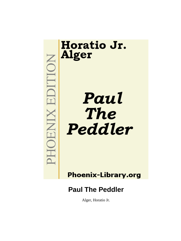

**Phoenix-Library.org** 

# **Paul The Peddler**

Alger, Horatio Jr.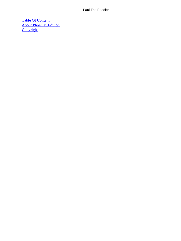[Table Of Content](#page-153-0) [About Phoenix−Edition](#page-155-0) **[Copyright](#page-156-0)**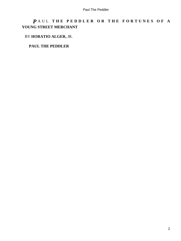# *P* AUL **THE PEDDLER OR THE FORTUNES OF A YOUNG STREET MERCHANT**

## BY **HORATIO ALGER,** JR.

### **PAUL THE PEDDLER**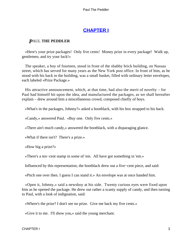# **[CHAPTER I](#page-153-0)**

### *P*AUL **THE PEDDLER**

 «Here's your prize packages! Only five cents! Money prize in every package! Walk up, gentlemen, and try your luck!»

 The speaker, a boy of fourteen, stood in front of the shabby brick building, on Nassau street, which has served for many years as the New York post office. In front of him, as he stood with his back to the building, was a small basket, filled with ordinary letter envelopes, each labeled «Prize Package.»

 His attractive announcement, which, at that time, had also the merit of novelty – for Paul had himself hit upon the idea, and manufactured the packages, as we shall hereafter explain – drew around him a miscellaneous crowd, composed chiefly of boys.

«What's in the packages, Johnny?» asked a bootblack, with his box strapped to his back.

«Candy,» answered Paul. «Buy one. Only five cents.»

«There ain't much candy,» answered the bootblack, with a disparaging glance.

«What if there isn't? There's a prize.»

«How big a prize?»

«There's a ten−cent stamp in some of 'em. All have got something in 'em.»

Influenced by this representation, the bootblack drew out a five−cent piece, and said:

«Pitch one over then. I guess I can stand it.» An envelope was at once handed him.

 «Open it, Johnny,» said a newsboy at his side. Twenty curious eyes were fixed upon him as he opened the package. He drew out rather a scanty supply of candy, and then turning to Paul, with a look of indignation, said:

«Where's the prize? I don't see no prize. Give me back my five cents.»

«Give it to me. I'll show you,» said the young merchant.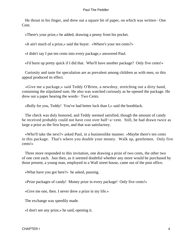He thrust in his finger, and drew out a square bit of paper, on which was written− One Cent.

«There's your prize,» he added, drawing a penny from his pocket.

«It ain't much of a prize,» said the buyer. «Where's your ten cents?»

«I didn't say I put ten cents into every package,» answered Paul.

«I'd burst up pretty quick if I did that. Who'll have another package? Only five cents!»

 Curiosity and taste for speculation are as prevalent among children as with men, so this appeal produced its effect.

 «Give me a package,» said Teddy O'Brien, a newsboy, stretching out a dirty hand, containing the stipulated sum. He also was watched curiously as he opened the package. He drew out a paper bearing the words− Two Cents.

«Bully for you, Teddy! You've had better luck than I,» said the bootblack.

 The check was duly honored, and Teddy seemed satisfied, though the amount of candy he received probably could not have cost over half−a−cent. Still, he had drawn twice as large a prize as the first buyer, and that was satisfactory.

 «Who'll take the next?» asked Paul, in a businesslike manner. «Maybe there's ten cents in this package. That's where you double your money. Walk up, gentlemen. Only five cents!»

 Three more responded to this invitation, one drawing a prize of two cents, the other two of one cent each. Just then, as it seemed doubtful whether any more would be purchased by those present, a young man, employed in a Wall street house, came out of the post office.

«What have you got here?» he asked, pausing.

«Prize packages of candy! Money prize in every package! Only five cents!»

«Give me one, then. I never drew a prize in my life.»

The exchange was speedily made.

«I don't see any prize,» he said, opening it.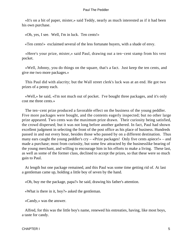«It's on a bit of paper, mister,» said Teddy, nearly as much interested as if it had been his own purchase.

«Oh, yes, I see. Well, I'm in luck. Ten cents!»

«Ten cents!» exclaimed several of the less fortunate buyers, with a shade of envy.

 «Here's your prize, mister,» said Paul, drawing out a ten−cent stamp from his vest pocket.

 «Well, Johnny, you do things on the square, that's a fact. Just keep the ten cents, and give me two more packages.»

 This Paul did with alacrity; but the Wall street clerk's luck was at an end. He got two prizes of a penny each.

 «Well,» he said, «I'm not much out of pocket. I've bought three packages, and it's only cost me three cents.»

 The ten−cent prize produced a favorable effect on the business of the young peddler. Five more packages were bought, and the contents eagerly inspected; but no other large prize appeared. Two cents was the maximum prize drawn. Their curiosity being satisfied, the crowd dispersed; but it was not long before another gathered. In fact, Paul had shown excellent judgment in selecting the front of the post office as his place of business. Hundreds passed in and out every hour, besides those who passed by on a different destination. Thus many ears caught the young peddler's cry – «Prize packages! Only five cents apiece!» – and made a purchase; most from curiosity, but some few attracted by the businesslike bearing of the young merchant, and willing to encourage him in his efforts to make a living. These last, as well as some of the former class, declined to accept the prizes, so that these were so much gain to Paul.

 At length but one package remained, and this Paul was some time getting rid of. At last a gentleman came up, holding a little boy of seven by the hand.

«Oh, buy me the package, papa?» he said, drawing his father's attention.

«What is there in it, boy?» asked the gentleman.

«Candy,» was the answer.

 Alfred, for this was the little boy's name, renewed his entreaties, having, like most boys, a taste for candy.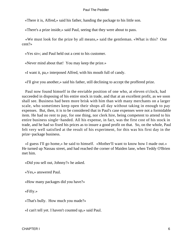«There it is, Alfred,» said his father, handing the package to his little son.

«There's a prize inside,» said Paul, seeing that they were about to pass.

 «We must look for the prize by all means,» said the gentleman. «What is this? One cent?»

«Yes sir»; and Paul held out a cent to his customer.

«Never mind about that! You may keep the prize.»

«I want it, pa,» interposed Alfred, with his mouth full of candy.

«I'll give you another,» said his father, still declining to accept the proffered prize.

 Paul now found himself in the enviable position of one who, at eleven o'clock, had succeeded in disposing of his entire stock in trade, and that at an excellent profit, as we soon shall see. Business had been more brisk with him than with many merchants on a larger scale, who sometimes keep open their shops all day without taking in enough to pay expenses. But, then, it is to be considered that in Paul's case expenses were not a formidable item. He had no rent to pay, for one thing, nor clerk hire, being competent to attend to his entire business single−handed. All his expense, in fact, was the first cost of his stock in trade, and he had so fixed his prices as to insure a good profit on that. So, on the whole, Paul felt very well satisfied at the result of his experiment, for this was his first day in the prize−package business.

 «I guess I'll go home,» he said to himself. «Mother'll want to know how I made out.» He turned up Nassau street, and had reached the corner of Maiden lane, when Teddy O'Brien met him.

«Did you sell out, Johnny?» he asked.

«Yes,» answered Paul.

«How many packages did you have?»

«Fifty.»

«That's bully. How much you made?»

«I can't tell yet. I haven't counted up,» said Paul.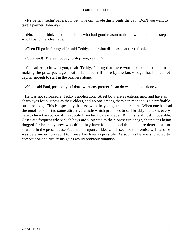«It's better'n sellin' papers, I'll bet. I've only made thirty cents the day. Don't you want to take a partner, Johnny?»

 «No, I don't think I do,» said Paul, who had good reason to doubt whether such a step would be to his advantage.

«Then I'll go in for myself,» said Teddy, somewhat displeased at the refusal.

«Go ahead! There's nobody to stop you,» said Paul.

 «I'd rather go in with you,» said Teddy, feeling that there would be some trouble in making the prize packages, but influenced still more by the knowledge that he had not capital enough to start in the business alone.

«No,» said Paul, positively; «I don't want any partner. I can do well enough alone.»

 He was not surprised at Teddy's application. Street boys are as enterprising, and have as sharp eyes for business as their elders, and no one among them can monopolize a profitable business long. This is especially the case with the young street merchant. When one has had the good luck to find some attractive article which promises to sell briskly, he takes every care to hide the source of his supply from his rivals in trade. But this is almost impossible. Cases are frequent where such boys are subjected to the closest espionage, their steps being dogged for hours by boys who think they have found a good thing and are determined to share it. In the present case Paul had hit upon an idea which seemed to promise well, and he was determined to keep it to himself as long as possible. As soon as he was subjected to competition and rivalry his gains would probably diminish.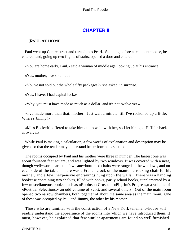# **[CHAPTER II](#page-153-0)**

## *P*AUL **AT HOME**

 Paul went up Centre street and turned into Pearl. Stopping before a tenement−house, he entered, and, going up two flights of stairs, opened a door and entered.

«You are home early, Paul,» said a woman of middle age, looking up at his entrance.

«Yes, mother; I've sold out.»

«You've not sold out the whole fifty packages?» she asked, in surprise.

«Yes, I have. I had capital luck.»

«Why, you must have made as much as a dollar, and it's not twelve yet.»

 «I've made more than that, mother. Just wait a minute, till I've reckoned up a little. Where's Jimmy?»

 «Miss Beckwith offered to take him out to walk with her, so I let him go. He'll be back at twelve.»

 While Paul is making a calculation, a few words of explanation and description may be given, so that the reader may understand better how he is situated.

 The rooms occupied by Paul and his mother were three in number. The largest one was about fourteen feet square, and was lighted by two windows. It was covered with a neat, though well−worn, carpet; a few cane−bottomed chairs were ranged at the windows, and on each side of the table. There was a French clock on the mantel, a rocking chair for his mother, and a few inexpensive engravings hung upon the walls. There was a hanging bookcase containing two shelves, filled with books, partly school books, supplemented by a few miscellaneous books, such as «Robinson Crusoe,» «Pilgrim's Progress,» a volume of «Poetical Selections,» an odd volume of Scott, and several others. Out of the main room opened two narrow chambers, both together of about the same area as the main room. One of these was occupied by Paul and Jimmy, the other by his mother.

 Those who are familiar with the construction of a New York tenement−house will readily understand the appearance of the rooms into which we have introduced them. It must, however, be explained that few similar apartments are found so well furnished.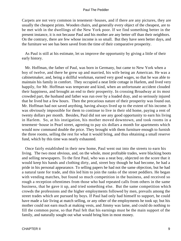Carpets are not very common in tenement−houses, and if there are any pictures, they are usually the cheapest prints. Wooden chairs, and generally every object of the cheapest, are to be met with in the dwellings of the New York poor. If we find something better in the present instance, it is not because Paul and his mother are any better off than their neighbors. On the contrary, there are few whose income is so small. But they have seen better days, and the furniture we see has been saved from the time of their comparative prosperity.

 As Paul is still at his estimate, let us improve the opportunity by giving a little of their early history.

 Mr. Hoffman, the father of Paul, was born in Germany, but came to New York when a boy of twelve, and there he grew up and married, his wife being an American. He was a cabinetmaker, and, being a skillful workman, earned very good wages, so that he was able to maintain his family in comfort. They occupied a neat little cottage in Harlem, and lived very happily, for Mr. Hoffman was temperate and kind, when an unfortunate accident clouded their happiness, and brought an end to their prosperity. In crossing Broadway at its most crowded part, the husband and father was run over by a loaded dray, and so seriously injured that he lived but a few hours. Then the precarious nature of their prosperity was found out. Mr. Hoffman had not saved anything, having always lived up to the extent of his income. It was obviously impossible for them to continue to live in their old home, paying a rent of twenty dollars per month. Besides, Paul did not see any good opportunity to earn his living in Harlem. So, at his instigation, his mother moved downtown, and took rooms in a tenement−house in Pearl street, agreeing to pay six dollars a month for apartments which would now command double the price. They brought with them furniture enough to furnish the three rooms, selling the rest for what it would bring, and thus obtaining a small reserve fund, which by this time was nearly exhausted.

 Once fairly established in their new home, Paul went out into the streets to earn his living. The two most obvious, and, on the whole, most profitable trades, were blacking boots and selling newspapers. To the first Paul, who was a neat boy, objected on the score that it would keep his hands and clothing dirty, and, street boy though he had become, he had a pride in his personal appearance. To selling papers he had not the same objection, but he had a natural taste for trade, and this led him to join the ranks of the street peddlers. He began with vending matches, but found so much competition in the business, and received so rough a reception oftentimes from those who had repeated calls from others in the same business, that he gave it up, and tried something else. But the same competition which crowds the professions and the higher employments followed by men, prevails among the street trades which are pursued by boys. If Paul had only had himself to support, he could have made a fair living at match selling, or any other of the employments he took up; but his mother could not earn much at making vests, and Jimmy was lame, and could do nothing to fill the common purse, so that Paul felt that his earnings must be the main support of the family, and naturally sought out what would bring him in most money.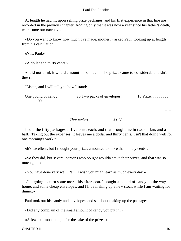At length he had hit upon selling prize packages, and his first experience in that line are recorded in the previous chapter. Adding only that it was now a year since his father's death, we resume our narrative.

 «Do you want to know how much I've made, mother?» asked Paul, looking up at length from his calculation.

«Yes, Paul.»

«A dollar and thirty cents.»

 «I did not think it would amount to so much. The prizes came to considerable, didn't they?»

"Listen, and I will tell you how I stand:

One pound of candy . . . . . . . . . . . . . 20 Two packs of envelopes . . . . . . . . . 10 Prize. . . . . . . . . . . . . . . . .90

*That makes . . . . . . . . . . . . \$1.20* 

 I sold the fifty packages at five cents each, and that brought me in two dollars and a half. Taking out the expenses, it leaves me a dollar and thirty cents. Isn't that doing well for one morning's work?"

«It's excellent; but I thought your prizes amounted to more than ninety cents.»

 «So they did, but several persons who bought wouldn't take their prizes, and that was so much gain.»

«You have done very well, Paul. I wish you might earn as much every day.»

 «I'm going to earn some more this afternoon. I bought a pound of candy on the way home, and some cheap envelopes, and I'll be making up a new stock while I am waiting for dinner.»

Paul took out his candy and envelopes, and set about making up the packages.

«Did any complain of the small amount of candy you put in?»

«A few; but most bought for the sake of the prizes.»

– –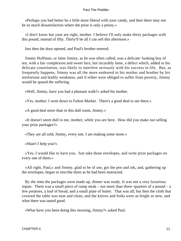«Perhaps you had better be a little more liberal with your candy, and then there may not be so much dissatisfaction where the prize is only a penny.»

 «I don't know but your are right, mother. I believe I'll only make thirty packages with this pound, instead of fifty. Thirty'll be all I can sell this afternoon.»

Just then the door opened, and Paul's brother entered.

 Jimmy Hoffman, or lame Jimmy, as he was often called, was a delicate−looking boy of ten, with a fair complexion and sweet face, but incurably lame, a defect which, added to his delicate constitution, was likely to interfere seriously with his success in life. But, as frequently happens, Jimmy was all the more endeared to his mother and brother by his misfortune and bodily weakness, and if either were obliged to suffer from poverty, Jimmy would be spared the suffering.

«Well, Jimmy, have you had a pleasant walk?» asked his mother.

«Yes, mother; I went down to Fulton Market. There's a good deal to see there.»

«A good deal more than in this dull room, Jimmy.»

 «It doesn't seem dull to me, mother, while you are here. How did you make out selling your prize packages?»

«They are all sold, Jimmy, every one. I am making some more.»

«Shan't I help you?»

 «Yes, I would like to have you. Just take those envelopes, and write prize packages on every one of them.»

 «All right, Paul,» and Jimmy, glad to be of use, got the pen and ink, and, gathering up the envelopes, began to inscribe them as he had been instructed.

 By the time the packages were made up, dinner was ready. It was not a very luxurious repast. There was a small piece of rump steak – not more than three−quarters of a pound – a few potatoes, a loaf of bread, and a small plate of butter. That was all; but then the cloth that covered the table was neat and clean, and the knives and forks were as bright as new, and what there was tasted good.

«What have you been doing this morning, Jimmy?» asked Paul.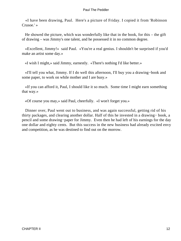«I have been drawing, Paul. Here's a picture of Friday. I copied it from 'Robinson Crusoe.' »

 He showed the picture, which was wonderfully like that in the book, for this – the gift of drawing – was Jimmy's one talent, and he possessed it in no common degree.

 «Excellent, Jimmy!» said Paul. «You're a real genius. I shouldn't be surprised if you'd make an artist some day.»

«I wish I might,» said Jimmy, earnestly. «There's nothing I'd like better.»

 «I'll tell you what, Jimmy. If I do well this afternoon, I'll buy you a drawing−book and some paper, to work on while mother and I are busy.»

 «If you can afford it, Paul, I should like it so much. Some time I might earn something that way.»

«Of course you may,» said Paul, cheerfully. «I won't forget you.»

 Dinner over, Paul went out to business, and was again successful, getting rid of his thirty packages, and clearing another dollar. Half of this he invested in a drawing− book, a pencil and some drawing−paper for Jimmy. Even then he had left of his earnings for the day one dollar and eighty cents. But this success in the new business had already excited envy and competition, as he was destined to find out on the morrow.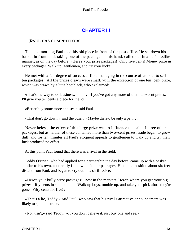# **[CHAPTER III](#page-153-0)**

### *P*AUL **HAS COMPETITORS**

 The next morning Paul took his old place in front of the post office. He set down his basket in front, and, taking one of the packages in his hand, called out in a businesslike manner, as on the day before, «Here's your prize packages! Only five cents! Money prize in every package! Walk up, gentlemen, and try your luck!»

 He met with a fair degree of success at first, managing in the course of an hour to sell ten packages. All the prizes drawn were small, with the exception of one ten−cent prize, which was drawn by a little bootblack, who exclaimed:

 «That's the way to do business, Johnny. If you've got any more of them ten−cent prizes, I'll give you ten cents a piece for the lot.»

«Better buy some more and see,» said Paul.

«That don't go down,» said the other. «Maybe there'd be only a penny.»

 Nevertheless, the effect of this large prize was to influence the sale of three other packages; but as neither of these contained more than two−cent prizes, trade began to grow dull, and for ten minutes all Paul's eloquent appeals to gentlemen to walk up and try their luck produced no effect.

At this point Paul found that there was a rival in the field.

 Teddy O'Brien, who had applied for a partnership the day before, came up with a basket similar to his own, apparently filled with similar packages. He took a position about six feet distant from Paul, and began to cry out, in a shrill voice:

 «Here's your bully prize packages! Best in the market! Here's where you get your big prizes, fifty cents in some of 'em. Walk up boys, tumble up, and take your pick afore they're gone. Fifty cents for five!»

 «That's a lie, Teddy,» said Paul, who saw that his rival's attractive announcement was likely to spoil his trade.

«No, 'tisn't,» said Teddy. «If you don't believe it, just buy one and see.»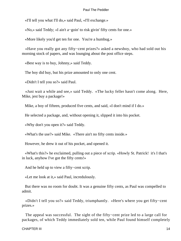«I'll tell you what I'll do,» said Paul, «I'll exchange.»

«No,» said Teddy; «I ain't a−goin' to risk givin' fifty cents for one.»

«More likely you'd get ten for one. You're a humbug.»

 «Have you really got any fifty−cent prizes?» asked a newsboy, who had sold out his morning stock of papers, and was lounging about the post office steps.

«Best way is to buy, Johnny,» said Teddy.

The boy did buy, but his prize amounted to only one cent.

«Didn't I tell you so?» said Paul.

 «Just wait a while and see,» said Teddy. «The lucky feller hasn't come along. Here, Mike, jest buy a package!»

Mike, a boy of fifteen, produced five cents, and said, «I don't mind if I do.»

He selected a package, and, without opening it, slipped it into his pocket.

«Why don't you open it?» said Teddy.

«What's the use?» said Mike. «There ain't no fifty cents inside.»

However, he drew it out of his pocket, and opened it.

 «What's this?» he exclaimed, pulling out a piece of scrip. «Howly St. Patrick! it's I that's in luck, anyhow I've got the fifty cents!»

And he held up to view a fifty−cent scrip.

«Let me look at it,» said Paul, incredulously.

 But there was no room for doubt. It was a genuine fifty cents, as Paul was compelled to admit.

 «Didn't I tell you so?» said Teddy, triumphantly. «Here's where you get fifty−cent prizes.»

The appeal was successful. The sight of the fifty–cent prize led to a large call for packages, of which Teddy immediately sold ten, while Paul found himself completely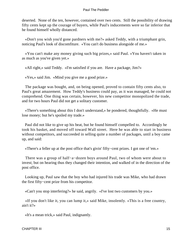deserted. None of the ten, however, contained over two cents. Still the possibility of drawing fifty cents kept up the courage of buyers, while Paul's inducements were so far inferior that he found himself wholly distanced.

 «Don't you wish you'd gone pardners with me?» asked Teddy, with a triumphant grin, noticing Paul's look of discomfiture. «You can't do business alongside of me.»

 «You can't make any money giving such big prizes,» said Paul. «You haven't taken in as much as you've given yet.»

«All right,» said Teddy. «I'm satisfied if you are. Have a package, Jim?»

«Yes,» said Jim. «Mind you give me a good prize.»

 The package was bought, and, on being opened, proved to contain fifty cents also, to Paul's great amazement. How Teddy's business could pay, as it was managed, he could not comprehend. One thing was certain, however, his new competitor monopolized the trade, and for two hours Paul did not get a solitary customer.

 «There's something about this I don't understand,» he pondered, thoughtfully. «He must lose money; but he's spoiled my trade.»

 Paul did not like to give up his beat, but he found himself compelled to. Accordingly he took his basket, and moved off toward Wall street. Here he was able to start in business without competitors, and succeeded in selling quite a number of packages, until a boy came up, and said:

«There's a feller up at the post office that's givin' fifty−cent prizes. I got one of 'em.»

 There was a group of half−a−dozen boys around Paul, two of whom were about to invest; but on hearing thus they changed their intention, and walked of in the direction of the post office.

 Looking up, Paul saw that the boy who had injured his trade was Mike, who had drawn the first fifty−cent prize from his competitor.

«Can't you stop interfering?» he said, angrily. «I've lost two customers by you.»

 «If you don't like it, you can lump it,» said Mike, insolently. «This is a free country, ain't it?»

«It's a mean trick,» said Paul, indignantly.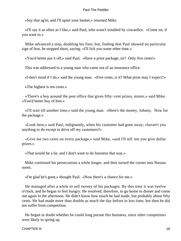«Say that ag'in, and I'll upset your basket,» returned Mike.

 «I'll say it as often as I like,» said Paul, who wasn't troubled by cowardice. «Come on, if you want to.»

 Mike advanced a step, doubling his fists; but, finding that Paul showed no particular sign of fear, he stopped short, saying: «I'll lick you some other time.»

«You'd better put it off,» said Paul. «Have a prize package, sir? Only five cents!»

This was addressed to a young man who came out of an insurance office.

«I don't mind if I do,» said the young man. «Five cents, is it? What prize may I expect?»

«The highest is ten cents.»

 «There's a boy around the post office that gives fifty−cent prizes, mister,» said Mike. «You'd better buy of him.»

 «I'll wait till another time,» said the young man. «Here's the money, Johnny. Now for the package.»

 «Look here,» said Paul, indignantly, when his customer had gone away; «haven't you anything to do except to drive off my customers?»

 «Give me two cents on every package,» said Mike, «and I'll tell 'em you give dollar prizes.»

«That would be a lie, and I don't want to do business that way.»

 Mike continued his persecutions a while longer, and then turned the corner into Nassau street.

«I'm glad he's gone,» thought Paul. «Now there's a chance for me.»

 He managed after a while to sell twenty of his packages. By this time it was twelve o'clock, and he began to feel hungry. He resolved, therefore, to go home to dinner and come out again in the afternoon. He didn't know how much he had made, but probably about fifty cents. He had made more than double as much the day before in less time; but then he did not suffer from competition.

 He began to doubt whether he could long pursue this business, since other competitors were likely to spring up.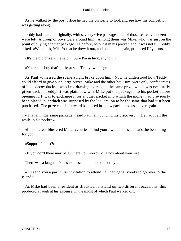As he walked by the post office he had the curiosity to look and see how his competitor was getting along.

 Teddy had started, originally, with seventy−five packages; but of those scarcely a dozen were left. A group of boys were around him. Among them was Mike, who was just on the point of buying another package. As before, he put it in his pocket, and it was not till Teddy asked, «What luck, Mike?» that he drew it out, and opening it again, produced fifty cents.

«It's the big prize!» he said. «Sure I'm in luck, anyhow.»

«You're the boy that's lucky,» said Teddy, with a grin.

 As Paul witnessed the scene a light broke upon him. Now he understood how Teddy could afford to give such large prizes. Mike and the other boy, Jim, were only confederates of his – decoy ducks – who kept drawing over again the same prize, which was eventually given back to Teddy. It was plain now why Mike put the package into his pocket before opening it. It was to exchange it for another packet into which the money had previously been placed, but which was supposed by the lookers−on to be the same that had just been purchased. The prize could afterward be placed in a new packet and used over again.

 «That ain't the same package,» said Paul, announcing his discovery. «He had it all the while in his pocket.»

 «Look here,» blustered Mike, «you jest mind your own business! That's the best thing for you.»

«Suppose I don't?»

«If you don't there may be a funeral to−morrow of a boy about your size.»

There was a laugh at Paul's expense, but he took it coolly.

 «I'll send you a particular invitation to attend, if I can get anybody to go over to the island.»

 As Mike had been a resident at Blackwell's Island on two different occasions, this produced a laugh at his expense, in the midst of which Paul walked off.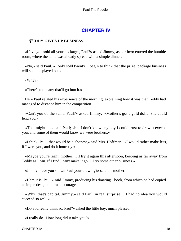# **[CHAPTER IV](#page-153-0)**

### *T*EDDY **GIVES UP BUSINESS**

 «Have you sold all your packages, Paul?» asked Jimmy, as our hero entered the humble room, where the table was already spread with a simple dinner.

 «No,» said Paul, «I only sold twenty. I begin to think that the prize−package business will soon be played out.»

«Why?»

«There's too many that'll go into it.»

 Here Paul related his experience of the morning, explaining how it was that Teddy had managed to distance him in the competition.

 «Can't you do the same, Paul?» asked Jimmy. «Mother's got a gold dollar she could lend you.»

 «That might do,» said Paul; «but I don't know any boy I could trust to draw it except you, and some of them would know we were brothers.»

 «I think, Paul, that would be dishonest,» said Mrs. Hoffman. «I would rather make less, if I were you, and do it honestly.»

 «Maybe you're right, mother. I'll try it again this afternoon, keeping as far away from Teddy as I can. If I find I can't make it go, I'll try some other business.»

«Jimmy, have you shown Paul your drawing?» said his mother.

 «Here it is, Paul,» said Jimmy, producing his drawing− book, from which he had copied a simple design of a rustic cottage.

 «Why, that's capital, Jimmy,» said Paul, in real surprise. «I had no idea you would succeed so well.»

«Do you really think so, Paul?» asked the little boy, much pleased.

«I really do. How long did it take you?»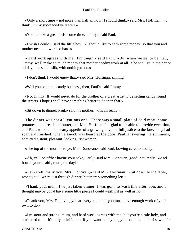«Only a short time – not more than half an hour, I should think,» said Mrs. Hoffman. «I think Jimmy succeeded very well.»

«You'll make a great artist some time, Jimmy,» said Paul.

 «I wish I could,» said the little boy. «I should like to earn some money, so that you and mother need not work so hard.»

 «Hard work agrees with me. I'm tough,» said Paul. «But when we get to be men, Jimmy, we'll make so much money that mother needn't work at all. She shall sit in the parlor all day, dressed in silk, with nothing to do.»

«I don't think I would enjoy that,» said Mrs. Hoffman, smiling.

«Will you be in the candy business, then, Paul?» said Jimmy.

 «No, Jimmy. It would never do for the brother of a great artist to be selling candy round the streets. I hope I shall have something better to do than that.»

«Sit down to dinner, Paul,» said his mother. «It's all ready.»

 The dinner was not a luxurious one. There was a small plate of cold meat, some potatoes, and bread and butter; but Mrs. Hoffman felt glad to be able to provide even that, and Paul, who had the hearty appetite of a growing boy, did full justice to the fare. They had scarcely finished, when a knock was heard at the door. Paul, answering the summons, admitted a stout, pleasant−looking Irishwoman.

«The top of the mornin' to ye, Mrs. Donovan,» said Paul, bowing ceremoniously.

 «Ah, ye'll be afther havin' your joke, Paul,» said Mrs. Donovan, good−naturedly. «And how is your health, mum, the day?»

 «I am well, thank you, Mrs. Donovan,» said Mrs. Hoffman. «Sit down to the table, won't you? We're just through dinner, but there's something left.»

 «Thank you, mum, I've jist taken dinner. I was goin' to wash this afternoon, and I thought maybe you'd have some little pieces I could wash jist as well as not.»

 «Thank you, Mrs. Donovan, you are very kind; but you must have enough work of your own to do.»

 «I'm stout and strong, mum, and hard work agrees with me; but you're a rale lady, and ain't used to it. It's only a thrifle, but if you want to pay me, you could do a bit of sewin' for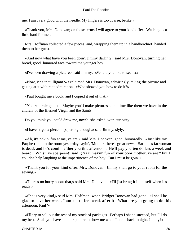me. I ain't very good with the needle. My fingers is too coarse, belike.»

 «Thank you, Mrs. Donovan; on those terms I will agree to your kind offer. Washing is a little hard for me.»

 Mrs. Hoffman collected a few pieces, and, wrapping them up in a handkerchief, handed them to her guest.

 «And now what have you been doin', Jimmy darlint?» said Mrs. Donovan, turning her broad, good−humored face toward the younger boy.

«I've been drawing a picture,» said Jimmy. «Would you like to see it?»

 «Now, isn't that illigant?» exclaimed Mrs. Donovan, admiringly, taking the picture and gazing at it with rapt admiration. «Who showed you how to do it?»

«Paul bought me a book, and I copied it out of that.»

 "You're a rale genius. Maybe you'll make pictures some time like them we have in the church, of the Blessed Virgin and the Saints.

Do you think you could draw me, now?" she asked, with curiosity.

«I haven't got a piece of paper big enough,» said Jimmy, slyly.

 «Ah, it's pokin' fun at me, ye are,» said Mrs. Donovan, good−humoredly. «Just like my Pat; he run into the room yesterday sayin', 'Mother, there's great news. Barnum's fat woman is dead, and he's comin' afther you this afternoon. He'll pay you ten dollars a week and board.' 'Whist, ye spalpeen!' said I; 'is it makin' fun of your poor mother, ye are?' but I couldn't help laughing at the impertinence of the boy. But I must be goin'.»

 «Thank you for your kind offer, Mrs. Donovan. Jimmy shall go to your room for the sewing.»

 «There's no hurry about that,» said Mrs. Donovan. «I'll jist bring it in meself when it's ready.»

 «She is very kind,» said Mrs. Hoffman, when Bridget Donovan had gone. «I shall be glad to have her wash. I am apt to feel weak after it. What are you going to do this afternoon, Paul?»

 «I'll try to sell out the rest of my stock of packages. Perhaps I shan't succeed, but I'll do my best. Shall you have another picture to show me when I come back tonight, Jimmy?»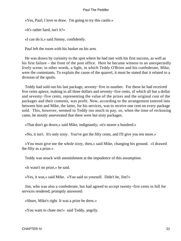«Yes, Paul; I love to draw. I'm going to try this castle.»

«It's rather hard, isn't it?»

«I can do it,» said Jimmy, confidently.

Paul left the room with his basket on his arm.

 He was drawn by curiosity to the spot where he had met with his first success, as well as his first failure – the front of the post office. Here he became witness to an unexpectedly lively scene; in other words, a fight, in which Teddy O'Brien and his confederate, Mike, were the contestants. To explain the cause of the quarrel, it must be stated that it related to a division of the spoils.

 Teddy had sold out his last package, seventy−five in number. For these he had received five cents apiece, making in all three dollars and seventy−five cents, of which all but a dollar and seventy−five cents, representing the value of the prizes and the original cost of the packages and their contents, was profit. Now, according to the arrangement entered into between him and Mike, the latter, for his services, was to receive one cent on every package sold. This, however, seemed to Teddy too much to pay, so, when the time of reckoning came, he stoutly asseverated that there were but sixty packages.

«That don't go down,» said Mike, indignantly; «it's nearer a hundred.»

«No, it isn't. It's only sixty. You've got the fifty cents, and I'll give you ten more.»

 «You must give me the whole sixty, then,» said Mike, changing his ground. «I drawed the fifty as a prize.»

Teddy was struck with astonishment at the impudence of this assumption.

«It wasn't no prize,» he said.

«Yes, it was,» said Mike. «You said so yourself. Didn't he, Jim?»

 Jim, who was also a confederate, but had agreed to accept twenty−five cents in full for services rendered, promptly answered:

«Shure, Mike's right. It was a prize he drew.»

«You want to chate me!» said Teddy, angrily.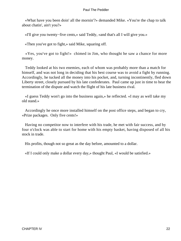«What have you been doin' all the mornin'?» demanded Mike. «You're the chap to talk about chatin', ain't you?»

«I'll give you twenty−five cents,» said Teddy, «and that's all I will give you.»

«Then you've got to fight,» said Mike, squaring off.

 «Yes, you've got to fight!» chimed in Jim, who thought he saw a chance for more money.

 Teddy looked at his two enemies, each of whom was probably more than a match for himself, and was not long in deciding that his best course was to avoid a fight by running. Accordingly, he tucked all the money into his pocket, and, turning incontinently, fled down Liberty street, closely pursued by his late confederates. Paul came up just in time to hear the termination of the dispute and watch the flight of his late business rival.

 «I guess Teddy won't go into the business again,» he reflected. «I may as well take my old stand.»

 Accordingly he once more installed himself on the post office steps, and began to cry, «Prize packages. Only five cents!»

 Having no competitor now to interfere with his trade, he met with fair success, and by four o'clock was able to start for home with his empty basket, having disposed of all his stock in trade.

His profits, though not so great as the day before, amounted to a dollar.

«If I could only make a dollar every day,» thought Paul, «I would be satisfied.»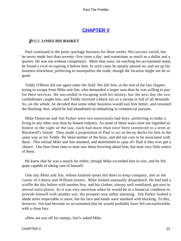# **[CHAPTER V](#page-153-0)**

#### *P*AUL **LOSES HIS BASKET**

 Paul continued in the prize−package business for three weeks. His success varied, but he never made less than seventy−five cents a day, and sometimes as much as a dollar and a quarter. He was not without competitors. More than once, on reaching his accustomed stand, he found a rival occupying it before him. In such cases he quietly passed on, and set up his business elsewhere, preferring to monopolize the trade, though the location might not be so good.

 Teddy O'Brien did not again enter the field. We left him, at the end of the last chapter, trying to escape from Mike and Jim, who demanded a larger sum than he was willing to pay for their services. He succeeded in escaping with his money, but the next day the two confederates caught him, and Teddy received a black eye as a receipt in full of all demands. So, on the whole, he decided that some other business would suit him better, and resumed the blacking−box, which he had abandoned on embarking in commercial pursuits.

 Mike Donovan and Jim Parker were two notoriously bad boys, preferring to make a living in any other way than by honest industry. As some of these ways were not regarded as honest in the sight of the law, each had more than once been sentenced to a term at Blackwell's Island. They made a proposition to Paul to act as decoy ducks for him in the same way as for Teddy. He liked neither of the boys, and did not care to be associated with them. This refusal Mike and Jim resented, and determined to «pay of» Paul if they ever got a chance. Our hero from time to time saw them hovering about him, but took very little notice of them.

 He knew that he was a match for either, though Mike exceeded him in size, and he felt quite capable of taking care of himself.

 One day Mike and Jim, whose kindred tastes led them to keep company, met at the corner of Liberty and William streets. Mike looked unusually dilapidated. He had had a scuffle the day before with another boy, and his clothes, always well ventilated, got torn in several extra places. As it was very uncertain when he would be in a financial condition to provide himself with another suit, the prospect was rather alarming. Jim Parker looked a shade more respectable in attire, but his face and hands were streaked with blacking. To this, however, Jim had become so accustomed that he would probably have felt uncomfortable with a clean face

«How are you off for stamps, Jim?» asked Mike.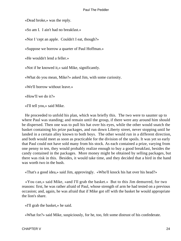«Dead broke,» was the reply.

«So am I. I ain't had no breakfast.»

«Nor I 'cept an apple. Couldn't I eat, though?»

«Suppose we borrow a quarter of Paul Hoffman.»

«He wouldn't lend a feller.»

«Not if he knowed it,» said Mike, significantly.

«What do you mean, Mike?» asked Jim, with some curiosity.

«We'll borrow without leave.»

«How'll we do it?»

«I'll tell you,» said Mike.

 He proceeded to unfold his plan, which was briefly this. The two were to saunter up to where Paul was standing; and remain until the group, if there were any around him should be dispersed. Then one was to pull his hat over his eyes, while the other would snatch the basket containing his prize packages, and run down Liberty street, never stopping until he landed in a certain alley known to both boys. The other would run in a different direction, and both would meet as soon as practicable for the division of the spoils. It was yet so early that Paul could not have sold many from his stock. As each contained a prize, varying from one penny to ten, they would probably realize enough to buy a good breakfast, besides the candy contained in the packages. More money might be obtained by selling packages, but there was risk in this. Besides, it would take time, and they decided that a bird in the hand was worth two in the bush.

«That's a good idea,» said Jim, approvingly. «Who'll knock his hat over his head?»

 «You can,» said Mike, «and I'll grab the basket.» But to this Jim demurred, for two reasons: first, he was rather afraid of Paul, whose strength of arm he had tested on a previous occasion; and, again, he was afraid that if Mike got off with the basket he would appropriate the lion's share.

«I'll grab the basket,» he said.

«What for?» said Mike, suspiciously, for he, too, felt some distrust of his confederate.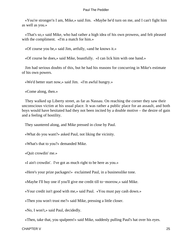«You're stronger'n I am, Mike,» said Jim. «Maybe he'd turn on me, and I can't fight him as well as you.»

 «That's so,» said Mike, who had rather a high idea of his own prowess, and felt pleased with the compliment. «I'm a match for him.»

«Of course you be,» said Jim, artfully, «and he knows it.»

«Of course he does,» said Mike, boastfully. «I can lick him with one hand.»

 Jim had serious doubts of this, but he had his reasons for concurring in Mike's estimate of his own powers.

«We'd better start now,» said Jim. «I'm awful hungry.»

«Come along, then.»

 They walked up Liberty street, as far as Nassau. On reaching the corner they saw their unconscious victim at his usual place. It was rather a public place for an assault, and both boys would have hesitated had they not been incited by a double motive – the desire of gain and a feeling of hostility.

They sauntered along, and Mike pressed in close by Paul.

«What do you want?» asked Paul, not liking the vicinity.

«What's that to you?» demanded Mike.

«Quit crowdin' me.»

«I ain't crowdin'. I've got as much right to be here as you.»

«Here's your prize packages!» exclaimed Paul, in a businesslike tone.

«Maybe I'll buy one if you'll give me credit till to−morrow,» said Mike.

«Your credit isn't good with me,» said Paul. «You must pay cash down.»

«Then you won't trust me?» said Mike, pressing a little closer.

«No, I won't,» said Paul, decidedly.

«Then, take that, you spalpeen!» said Mike, suddenly pulling Paul's hat over his eyes.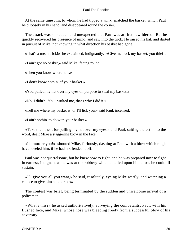At the same time Jim, to whom he had tipped a wink, snatched the basket, which Paul held loosely in his hand, and disappeared round the corner.

 The attack was so sudden and unexpected that Paul was at first bewildered. But he quickly recovered his presence of mind, and saw into the trick. He raised his hat, and darted in pursuit of Mike, not knowing in what direction his basket had gone.

«That's a mean trick!» he exclaimed, indignantly. «Give me back my basket, you thief!»

«I ain't got no basket,» said Mike, facing round.

«Then you know where it is.»

«I don't know nothin' of your basket.»

«You pulled my hat over my eyes on purpose to steal my basket.»

«No, I didn't. You insulted me, that's why I did it.»

«Tell me where my basket is, or I'll lick you,» said Paul, incensed.

«I ain't nothin' to do with your basket.»

 «Take that, then, for pulling my hat over my eyes,» and Paul, suiting the action to the word, dealt Mike a staggering blow in the face.

 «I'll murder you!» shouted Mike, furiously, dashing at Paul with a blow which might have leveled him, if he had not fended it off.

 Paul was not quarrelsome, but he knew how to fight, and he was prepared now to fight in earnest, indignant as he was at the robbery which entailed upon him a loss he could ill sustain.

 «I'll give you all you want,» he said, resolutely, eyeing Mike warily, and watching a chance to give him another blow.

 The contest was brief, being terminated by the sudden and unwelcome arrival of a policeman.

 «What's this?» he asked authoritatively, surveying the combatants; Paul, with his flushed face, and Mike, whose nose was bleeding freely from a successful blow of his adversary.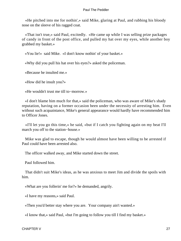«He pitched into me for nothin',» said Mike, glaring at Paul, and rubbing his bloody nose on the sleeve of his ragged coat.

 «That isn't true,» said Paul, excitedly. «He came up while I was selling prize packages of candy in front of the post office, and pulled my hat over my eyes, while another boy grabbed my basket.»

«You lie!» said Mike. «I don't know nothin' of your basket.»

«Why did you pull his hat over his eyes?» asked the policeman.

«Because he insulted me.»

«How did he insult you?»

«He wouldn't trust me till to−morrow.»

 «I don't blame him much for that,» said the policeman, who was aware of Mike's shady reputation, having on a former occasion been under the necessity of arresting him. Even without such acquaintance, Mike's general appearance would hardly have recommended him to Officer Jones.

 «I'll let you go this time,» he said, «but if I catch you fighting again on my beat I'll march you off to the station−house.»

 Mike was glad to escape, though he would almost have been willing to be arrested if Paul could have been arrested also.

The officer walked away, and Mike started down the street.

Paul followed him.

 That didn't suit Mike's ideas, as he was anxious to meet Jim and divide the spoils with him.

«What are you follerin' me for?» he demanded, angrily.

«I have my reasons,» said Paul.

«Then you'd better stay where you are. Your company ain't wanted.»

«I know that,» said Paul, «but I'm going to follow you till I find my basket.»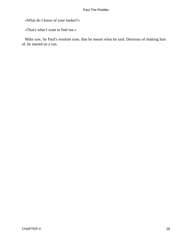«What do I know of your basket?»

«That's what I want to find out.»

 Mike saw, by Paul's resolute tone, that he meant what he said. Desirous of shaking him of, he started on a run.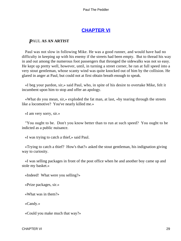# **[CHAPTER VI](#page-153-0)**

## *P*AUL **AS AN ARTIST**

 Paul was not slow in following Mike. He was a good runner, and would have had no difficulty in keeping up with his enemy if the streets had been empty. But to thread his way in and out among the numerous foot passengers that thronged the sidewalks was not so easy. He kept up pretty well, however, until, in turning a street corner, he ran at full speed into a very stout gentleman, whose scanty wind was quite knocked out of him by the collision. He glared in anger at Paul, but could not at first obtain breath enough to speak.

 «I beg your pardon, sir,» said Paul, who, in spite of his desire to overtake Mike, felt it incumbent upon him to stop and offer an apology.

 «What do you mean, sir,» exploded the fat man, at last, «by tearing through the streets like a locomotive? You've nearly killed me.»

«I am very sorry, sir.»

 "You ought to be. Don't you know better than to run at such speed? You ought to be indicted as a public nuisance.

«I was trying to catch a thief,» said Paul.

 «Trying to catch a thief? How's that?» asked the stout gentleman, his indignation giving way to curiosity.

 «I was selling packages in front of the post office when he and another boy came up and stole my basket.»

«Indeed! What were you selling?»

«Prize packages, sir.»

«What was in them?»

«Candy.»

«Could you make much that way?»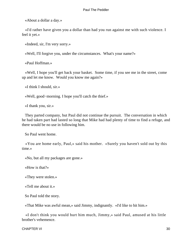«About a dollar a day.»

 «I'd rather have given you a dollar than had you run against me with such violence. I feel it yet.»

«Indeed, sir, I'm very sorry.»

«Well, I'll forgive you, under the circumstances. What's your name?»

«Paul Hoffman.»

 «Well, I hope you'll get back your basket. Some time, if you see me in the street, come up and let me know. Would you know me again?»

«I think I should, sir.»

«Well, good−morning. I hope you'll catch the thief.»

«I thank you, sir.»

 They parted company, but Paul did not continue the pursuit. The conversation in which he had taken part had lasted so long that Mike had had plenty of time to find a refuge, and there would be no use in following him.

So Paul went home.

 «You are home early, Paul,» said his mother. «Surely you haven't sold out by this time.»

«No, but all my packages are gone.»

«How is that?»

«They were stolen.»

«Tell me about it.»

So Paul told the story.

«That Mike was awful mean,» said Jimmy, indignantly. «I'd like to hit him.»

 «I don't think you would hurt him much, Jimmy,» said Paul, amused at his little brother's vehemence.

CHAPTER VI 30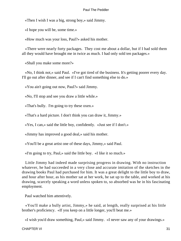«Then I wish I was a big, strong boy,» said Jimmy.

«I hope you will be, some time.»

«How much was your loss, Paul?» asked his mother.

 «There were nearly forty packages. They cost me about a dollar, but if I had sold them all they would have brought me in twice as much. I had only sold ten packages.»

«Shall you make some more?»

 «No, I think not,» said Paul. «I've got tired of the business. It's getting poorer every day. I'll go out after dinner, and see if I can't find something else to do.»

«You ain't going out now, Paul?» said Jimmy.

«No, I'll stop and see you draw a little while.»

«That's bully. I'm going to try these oxen.»

«That's a hard picture. I don't think you can draw it, Jimmy.»

«Yes, I can,» said the little boy, confidently. «Just see if I don't.»

«Jimmy has improved a good deal,» said his mother.

«You'll be a great artist one of these days, Jimmy,» said Paul.

«I'm going to try, Paul,» said the little boy. «I like it so much.»

 Little Jimmy had indeed made surprising progress in drawing. With no instruction whatever, he had succeeded in a very close and accurate imitation of the sketches in the drawing books Paul had purchased for him. It was a great delight to the little boy to draw, and hour after hour, as his mother sat at her work, he sat up to the table, and worked at his drawing, scarcely speaking a word unless spoken to, so absorbed was he in his fascinating employment.

Paul watched him attentively.

 «You'll make a bully artist, Jimmy,» he said, at length, really surprised at his little brother's proficiency. «If you keep on a little longer, you'll beat me.»

«I wish you'd draw something, Paul,» said Jimmy. «I never saw any of your drawings.»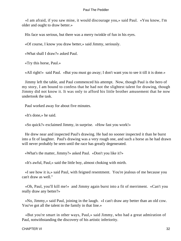«I am afraid, if you saw mine, it would discourage you,» said Paul. «You know, I'm older and ought to draw better.»

His face was serious, but there was a merry twinkle of fun in his eyes.

«Of course, I know you draw better,» said Jimmy, seriously.

«What shall I draw?» asked Paul.

«Try this horse, Paul.»

«All right!» said Paul. «But you must go away; I don't want you to see it till it is done.»

 Jimmy left the table, and Paul commenced his attempt. Now, though Paul is the hero of my story, I am bound to confess that he had not the slightest talent for drawing, though Jimmy did not know it. It was only to afford his little brother amusement that he now undertook the task.

Paul worked away for about five minutes.

«It's done,» he said.

«So quick?» exclaimed Jimmy, in surprise. «How fast you work!»

 He drew near and inspected Paul's drawing. He had no sooner inspected it than he burst into a fit of laughter. Paul's drawing was a very rough one, and such a horse as he had drawn will never probably be seen until the race has greatly degenerated.

«What's the matter, Jimmy?» asked Paul. «Don't you like it?»

«It's awful, Paul,» said the little boy, almost choking with mirth.

 «I see how it is,» said Paul, with feigned resentment. You're jealous of me because you can't draw as well."

 «Oh, Paul, you'll kill me!» and Jimmy again burst into a fit of merriment. «Can't you really draw any better?»

 «No, Jimmy,» said Paul, joining in the laugh. «I can't draw any better than an old cow. You've got all the talent in the family in that line.»

 «But you're smart in other ways, Paul,» said Jimmy, who had a great admiration of Paul, notwithstanding the discovery of his artistic inferiority.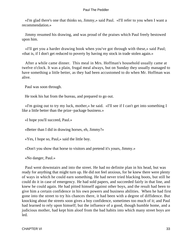«I'm glad there's one that thinks so, Jimmy,» said Paul. «I'll refer to you when I want a recommendation.»

 Jimmy resumed his drawing, and was proud of the praises which Paul freely bestowed upon him.

 «I'll get you a harder drawing book when you've got through with these,» said Paul; «that is, if I don't get reduced to poverty by having my stock in trade stolen again.»

 After a while came dinner. This meal in Mrs. Hoffman's household usually came at twelve o'clock. It was a plain, frugal meal always, but on Sunday they usually managed to have something a little better, as they had been accustomed to do when Mr. Hoffman was alive.

Paul was soon through.

He took his hat from the bureau, and prepared to go out.

 «I'm going out to try my luck, mother,» he said. «I'll see if I can't get into something I like a little better than the prize−package business.»

«I hope you'll succeed, Paul.»

«Better than I did in drawing horses, eh, Jimmy?»

«Yes, I hope so, Paul,» said the little boy.

«Don't you show that horse to visitors and pretend it's yours, Jimmy.»

«No danger, Paul.»

 Paul went downstairs and into the street. He had no definite plan in his head, but was ready for anything that might turn up. He did not feel anxious, for he knew there were plenty of ways in which he could earn something. He had never tried blacking boots, but still he could do it in case of emergency. He had sold papers, and succeeded fairly in that line, and knew he could again. He had pitted himself against other boys, and the result had been to give him a certain confidence in his own powers and business abilities. When he had first gone into the street to try his chances there, it had been with a degree of diffidence. But knocking about the streets soon gives a boy confidence, sometimes too much of it; and Paul had learned to rely upon himself; but the influence of a good, though humble home, and a judicious mother, had kept him aloof from the bad habits into which many street boys are led.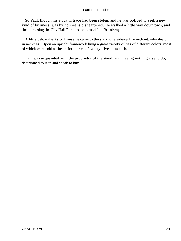So Paul, though his stock in trade had been stolen, and he was obliged to seek a new kind of business, was by no means disheartened. He walked a little way downtown, and then, crossing the City Hall Park, found himself on Broadway.

 A little below the Astor House he came to the stand of a sidewalk−merchant, who dealt in neckties. Upon an upright framework hung a great variety of ties of different colors, most of which were sold at the uniform price of twenty−five cents each.

 Paul was acquainted with the proprietor of the stand, and, having nothing else to do, determined to stop and speak to him.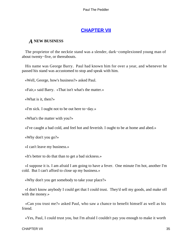# **[CHAPTER VII](#page-153-0)**

## *A* **NEW BUSINESS**

 The proprietor of the necktie stand was a slender, dark−complexioned young man of about twenty−five, or thereabouts.

 His name was George Barry. Paul had known him for over a year, and whenever he passed his stand was accustomed to stop and speak with him.

«Well, George, how's business?» asked Paul.

«Fair,» said Barry. «That isn't what's the matter.»

«What is it, then?»

«I'm sick. I ought not to be out here to−day.»

«What's the matter with you?»

«I've caught a bad cold, and feel hot and feverish. I ought to be at home and abed.»

«Why don't you go?»

«I can't leave my business.»

«It's better to do that than to get a bad sickness.»

 «I suppose it is. I am afraid I am going to have a fever. One minute I'm hot, another I'm cold. But I can't afford to close up my business.»

«Why don't you get somebody to take your place?»

 «I don't know anybody I could get that I could trust. They'd sell my goods, and make off with the money.»

 «Can you trust me?» asked Paul, who saw a chance to benefit himself as well as his friend.

«Yes, Paul, I could trust you, but I'm afraid I couldn't pay you enough to make it worth

CHAPTER VII 35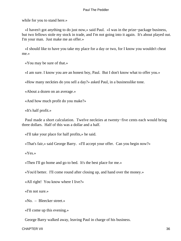while for you to stand here.»

 «I haven't got anything to do just now,» said Paul. «I was in the prize−package business, but two fellows stole my stock in trade, and I'm not going into it again. It's about played out. I'm your man. Just make me an offer.»

 «I should like to have you take my place for a day or two, for I know you wouldn't cheat me.»

«You may be sure of that.»

«I am sure. I know you are an honest boy, Paul. But I don't know what to offer you.»

«How many neckties do you sell a day?» asked Paul, in a businesslike tone.

«About a dozen on an average.»

«And how much profit do you make?»

«It's half profit.»

 Paul made a short calculation. Twelve neckties at twenty−five cents each would bring three dollars. Half of this was a dollar and a half.

«I'll take your place for half profits,» he said.

«That's fair,» said George Barry. «I'll accept your offer. Can you begin now?»

«Yes.»

«Then I'll go home and go to bed. It's the best place for me.»

«You'd better. I'll come round after closing up, and hand over the money.»

«All right! You know where I live?»

«I'm not sure.»

«No. – Bleecker street.»

«I'll come up this evening.»

George Barry walked away, leaving Paul in charge of his business.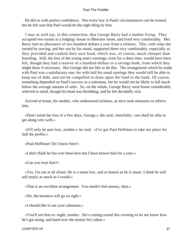He did so with perfect confidence. Not every boy in Paul's circumstances can be trusted, but he felt sure that Paul would do the right thing by him.

 I may as well say, in this connection, that George Barry had a mother living. They occupied two rooms in a lodging−house in Bleecker street, and lived very comfortably. Mrs. Barry had an allowance of two hundred dollars a year from a relation. This, with what she earned by sewing, and her son by his stand, supported them very comfortably, especially as they provided and cooked their own food, which was, of course, much cheaper than boarding. Still, the loss of the young man's earnings, even for a short time, would have been felt, though they had a reserve of a hundred dollars in a savings bank, from which they might draw if necessary. But George did not like to do this. The arrangement which he made with Paul was a satisfactory one, for with half his usual earnings they would still be able to keep out of debt, and not be compelled to draw upon the fund in the bank. Of course, something depended on Paul's success as a salesman, but he would not be likely to fall much below the average amount of sales. So, on the whole, George Barry went home considerably relieved in mind, though his head was throbbing, and he felt decidedly sick.

 Arrived at home, his mother, who understood sickness, at once took measures to relieve him.

 «Don't mind the loss of a few days, George,» she said, cheerfully; «we shall be able to get along very well.»

 «It'll only be part loss, mother,» he said. «I've got Paul Hoffman to take my place for half the profits.»

«Paul Hoffman! Do I know him?»

«I don't think he has ever been here but I have known him for a year.»

«Can you trust him?»

 «Yes, I'm not at all afraid. He is a smart boy, and as honest as he is smart. I think he will sell nearly as much as I would.»

«That is an excellent arrangement. You needn't feel uneasy, then.»

«No, the business will go on right.»

«I should like to see your salesman.»

 «You'll see him to−night, mother. He's coming round this evening to let me know how he's got along, and hand over the money he's taken.»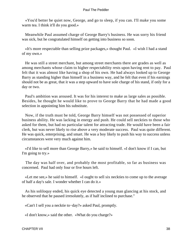«You'd better be quiet now, George, and go to sleep, if you can. I'll make you some warm tea. I think it'll do you good.»

 Meanwhile Paul assumed charge of George Barry's business. He was sorry his friend was sick, but he congratulated himself on getting into business so soon.

 «It's more respectable than selling prize packages,» thought Paul. «I wish I had a stand of my own.»

 He was still a street merchant, but among street merchants there are grades as well as among merchants whose claim to higher respectability rests upon having rent to pay. Paul felt that it was almost like having a shop of his own. He had always looked up to George Barry as standing higher than himself in a business way, and he felt that even if his earnings should not be as great, that it was a step upward to have sole charge of his stand, if only for a day or two.

 Paul's ambition was aroused. It was for his interest to make as large sales as possible. Besides, he thought he would like to prove to George Barry that he had made a good selection in appointing him his substitute.

 Now, if the truth must be told, George Barry himself was not possessed of superior business ability. He was lacking in energy and push. He could sell neckties to those who asked for them, but had no particular talent for attracting trade. He would have been a fair clerk, but was never likely to rise above a very moderate success. Paul was quite different. He was quick, enterprising, and smart. He was a boy likely to push his way to success unless circumstances were very much against him.

 «I'd like to sell more than George Barry,» he said to himself. «I don't know if I can, but I'm going to try.»

 The day was half over, and probably the most profitable, so far as business was concerned. Paul had only four or five hours left.

 «Let me see,» he said to himself. «I ought to sell six neckties to come up to the average of half a day's sale. I wonder whether I can do it.»

 As his soliloquy ended, his quick eye detected a young man glancing at his stock, and he observed that he paused irresolutely, as if half inclined to purchase."

«Can't I sell you a necktie to−day?» asked Paul, promptly.

«I don't know,» said the other. «What do you charge?»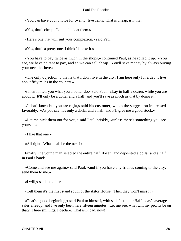«You can have your choice for twenty−five cents. That is cheap, isn't it?»

«Yes, that's cheap. Let me look at them.»

«Here's one that will suit your complexion,» said Paul.

«Yes, that's a pretty one. I think I'll take it.»

 «You have to pay twice as much in the shops,» continued Paul, as he rolled it up. «You see, we have no rent to pay, and so we can sell cheap. You'll save money by always buying your neckties here.»

 «The only objection to that is that I don't live in the city. I am here only for a day. I live about fifty miles in the country.»

 «Then I'll tell you what you'd better do,» said Paul. «Lay in half a dozen, while you are about it. It'll only be a dollar and a half, and you'll save as much as that by doing it.»

 «I don't know but you are right,» said his customer, whom the suggestion impressed favorably. «As you say, it's only a dollar and a half, and it'll give me a good stock.»

 «Let me pick them out for you,» said Paul, briskly, «unless there's something you see yourself.»

«I like that one.»

«All right. What shall be the next?»

 Finally, the young man selected the entire half−dozen, and deposited a dollar and a half in Paul's hands.

 «Come and see me again,» said Paul, «and if you have any friends coming to the city, send them to me.»

«I will,» said the other.

«Tell them it's the first stand south of the Astor House. Then they won't miss it.»

 «That's a good beginning,» said Paul to himself, with satisfaction. «Half a day's average sales already, and I've only been here fifteen minutes. Let me see, what will my profits be on that? Three shillings, I declare. That isn't bad, now!»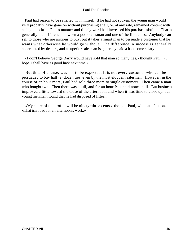Paul had reason to be satisfied with himself. If he had not spoken, the young man would very probably have gone on without purchasing at all, or, at any rate, remained content with a single necktie. Paul's manner and timely word had increased his purchase sixfold. That is generally the difference between a poor salesman and one of the first class. Anybody can sell to those who are anxious to buy; but it takes a smart man to persuade a customer that he wants what otherwise he would go without. The difference in success is generally appreciated by dealers, and a superior salesman is generally paid a handsome salary.

 «I don't believe George Barry would have sold that man so many ties,» thought Paul. «I hope I shall have as good luck next time.»

 But this, of course, was not to be expected. It is not every customer who can be persuaded to buy half−a−dozen ties, even by the most eloquent salesman. However, in the course of an hour more, Paul had sold three more to single customers. Then came a man who bought two. Then there was a lull, and for an hour Paul sold none at all. But business improved a little toward the close of the afternoon, and when it was time to close up, our young merchant found that he had disposed of fifteen.

 «My share of the profits will be ninety−three cents,» thought Paul, with satisfaction. «That isn't bad for an afternoon's work.»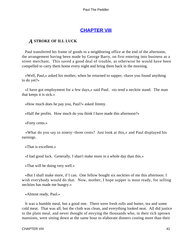## **[CHAPTER VIII](#page-153-0)**

### *A* **STROKE OF ILL LUCK**

 Paul transferred his frame of goods to a neighboring office at the end of the afternoon, the arrangement having been made by George Barry, on first entering into business as a street merchant. This saved a good deal of trouble, as otherwise he would have been compelled to carry them home every night and bring them back in the morning.

 «Well, Paul,» asked his mother, when he returned to supper, «have you found anything to do yet?»

 «I have got employment for a few days,» said Paul. «to tend a necktie stand. The man that keeps it is sick.»

«How much does he pay you, Paul?» asked Jimmy.

«Half the profits. How much do you think I have made this afternoon?»

«Forty cents.»

 «What do you say to ninety−three cents? Just look at this,» and Paul displayed his earnings.

«That is excellent.»

«I had good luck. Generally, I shan't make more in a whole day than this.»

«That will be doing very well.»

 «But I shall make more, if I can. One fellow bought six neckties of me this afternoon. I wish everybody would do that. Now, mother, I hope supper is most ready, for selling neckties has made me hungry.»

«Almost ready, Paul.»

 It was a humble meal, but a good one. There were fresh rolls and butter, tea and some cold meat. That was all; but the cloth was clean, and everything looked neat. All did justice to the plain meal, and never thought of envying the thousands who, in their rich uptown mansions, were sitting down at the same hour to elaborate dinners costing more than their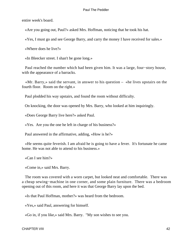entire week's board.

«Are you going out, Paul?» asked Mrs. Hoffman, noticing that he took his hat.

«Yes, I must go and see George Barry, and carry the money I have received for sales.»

«Where does he live?»

«In Bleecker street. I shan't be gone long.»

 Paul reached the number which had been given him. It was a large, four−story house, with the appearance of a barracks.

«Mr. Barry,» said the servant, in answer to his question  $-$  «he lives upstairs on the fourth floor. Room on the right.»

Paul plodded his way upstairs, and found the room without difficulty.

On knocking, the door was opened by Mrs. Barry, who looked at him inquiringly.

«Does George Barry live here?» asked Paul.

«Yes. Are you the one he left in charge of his business?»

Paul answered in the affirmative, adding, «How is he?»

 «He seems quite feverish. I am afraid he is going to have a fever. It's fortunate he came home. He was not able to attend to his business.»

«Can I see him?»

«Come in,» said Mrs. Barry.

 The room was covered with a worn carpet, but looked neat and comfortable. There was a cheap sewing−machine in one corner, and some plain furniture. There was a bedroom opening out of this room, and here it was that George Barry lay upon the bed.

«Is that Paul Hoffman, mother?» was heard from the bedroom.

«Yes,» said Paul, answering for himself.

«Go in, if you like,» said Mrs. Barry. "My son wishes to see you.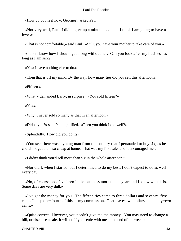«How do you feel now, George?» asked Paul.

 «Not very well, Paul. I didn't give up a minute too soon. I think I am going to have a fever.»

«That is not comfortable,» said Paul. «Still, you have your mother to take care of you.»

 «I don't know how I should get along without her. Can you look after my business as long as I am sick?»

«Yes; I have nothing else to do.»

«Then that is off my mind. By the way, how many ties did you sell this afternoon?»

«Fifteen.»

«What!» demanded Barry, in surprise. «You sold fifteen?»

«Yes.»

«Why, I never sold so many as that in an afternoon.»

«Didn't you?» said Paul, gratified. «Then you think I did well?»

«Splendidly. How did you do it?»

 «You see, there was a young man from the country that I persuaded to buy six, as he could not get them so cheap at home. That was my first sale, and it encouraged me.»

«I didn't think you'd sell more than six in the whole afternoon.»

 «Nor did I, when I started; but I determined to do my best. I don't expect to do as well every day.»

 «No, of course not. I've been in the business more than a year; and I know what it is. Some days are very dull.»

 «I've got the money for you. The fifteen ties came to three dollars and seventy−five cents. I keep one−fourth of this as my commission. That leaves two dollars and eighty−two cents.»

 «Quite correct. However, you needn't give me the money. You may need to change a bill, or else lose a sale. It will do if you settle with me at the end of the week.»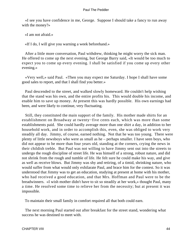«I see you have confidence in me, George. Suppose I should take a fancy to run away with the money?»

«I am not afraid.»

«If I do, I will give you warning a week beforehand.»

 After a little more conversation, Paul withdrew, thinking he might worry the sick man. He offered to come up the next evening, but George Barry said, «It would be too much to expect you to come up every evening. I shall be satisfied if you come up every other evening.»

 «Very well,» said Paul. «Then you may expect me Saturday. I hope I shall have some good sales to report, and that I shall find you better.»

 Paul descended to the street, and walked slowly homeward. He couldn't help wishing that the stand was his own, and the entire profits his. This would double his income, and enable him to save up money. At present this was hardly possible. His own earnings had been, and were likely to continue, very fluctuating.

 Still, they constituted the main support of the family. His mother made shirts for an establishment on Broadway at twenty−five cents each, which was more than some establishments paid. She could hardly average more than one shirt a day, in addition to her household work, and in order to accomplish this, even, she was obliged to work very steadily all day. Jimmy, of course, earned nothing. Not that he was too young. There were plenty of little newsboys who were as small as he – perhaps smaller. I have seen boys, who did not appear to be more than four years old, standing at the corners, crying the news in their childish treble. But Paul was not willing to have Jimmy sent out into the streets to undergo the rough discipline of street life. He was himself of a strong, robust nature, and did not shrink from the rough and tumble of life. He felt sure he could make his way, and give as well as receive blows. But Jimmy was shy and retiring, of a timid, shrinking nature, who would suffer from what would only exhilarate Paul, and brace him for the contest. So it was understood that Jimmy was to get an education, studying at present at home with his mother, who had received a good education, and that Mrs. Hoffman and Paul were to be the breadwinners. «I wish mother didn't have to sit so steadily at her work,» thought Paul, many a time. He resolved some time to relieve her from the necessity; but at present it was impossible.

To maintain their small family in comfort required all that both could earn.

 The next morning Paul started out after breakfast for the street stand, wondering what success he was destined to meet with.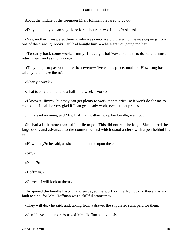About the middle of the forenoon Mrs. Hoffman prepared to go out.

«Do you think you can stay alone for an hour or two, Jimmy?» she asked.

 «Yes, mother,» answered Jimmy, who was deep in a picture which he was copying from one of the drawing−books Paul had bought him. «Where are you going mother?»

 «To carry back some work, Jimmy. I have got half−a−dozen shirts done, and must return them, and ask for more.»

 «They ought to pay you more than twenty−five cents apiece, mother. How long has it taken you to make them?»

«Nearly a week.»

«That is only a dollar and a half for a week's work.»

 «I know it, Jimmy; but they can get plenty to work at that price, so it won't do for me to complain. I shall be very glad if I can get steady work, even at that price.»

Jimmy said no more, and Mrs. Hoffman, gathering up her bundle, went out.

 She had a little more than half a mile to go. This did not require long. She entered the large door, and advanced to the counter behind which stood a clerk with a pen behind his ear.

«How many?» he said, as she laid the bundle upon the counter.

«Six.»

«Name?»

«Hoffman.»

«Correct. I will look at them.»

 He opened the bundle hastily, and surveyed the work critically. Luckily there was no fault to find, for Mrs. Hoffman was a skillful seamstress.

«They will do,» he said, and, taking from a drawer the stipulated sum, paid for them.

«Can I have some more?» asked Mrs. Hoffman, anxiously.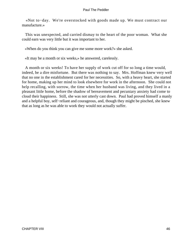«Not to−day. We're overstocked with goods made up. We must contract our manufacture.»

 This was unexpected, and carried dismay to the heart of the poor woman. What she could earn was very little but it was important to her.

«When do you think you can give me some more work?» she asked.

«It may be a month or six weeks,» he answered, carelessly.

 A month or six weeks! To have her supply of work cut off for so long a time would, indeed, be a dire misfortune. But there was nothing to say. Mrs. Hoffman knew very well that no one in the establishment cared for her necessities. So, with a heavy heart, she started for home, making up her mind to look elsewhere for work in the afternoon. She could not help recalling, with sorrow, the time when her husband was living, and they lived in a pleasant little home, before the shadow of bereavement and pecuniary anxiety had come to cloud their happiness. Still, she was not utterly cast down. Paul had proved himself a manly and a helpful boy, self−reliant and courageous, and, though they might be pinched, she knew that as long as he was able to work they would not actually suffer.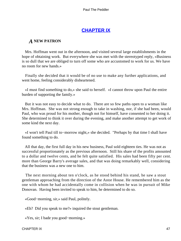## **[CHAPTER IX](#page-153-0)**

## *A* **NEW PATRON**

 Mrs. Hoffman went out in the afternoon, and visited several large establishments in the hope of obtaining work. But everywhere she was met with the stereotyped reply, «Business is so dull that we are obliged to turn off some who are accustomed to work for us. We have no room for new hands.»

 Finally she decided that it would be of no use to make any further applications, and went home, feeling considerably disheartened.

 «I must find something to do,» she said to herself. «I cannot throw upon Paul the entire burden of supporting the family.»

 But it was not easy to decide what to do. There are so few paths open to a woman like Mrs. Hoffman. She was not strong enough to take in washing, nor, if she had been, would Paul, who was proud for his mother, though not for himself, have consented to her doing it. She determined to think it over during the evening, and make another attempt to get work of some kind the next day.

 «I won't tell Paul till to−morrow night,» she decided. "Perhaps by that time I shall have found something to do.

 All that day, the first full day in his new business, Paul sold eighteen ties. He was not as successful proportionately as the previous afternoon. Still his share of the profits amounted to a dollar and twelve cents, and he felt quite satisfied. His sales had been fifty per cent. more than George Barry's average sales, and that was doing remarkably well, considering that the business was a new one to him.

 The next morning about ten o'clock, as he stood behind his stand, he saw a stout gentleman approaching from the direction of the Astor House. He remembered him as the one with whom he had accidentally come in collision when he was in pursuit of Mike Donovan. Having been invited to speak to him, he determined to do so.

«Good−morning, sir,» said Paul, politely.

«Eh? Did you speak to me?» inquired the stout gentleman.

«Yes, sir; I bade you good−morning.»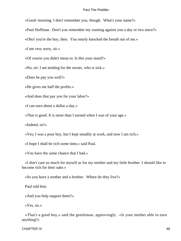«Good−morning. I don't remember you, though. What's your name?»

«Paul Hoffman. Don't you remember my running against you a day or two since?»

«Oho! you're the boy, then. You nearly knocked the breath out of me.»

«I am very sorry, sir.»

«Of course you didn't mean to. Is this your stand?»

«No, sir; I am tending for the owner, who is sick.»

«Does he pay you well?»

«He gives me half the profits.»

«And does that pay you for your labor?»

«I can earn about a dollar a day.»

«That is good. It is more than I earned when I was of your age.»

«Indeed, sir!»

«Yes; I was a poor boy, but I kept steadily at work, and now I am rich.»

«I hope I shall be rich some time,» said Paul.

«You have the same chance that I had.»

 «I don't care so much for myself as for my mother and my little brother. I should like to become rich for their sake.»

«So you have a mother and a brother. Where do they live?»

Paul told him.

«And you help support them?»

«Yes, sir.»

 «That's a good boy,» said the gentleman, approvingly. «Is your mother able to earn anything?»

CHAPTER IX 48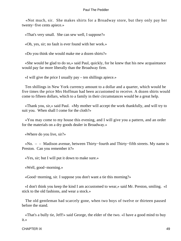«Not much, sir. She makes shirts for a Broadway store, but they only pay her twenty−five cents apiece.»

«That's very small. She can sew well, I suppose?»

«Oh, yes, sir; no fault is ever found with her work.»

«Do you think she would make me a dozen shirts?»

 «She would be glad to do so,» said Paul, quickly, for he knew that his new acquaintance would pay far more liberally than the Broadway firm.

«I will give the price I usually pay – ten shillings apiece.»

 Ten shillings in New York currency amount to a dollar and a quarter, which would be five times the price Mrs Hoffman had been accustomed to receive. A dozen shirts would come to fifteen dollars, which to a family in their circumstances would be a great help.

 «Thank you, sir,» said Paul. «My mother will accept the work thankfully, and will try to suit you. When shall I come for the cloth?»

 «You may come to my house this evening, and I will give you a pattern, and an order for the materials on a dry goods dealer in Broadway.»

«Where do you live, sir?»

 «No. – – Madison avenue, between Thirty−fourth and Thirty−fifth streets. My name is Preston. Can you remember it?»

«Yes, sir; but I will put it down to make sure.»

«Well, good−morning.»

«Good−morning, sir. I suppose you don't want a tie this morning?»

 «I don't think you keep the kind I am accustomed to wear,» said Mr. Preston, smiling. «I stick to the old fashions, and wear a stock.»

 The old gentleman had scarcely gone, when two boys of twelve or thirteen paused before the stand.

 «That's a bully tie, Jeff!» said George, the elder of the two. «I have a good mind to buy it.»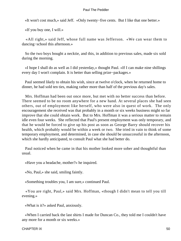«It won't cost much,» said Jeff. «Only twenty−five cents. But I like that one better.»

«If you buy one, I will.»

 «All right,» said Jeff, whose full name was Jefferson. «We can wear them to dancing−school this afternoon.»

 So the two boys bought a necktie, and this, in addition to previous sales, made six sold during the morning.

 «I hope I shall do as well as I did yesterday,» thought Paul. «If I can make nine shillings every day I won't complain. It is better than selling prize−packages.»

 Paul seemed likely to obtain his wish, since at twelve o'clock, when he returned home to dinner, he had sold ten ties, making rather more than half of the previous day's sales.

 Mrs. Hoffman had been out once more, but met with no better success than before. There seemed to be no room anywhere for a new hand. At several places she had seen others, out of employment like herself, who were also in quest of work. The only encouragement she received was that probably in a month or six weeks business might so far improve that she could obtain work. But to Mrs. Hoffman it was a serious matter to remain idle even four weeks. She reflected that Paul's present employment was only temporary, and that he would be forced to give up his post as soon as George Barry should recover his health, which probably would be within a week or two. She tried in vain to think of some temporary employment, and determined, in case she should be unsuccessful in the afternoon, which she hardly anticipated, to consult Paul what she had better do.

 Paul noticed when he came in that his mother looked more sober and thoughtful than usual.

«Have you a headache, mother?» he inquired.

«No, Paul,» she said, smiling faintly.

«Something troubles you, I am sure,» continued Paul.

 «You are right, Paul,» said Mrs. Hoffman, «though I didn't mean to tell you till evening.»

«What is it?» asked Paul, anxiously.

 «When I carried back the last shirts I made for Duncan Co., they told me I couldn't have any more for a month or six weeks.»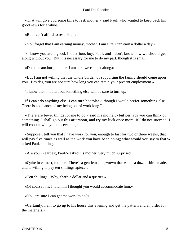«That will give you some time to rest, mother,» said Paul, who wanted to keep back his good news for a while.

«But I can't afford to rest, Paul.»

«You forget that I am earning money, mother. I am sure I can earn a dollar a day.»

 «I know you are a good, industrious boy, Paul, and I don't know how we should get along without you. But it is necessary for me to do my part, though it is small.»

«Don't be anxious, mother; I am sure we can get along.»

 «But I am not willing that the whole burden of supporting the family should come upon you. Besides, you are not sure how long you can retain your present employment.»

"I know that, mother; but something else will be sure to turn up.

 If I can't do anything else, I can turn bootblack, though I would prefer something else. There is no chance of my being out of work long."

 «There are fewer things for me to do,» said his mother, «but perhaps you can think of something. I shall go out this afternoon, and try my luck once more. If I do not succeed, I will consult with you this evening.»

 «Suppose I tell you that I have work for you, enough to last for two or three weeks, that will pay five times as well as the work you have been doing; what would you say to that?» asked Paul, smiling.

«Are you in earnest, Paul?» asked his mother, very much surprised.

 «Quite in earnest, mother. There's a gentleman up−town that wants a dozen shirts made, and is willing to pay ten shillings apiece.»

«Ten shillings! Why, that's a dollar and a quarter.»

«Of course it is. I told him I thought you would accommodate him.»

«You are sure I can get the work to do?»

 «Certainly. I am to go up to his house this evening and get the pattern and an order for the materials.»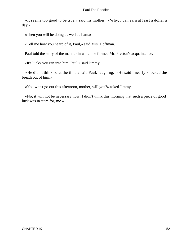«It seems too good to be true,» said his mother. «Why, I can earn at least a dollar a day.»

«Then you will be doing as well as I am.»

«Tell me how you heard of it, Paul,» said Mrs. Hoffman.

Paul told the story of the manner in which he formed Mr. Preston's acquaintance.

«It's lucky you ran into him, Paul,» said Jimmy.

 «He didn't think so at the time,» said Paul, laughing. «He said I nearly knocked the breath out of him.»

«You won't go out this afternoon, mother, will you?» asked Jimmy.

 «No, it will not be necessary now; I didn't think this morning that such a piece of good luck was in store for, me.»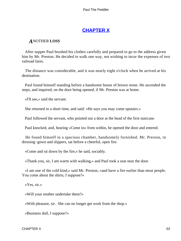# **[CHAPTER X](#page-153-0)**

### *A*NOTHER **LOSS**

 After supper Paul brushed his clothes carefully and prepared to go to the address given him by Mr. Preston. He decided to walk one way, not wishing to incur the expenses of two railroad fares.

 The distance was considerable, and it was nearly eight o'clock when he arrived at his destination.

 Paul found himself standing before a handsome house of brown stone. He ascended the steps, and inquired, on the door being opened, if Mr. Preston was at home.

«I'll see,» said the servant.

She returned in a short time, and said: «He says you may come upstairs.»

Paul followed the servant, who pointed out a door at the head of the first staircase.

Paul knocked, and, hearing «Come in» from within, he opened the door and entered.

 He found himself in a spacious chamber, handsomely furnished. Mr. Preston, in dressing−gown and slippers, sat before a cheerful, open fire.

«Come and sit down by the fire,» he said, sociably.

«Thank you, sir, I am warm with walking,» and Paul took a seat near the door.

 «I am one of the cold kind,» said Mr. Preston, «and have a fire earlier than most people. You come about the shirts, I suppose?»

«Yes, sir.»

«Will your mother undertake them?»

«With pleasure, sir. She can no longer get work from the shop.»

«Business dull, I suppose?»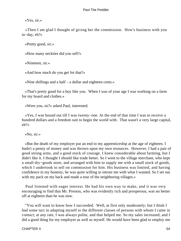«Yes, sir.»

 «Then I am glad I thought of giving her the commission. How's business with you to−day, eh?»

«Pretty good, sir.»

«How many neckties did you sell?»

«Nineteen, sir.»

«And how much do you get for that?»

«Nine shillings and a half – a dollar and eighteen cents.»

 «That's pretty good for a boy like you. When I was of your age I was working on a farm for my board and clothes.»

«Were you, sir?» asked Paul, interested.

 «Yes, I was bound out till I was twenty−one. At the end of that time I was to receive a hundred dollars and a freedom suit to begin the world with. That wasn't a very large capital, eh?»

«No, sir.»

 «But the death of my employer put an end to my apprenticeship at the age of eighteen. I hadn't a penny of money and was thrown upon my own resources. However, I had a pair of good strong arms, and a good stock of courage. I knew considerable about farming, but I didn't like it. I thought I should like trade better. So I went to the village merchant, who kept a small dry−goods store, and arranged with him to supply me with a small stock of goods, which I undertook to sell on commission for him. His business was limited, and having confidence in my honesty, he was quite willing to intrust me with what I wanted. So I set out with my pack on my back and made a tour of the neighboring villages.»

 Paul listened with eager interest. He had his own way to make, and it was very encouraging to find that Mr. Preston, who was evidently rich and prosperous, was no better off at eighteen than he was now.

 "You will want to know how I succeeded. Well, at first only moderately; but I think I had some tact in adapting myself to the different classes of persons with whom I came in contact; at any rate, I was always polite, and that helped me. So my sales increased, and I did a good thing for my employer as well as myself. He would have been glad to employ me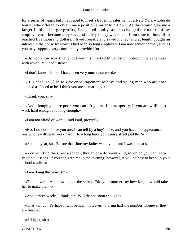for a series of years, but I happened to meet a traveling salesman of a New York wholesale house, who offered to obtain me a position similar to his own. As this would give me a larger field and larger profits, I accepted gladly, and so changed the nature of my employment. I became very successful. My salary was raised from time to time, till it reached five thousand dollars. I lived frugally and saved money, and at length bought an interest in the house by which I had been so long employed. I am now senior partner, and, as you may suppose, very comfortably provided for.

 «Do you know why I have told you this?» asked Mr. Preston, noticing the eagerness with which Paul had listened.

«I don't know, sir; but I have been very much interested.»

 «It is because I like to give encouragement to boys and young men who are now situated as I used to be. I think you are a smart boy.»

«Thank you, sir.»

 «And, though you are poor, you can lift yourself to prosperity, if you are willing to work hard enough and long enough.»

«I am not afraid of work,» said Paul, promptly.

 «No, I do not believe you are. I can tell by a boy's face, and you have the appearance of one who is willing to work hard. How long have you been a street peddler?»

«About a year, sir. Before that time my father was living, and I was kept at school.»

 «You will find the street a school, though of a different kind, in which you can learn valuable lessons. If you can get time in the evening, however, it will be best to keep up your school studies.»

«I am doing that now, sir.»

 «That is well. And now, about the shirts. Did your mother say how long it would take her to make them?»

«About three weeks, I think, sir. Will that be soon enough?»

 «That will do. Perhaps it will be well, however, to bring half the number whenever they are finished.»

«All right, sir.»

 $CHAPTER X$  55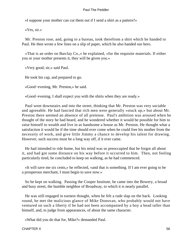«I suppose your mother can cut them out if I send a shirt as a pattern?»

«Yes, sir.»

 Mr. Preston rose, and, going to a bureau, took therefrom a shirt which he handed to Paul. He then wrote a few lines on a slip of paper, which he also handed our hero.

 «That is an order on Barclay Co.,» he explained, «for the requisite materials. If either you or your mother presents it, they will be given you.»

«Very good, sir,» said Paul.

He took his cap, and prepared to go.

«Good−evening, Mr. Preston,» he said.

«Good−evening. I shall expect you with the shirts when they are ready.»

 Paul went downstairs and into the street, thinking that Mr. Preston was very sociable and agreeable. He had fancied that rich men were generally «stuck up,» but about Mr. Preston there seemed an absence of all pretense. Paul's ambition was aroused when he thought of the story he had heard, and he wondered whether it would be possible for him to raise himself to wealth and live in as handsome a house as Mr. Preston. He thought what a satisfaction it would be if the time should ever come when he could free his mother from the necessity of work, and give little Jimmy a chance to develop his talent for drawing. However, such success must be a long way off, if it ever came.

 He had intended to ride home, but his mind was so preoccupied that he forgot all about it, and had got some distance on his way before it occurred to him. Then, not feeling particularly tired, he concluded to keep on walking, as he had commenced.

 «It will save me six cents,» he reflected, «and that is something. If I am ever going to be a prosperous merchant, I must begin to save now.»

 So he kept on walking. Passing the Cooper Institute, he came into the Bowery, a broad and busy street, the humble neighbor of Broadway, to which it is nearly parallel.

 He was still engaged in earnest thought, when he felt a rude slap on the back. Looking round, he met the malicious glance of Mike Donovan, who probably would not have ventured on such a liberty if he had not been accompanied by a boy a head taller than himself, and, to judge from appearances, of about the same character.

«What did you do that for, Mike?» demanded Paul.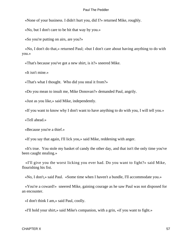«None of your business. I didn't hurt you, did I?» returned Mike, roughly.

«No, but I don't care to be hit that way by you.»

«So you're putting on airs, are you?»

 «No, I don't do that,» returned Paul; «but I don't care about having anything to do with you.»

«That's because you've got a new shirt, is it?» sneered Mike.

«It isn't mine.»

«That's what I thought. Who did you steal it from?»

«Do you mean to insult me, Mike Donovan?» demanded Paul, angrily.

«Just as you like,» said Mike, independently.

«If you want to know why I don't want to have anything to do with you, I will tell you.»

«Tell ahead.»

«Because you're a thief.»

«If you say that again, I'll lick you,» said Mike, reddening with anger.

 «It's true. You stole my basket of candy the other day, and that isn't the only time you've been caught stealing.»

 «I'll give you the worst licking you ever had. Do you want to fight?» said Mike, flourishing his fist.

«No, I don't,» said Paul. «Some time when I haven't a bundle, I'll accommodate you.»

 «You're a coward!» sneered Mike, gaining courage as he saw Paul was not disposed for an encounter.

«I don't think I am,» said Paul, coolly.

«I'll hold your shirt,» said Mike's companion, with a grin, «if you want to fight.»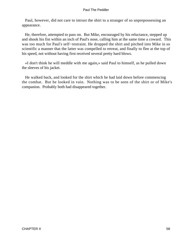Paul, however, did not care to intrust the shirt to a stranger of so unprepossessing an appearance.

 He, therefore, attempted to pass on. But Mike, encouraged by his reluctance, stepped up and shook his fist within an inch of Paul's nose, calling him at the same time a coward. This was too much for Paul's self−restraint. He dropped the shirt and pitched into Mike in so scientific a manner that the latter was compelled to retreat, and finally to flee at the top of his speed, not without having first received several pretty hard blows.

 «I don't think he will meddle with me again,» said Paul to himself, as he pulled down the sleeves of his jacket.

 He walked back, and looked for the shirt which he had laid down before commencing the combat. But he looked in vain. Nothing was to be seen of the shirt or of Mike's companion. Probably both had disappeared together.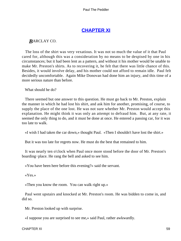## **[CHAPTER XI](#page-153-0)**

## *B*ARCLAY CO.

 The loss of the shirt was very vexatious. It was not so much the value of it that Paul cared for, although this was a consideration by no means to be despised by one in his circumstances; but it had been lent as a pattern, and without it his mother would be unable to make Mr. Preston's shirts. As to recovering it, he felt that there was little chance of this. Besides, it would involve delay, and his mother could not afford to remain idle. Paul felt decidedly uncomfortable. Again Mike Donovan had done him an injury, and this time of a more serious nature than before.

What should he do?

 There seemed but one answer to this question. He must go back to Mr. Preston, explain the manner in which he had lost his shirt, and ask him for another, promising, of course, to supply the place of the one lost. He was not sure whether Mr. Preston would accept this explanation. He might think it was only an attempt to defraud him. But, at any rate, it seemed the only thing to do, and it must be done at once. He entered a passing car, for it was too late to walk.

«I wish I had taken the car down,» thought Paul. «Then I shouldn't have lost the shirt.»

But it was too late for regrets now. He must do the best that remained to him.

 It was nearly ten o'clock when Paul once more stood before the door of Mr. Preston's boarding−place. He rang the bell and asked to see him.

«You have been here before this evening?» said the servant.

«Yes.»

«Then you know the room. You can walk right up.»

 Paul went upstairs and knocked at Mr. Preston's room. He was bidden to come in, and did so.

Mr. Preston looked up with surprise.

«I suppose you are surprised to see me,» said Paul, rather awkwardly.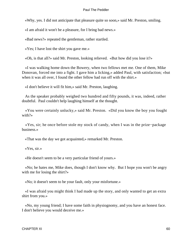«Why, yes. I did not anticipate that pleasure quite so soon,» said Mr. Preston, smiling.

«I am afraid it won't be a pleasure, for I bring bad news.»

«Bad news?» repeated the gentleman, rather startled.

«Yes; I have lost the shirt you gave me.»

«Oh, is that all?» said Mr. Preston, looking relieved. «But how did you lose it?»

 «I was walking home down the Bowery, when two fellows met me. One of them, Mike Donovan, forced me into a fight. I gave him a licking,» added Paul, with satisfaction; «but when it was all over. I found the other fellow had run off with the shirt.»

«I don't believe it will fit him,» said Mr. Preston, laughing.

 As the speaker probably weighed two hundred and fifty pounds, it was, indeed, rather doubtful. Paul couldn't help laughing himself at the thought.

 «You were certainly unlucky,» said Mr. Preston. «Did you know the boy you fought with?»

 «Yes, sir; he once before stole my stock of candy, when I was in the prize−package business.»

«That was the day we got acquainted,» remarked Mr. Preston.

«Yes, sir.»

«He doesn't seem to be a very particular friend of yours.»

 «No; he hates me, Mike does, though I don't know why. But I hope you won't be angry with me for losing the shirt?»

«No; it doesn't seem to be your fault, only your misfortune.»

 «I was afraid you might think I had made up the story, and only wanted to get an extra shirt from you.»

 «No, my young friend; I have some faith in physiognomy, and you have an honest face. I don't believe you would deceive me.»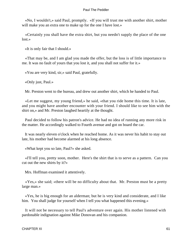«No, I wouldn't,» said Paul, promptly. «If you will trust me with another shirt, mother will make you an extra one to make up for the one I have lost.»

 «Certainly you shall have the extra shirt, but you needn't supply the place of the one lost.»

«It is only fair that I should.»

 «That may be, and I am glad you made the offer, but the loss is of little importance to me. It was no fault of yours that you lost it, and you shall not suffer for it.»

«You are very kind, sir,» said Paul, gratefully.

«Only just, Paul.»

Mr. Preston went to the bureau, and drew out another shirt, which he handed to Paul.

 «Let me suggest, my young friend,» he said, «that you ride home this time. It is late, and you might have another encounter with your friend. I should like to see him with the shirt on,» and Mr. Preston laughed heartily at the thought.

 Paul decided to follow his patron's advice. He had no idea of running any more risk in the matter. He accordingly walked to Fourth avenue and got on board the car.

 It was nearly eleven o'clock when he reached home. As it was never his habit to stay out late, his mother had become alarmed at his long absence.

«What kept you so late, Paul?» she asked.

 «I'll tell you, pretty soon, mother. Here's the shirt that is to serve as a pattern. Can you cut out the new shirts by it?»

Mrs. Hoffman examined it attentively.

 «Yes,» she said; «there will be no difficulty about that. Mr. Preston must be a pretty large man.»

 «Yes, he is big enough for an alderman; but he is very kind and considerate, and I like him. You shall judge for yourself when I tell you what happened this evening.»

 It will not be necessary to tell Paul's adventure over again. His mother listened with pardonable indignation against Mike Donovan and his companion.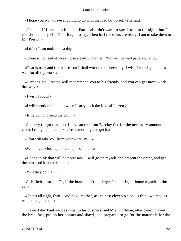«I hope you won't have anything to do with that bad boy, Paul,» she said.

 «I shan't, if I can help it,» said Paul. «I didn't want to speak to him to−night, but I couldn't help myself. Oh, I forgot to say, when half the shirts are ready, I am to take them to Mr. Preston.»

«I think I can make one a day.»

«There is no need of working so steadily, mother. You will be well paid, you know.»

 «That is true; and for that reason I shall work more cheerfully. I wish I could get paid as well for all my work.»

 «Perhaps Mr. Preston will recommend you to his friends, and you can get more work that way.»

«I wish I could.»

«I will mention it to him, when I carry back the last half dozen.»

«Is he going to send the cloth?»

 «I nearly forgot that, too. I have an order on Barclay Co. for the necessary amount of cloth. I can go up there to−morrow morning and get it.»

«That will take you from your work, Paul.»

«Well, I can close up for a couple of hours.»

 «I don't think that will be necessary. I will go up myself and present the order, and get them to send it home for me.»

«Will they do that?»

 «It is their custom. Or, if the bundle isn't too large. I can bring it home myself in the car.»

 «That's all right, then. And now, mother, as it's past eleven o'clock, I think we may as well both go to bed.»

 The next day Paul went as usual to his business, and Mrs. Hoffman, after clearing away the breakfast, put on her bonnet and shawl, and prepared to go for the materials for the shirts.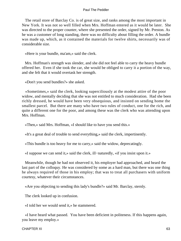The retail store of Barclay Co. is of great size, and ranks among the most important in New York. It was not so well filled when Mrs. Hoffman entered as it would be later. She was directed to the proper counter, where she presented the order, signed by Mr. Preston. As he was a customer of long standing, there was no difficulty about filling the order. A bundle was made up, which, as it contained the materials for twelve shirts, necessarily was of considerable size.

«Here is your bundle, ma'am,» said the clerk.

 Mrs. Hoffman's strength was slender, and she did not feel able to carry the heavy bundle offered her. Even if she took the car, she would be obliged to carry it a portion of the way, and she felt that it would overtask her strength.

«Don't you send bundles?» she asked.

 «Sometimes,» said the clerk, looking superciliously at the modest attire of the poor widow, and mentally deciding that she was not entitled to much consideration. Had she been richly dressed, he would have been very obsequious, and insisted on sending home the smallest parcel. But there are many who have two rules of conduct, one for the rich, and quite a different one for the poor, and among these was the clerk who was attending upon Mrs. Hoffman.

«Then,» said Mrs. Hoffman, «I should like to have you send this.»

«It's a great deal of trouble to send everything,» said the clerk, impertinently.

«This bundle is too heavy for me to carry,» said the widow, deprecatingly.

«I suppose we can send it,» said the clerk, ill−naturedly, «if you insist upon it.»

 Meanwhile, though he had not observed it, his employer had approached, and heard the last part of the colloquy. He was considered by some as a hard man, but there was one thing he always required of those in his employ; that was to treat all purchasers with uniform courtesy, whatever their circumstances.

«Are you objecting to sending this lady's bundle?» said Mr. Barclay, sternly.

The clerk looked up in confusion.

«I told her we would send it,» he stammered.

 «I have heard what passed. You have been deficient in politeness. If this happens again, you leave my employ.»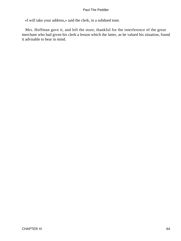«I will take your address,» said the clerk, in a subdued tone.

 Mrs. Hoffman gave it, and left the store, thankful for the interference of the great merchant who had given his clerk a lesson which the latter, as he valued his situation, found it advisable to bear in mind.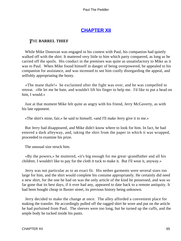# **[CHAPTER XII](#page-153-0)**

### *T*HE **BARREL THIEF**

 While Mike Donovan was engaged in his contest with Paul, his companion had quietly walked off with the shirt. It mattered very little to him which party conquered, as long as he carried off the spoils. His conduct in the premises was quite as unsatisfactory to Mike as it was to Paul. When Mike found himself in danger of being overpowered, he appealed to his companion for assistance, and was incensed to see him coolly disregarding the appeal, and selfishly appropriating the booty.

 «The mane thafe!» he exclaimed after the fight was over, and he was compelled to retreat. «He let me be bate, and wouldn't lift his finger to help me. I'd like to put a head on him, I would.»

 Just at that moment Mike felt quite as angry with his friend, Jerry McGaverty, as with his late opponent.

«The shirt's mine, fair,» he said to himself, «and I'll make Jerry give it to me.»

 But Jerry had disappeared, and Mike didn't know where to look for him. In fact, he had entered a dark alleyway, and, taking the shirt from the paper in which it was wrapped, proceeded to examine his prize.

The unusual size struck him.

 «By the powers,» he muttered, «it's big enough for me great−grandfather and all his children. I wouldn't like to pay for the cloth it tuck to make it. But I'll wear it, anyway.»

 Jerry was not particular as to an exact fit. His nether garments were several sizes too large for him, and the shirt would complete his costume appropriately. He certainly did need a new shirt, for the one he had on was the only article of the kind he possessed, and was so far gone that its best days, if it ever had any, appeared to date back to a remote antiquity. It had been bought cheap in Baxter street, its previous history being unknown.

 Jerry decided to make the change at once. The alley afforded a convenient place for making the transfer. He accordingly pulled off the ragged shirt he wore and put on the article he had purloined from Paul. The sleeves were too long, but he turned up the cuffs, and the ample body he tucked inside his pants.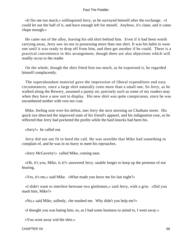«It fits me too much,» soliloquized Jerry, as he surveyed himself after the exchange. «I could let out the half of it, and have enough left for meself. Anyhow, it's clane, and it came chape enough.»

 He came out of the alley, leaving his old shirt behind him. Even if it had been worth carrying away, Jerry saw no use in possessing more than one shirt. It was his habit to wear one until it was ready to drop off from him, and then get another if he could. There is a practical convenience in this arrangement, though there are also objections which will readily occur to the reader.

 On the whole, though the shirt fitted him too much, as he expressed it, he regarded himself complacently.

 The superabundant material gave the impression of liberal expenditure and easy circumstances, since a large shirt naturally costs more than a small one. So Jerry, as he walked along the Bowery, assumed a jaunty air, precisely such as some of my readers may when they have a new suit to display. His new shirt was quite conspicuous, since he was encumbered neither with vest nor coat.

 Mike, feeling sore over his defeat, met Jerry the next morning on Chatham street. His quick eye detected the improved state of his friend's apparel, and his indignation rose, as he reflected that Jerry had pocketed the profits while the hard knocks had been his.

«Jerry!» he called out.

 Jerry did not see fit to heed the call. He was sensible that Mike had something to complain of, and he was in no hurry to meet his reproaches.

«Jerry McGaverty!» called Mike, coming near.

 «Oh, it's you, Mike, is it?» answered Jerry, unable longer to keep up the pretense of not hearing.

«Yes, it's me,» said Mike. «What made you leave me for last night?»

 «I didn't want to interfere betwane two gintlemen,» said Jerry, with a grin. «Did you mash him, Mike?»

«No,» said Mike, sullenly, «he mashed me. Why didn't you help me?»

«I thought you was bating him, so, as I had some business to attind to, I went away.»

«You went away wid the shirt.»

CHAPTER XII 66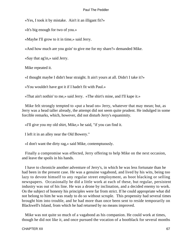«Yes, I took it by mistake. Ain't it an illigant fit?»

«It's big enough for two of you.»

«Maybe I'll grow to it in time,» said Jerry.

«And how much are you goin' to give me for my share?» demanded Mike.

«Say that ag'in,» said Jerry.

Mike repeated it.

«I thought maybe I didn't hear straight. It ain't yours at all. Didn't I take it?»

«You wouldn't have got it if I hadn't fit with Paul.»

«That ain't nothin' to me,» said Jerry. «The shirt's mine, and I'll kape it.»

 Mike felt strongly tempted to «put a head on» Jerry, whatever that may mean; but, as Jerry was a head taller already, the attempt did not seem quite prudent. He indulged in some forcible remarks, which, however, did not disturb Jerry's equanimity.

«I'll give you my old shirt, Mike,» he said, "if you can find it.

I left it in an alley near the Old Bowery."

«I don't want the dirty rag,» said Mike, contemptuously.

 Finally a compromise was effected, Jerry offering to help Mike on the next occasion, and leave the spoils in his hands.

 I have to chronicle another adventure of Jerry's, in which he was less fortunate than he had been in the present case. He was a genuine vagabond, and lived by his wits, being too lazy to devote himself to any regular street employment, as boot blacking or selling newspapers. Occasionally he did a little work at each of these, but regular, persistent industry was out of his line. He was a drone by inclination, and a decided enemy to work. On the subject of honesty his principles were far from strict. If he could appropriate what did not belong to him he was ready to do so without scruple. This propensity had several times brought him into trouble, and he had more than once been sent to reside temporarily on Blackwell's Island, from which he had returned by no means improved.

 Mike was not quite so much of a vagabond as his companion. He could work at times, though he did not like it, and once pursued the vocation of a bootblack for several months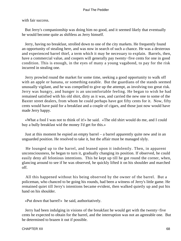with fair success.

 But Jerry's companionship was doing him no good, and it seemed likely that eventually he would become quite as shiftless as Jerry himself.

 Jerry, having no breakfast, strolled down to one of the city markets. He frequently found an opportunity of stealing here, and was now in search of such a chance. He was a dexterous and experienced barrel thief, a term which it may be necessary to explain. Barrels, then, have a commercial value, and coopers will generally pay twenty−five cents for one in good condition. This is enough, in the eyes of many a young vagabond, to pay for the risk incurred in stealing one.

 Jerry prowled round the market for some time, seeking a good opportunity to walk off with an apple or banana, or something eatable. But the guardians of the stands seemed unusually vigilant, and he was compelled to give up the attempt, as involving too great risk. Jerry was hungry, and hunger is an uncomfortable feeling. He began to wish he had remained satisfied with his old shirt, dirty as it was, and carried the new one to some of the Baxter street dealers, from whom he could perhaps have got fifty cents for it. Now, fifty cents would have paid for a breakfast and a couple of cigars, and those just now would have made Jerry happy.

 «What a fool I was not to think of it!» he said. «The old shirt would do me, and I could buy a bully breakfast wid the money I'd get for this.»

 Just at this moment he espied an empty barrel – a barrel apparently quite new and in an unguarded position. He resolved to take it, but the affair must be managed slyly.

 He lounged up to the barrel, and leaned upon it indolently. Then, in apparent unconsciousness, he began to turn it, gradually changing its position. If observed, he could easily deny all felonious intentions. This he kept up till he got round the corner, when, glancing around to see if he was observed, he quickly lifted it on his shoulder and marched off.

 All this happened without his being observed by the owner of the barrel. But a policeman, who chanced to be going his rounds, had been a witness of Jerry's little game. He remained quiet till Jerry's intentions became evident, then walked quietly up and put his hand on his shoulder.

«Put down that barrel!» he said, authoritatively.

 Jerry had been indulging in visions of the breakfast he would get with the twenty−five cents he expected to obtain for the barrel, and the interruption was not an agreeable one. But he determined to brazen it out if possible.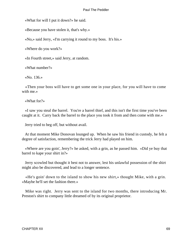«What for will I put it down?» he said.

«Because you have stolen it, that's why.»

«No,» said Jerry, «I'm carrying it round to my boss. It's his.»

«Where do you work?»

«In Fourth street,» said Jerry, at random.

«What number?»

«No. 136.»

 «Then your boss will have to get some one in your place, for you will have to come with me.»

«What for?»

 «I saw you steal the barrel. You're a barrel thief, and this isn't the first time you've been caught at it. Carry back the barrel to the place you took it from and then come with me.»

Jerry tried to beg off, but without avail.

 At that moment Mike Donovan lounged up. When he saw his friend in custody, he felt a degree of satisfaction, remembering the trick Jerry had played on him.

 «Where are you goin', Jerry?» he asked, with a grin, as he passed him. «Did ye buy that barrel to kape your shirt in?»

 Jerry scowled but thought it best not to answer, lest his unlawful possession of the shirt might also be discovered, and lead to a longer sentence.

 «He's goin' down to the island to show his new shirt,» thought Mike, with a grin. «Maybe he'll set the fashion there.»

 Mike was right. Jerry was sent to the island for two months, there introducing Mr. Preston's shirt to company little dreamed of by its original proprietor.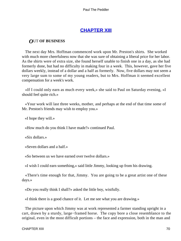## **[CHAPTER XIII](#page-153-0)**

### *O*UT **OF BUSINESS**

 The next day Mrs. Hoffman commenced work upon Mr. Preston's shirts. She worked with much more cheerfulness now that she was sure of obtaining a liberal price for her labor. As the shirts were of extra size, she found herself unable to finish one in a day, as she had formerly done, but had no difficulty in making four in a week. This, however, gave her five dollars weekly, instead of a dollar and a half as formerly. Now, five dollars may not seem a very large sum to some of my young readers, but to Mrs. Hoffman it seemed excellent compensation for a week's work.

 «If I could only earn as much every week,» she said to Paul on Saturday evening, «I should feel quite rich.»

 «Your work will last three weeks, mother, and perhaps at the end of that time some of Mr. Preston's friends may wish to employ you.»

«I hope they will.»

«How much do you think I have made?» continued Paul.

«Six dollars.»

«Seven dollars and a half.»

«So between us we have earned over twelve dollars.»

«I wish I could earn something,» said little Jimmy, looking up from his drawing.

 «There's time enough for that, Jimmy. You are going to be a great artist one of these days.»

«Do you really think I shall?» asked the little boy, wistfully.

«I think there is a good chance of it. Let me see what you are drawing.»

 The picture upon which Jimmy was at work represented a farmer standing upright in a cart, drawn by a sturdy, large−framed horse. The copy bore a close resemblance to the original, even in the most difficult portions – the face and expression, both in the man and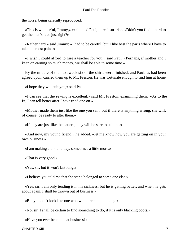the horse, being carefully reproduced.

 «This is wonderful, Jimmy,» exclaimed Paul, in real surprise. «Didn't you find it hard to get the man's face just right?»

 «Rather hard,» said Jimmy; «I had to be careful, but I like best the parts where I have to take the most pains.»

 «I wish I could afford to hire a teacher for you,» said Paul. «Perhaps, if mother and I keep on earning so much money, we shall be able to some time.»

 By the middle of the next week six of the shirts were finished, and Paul, as had been agreed upon, carried them up to Mr. Preston. He was fortunate enough to find him at home.

«I hope they will suit you,» said Paul.

 «I can see that the sewing is excellent,» said Mr. Preston, examining them. «As to the fit, I can tell better after I have tried one on.»

 «Mother made them just like the one you sent; but if there is anything wrong, she will, of course, be ready to alter them.»

«If they are just like the pattern, they will be sure to suit me.»

 «And now, my young friend,» he added, «let me know how you are getting on in your own business.»

«I am making a dollar a day, sometimes a little more.»

«That is very good.»

«Yes, sir; but it won't last long.»

«I believe you told me that the stand belonged to some one else.»

 «Yes, sir; I am only tending it in his sickness; but he is getting better, and when he gets about again, I shall be thrown out of business.»

«But you don't look like one who would remain idle long.»

«No, sir; I shall be certain to find something to do, if it is only blacking boots.»

«Have you ever been in that business?»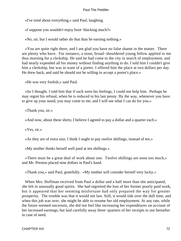«I've tried about everything,» said Paul, laughing.

«I suppose you wouldn't enjoy boot−blacking much?»

«No, sir; but I would rather do that than be earning nothing.»

 «You are quite right there, and I am glad you have no false shame in the matter. There are plenty who have. For instance, a stout, broad−shouldered young fellow applied to me thus morning for a clerkship. He said he had come to the city in search of employment, and had nearly expended all his money without finding anything to do. I told him I couldn't give him a clerkship, but was in want of a porter. I offered him the place at two dollars per day. He drew back, and said he should not be willing to accept a porter's place.»

«He was very foolish,» said Paul.

 «So I thought. I told him that if such were his feelings, I could not help him. Perhaps he may regret his refusal, when he is reduced to his last penny. By the way, whenever you have to give up your stand, you may come to me, and I will see what I can do for you.»

«Thank you, sir.»

«And now, about these shirts; I believe I agreed to pay a dollar and a quarter each.»

«Yes, sir.»

«As they are of extra size, I think I ought to pay twelve shillings, instead of ten.»

«My mother thinks herself well paid at ten shillings.»

 «There must be a great deal of work about one. Twelve shillings are none too much,» and Mr. Preston placed nine dollars in Paul's hand.

«Thank you,» said Paul, gratefully. «My mother will consider herself very lucky.»

 When Mrs. Hoffman received from Paul a dollar and a half more than she anticipated, she felt in unusually good spirits. She had regretted the loss of her former poorly paid work, but it appeared that her seeming misfortune had only prepared the way for greater prosperity. The trouble was that it would not last. Still, it would tide over the dull time, and when this job was over, she might be able to resume her old employment. At any rate, while the future seemed uncertain, she did not feel like increasing her expenditures on account of her increased earnings, but laid carefully away three−quarters of her receipts to use hereafter in case of need.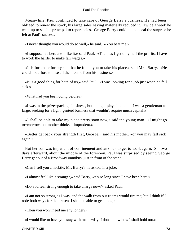Meanwhile, Paul continued to take care of George Barry's business. He had been obliged to renew the stock, his large sales having materially reduced it. Twice a week he went up to see his principal to report sales. George Barry could not conceal the surprise he felt at Paul's success.

«I never thought you would do so well,» he said. «You beat me.»

 «I suppose it's because I like it,» said Paul. «Then, as I get only half the profits, I have to work the harder to make fair wages.»

 «It is fortunate for my son that he found you to take his place,» said Mrs. Barry. «He could not afford to lose all the income from his business.»

 «It is a good thing for both of us,» said Paul. «I was looking for a job just when he fell sick.»

«What had you been doing before?»

 «I was in the prize−package business, but that got played out, and I was a gentleman at large, seeking for a light, genteel business that wouldn't require much capital.»

 «I shall be able to take my place pretty soon now,» said the young man. «I might go to−morrow, but mother thinks it imprudent.»

 «Better get back your strength first, George,» said his mother, «or you may fall sick again.»

 But her son was impatient of confinement and anxious to get to work again. So, two days afterward, about the middle of the forenoon, Paul was surprised by seeing George Barry get out of a Broadway omnibus, just in front of the stand.

«Can I sell you a necktie, Mr. Barry?» he asked, in a joke.

«I almost feel like a stranger,» said Barry, «it's so long since I have been here.»

«Do you feel strong enough to take charge now?» asked Paul.

 «I am not so strong as I was, and the walk from our rooms would tire me; but I think if I rode both ways for the present I shall be able to get along.»

«Then you won't need me any longer?»

«I would like to have you stay with me to−day. I don't know how I shall hold out.»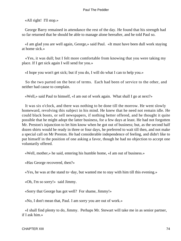«All right! I'll stop.»

 George Barry remained in attendance the rest of the day. He found that his strength had so far returned that he should be able to manage alone hereafter, and he told Paul so.

 «I am glad you are well again, George,» said Paul. «It must have been dull work staying at home sick.»

 «Yes, it was dull; but I felt more comfortable from knowing that you were taking my place. If I get sick again I will send for you.»

«I hope you won't get sick; but if you do, I will do what I can to help you.»

 So the two parted on the best of terms. Each had been of service to the other, and neither had cause to complain.

«Well,» said Paul to himself, «I am out of work again. What shall I go at next?»

 It was six o'clock, and there was nothing to be done till the morrow. He went slowly homeward, revolving this subject in his mind. He knew that he need not remain idle. He could black boots, or sell newspapers, if nothing better offered, and he thought it quite possible that he might adopt the latter business, for a few days at least. He had not forgotten Mr. Preston's injunction to let him know when he got out of business; but, as the second half dozen shirts would be ready in three or four days, he preferred to wait till then, and not make a special call on Mr Preston. He had considerable independence of feeling, and didn't like to put himself in the position of one asking a favor, though he had no objection to accept one voluntarily offered.

«Well, mother,» he said, entering his humble home, «I am out of business.»

«Has George recovered, then?»

«Yes, he was at the stand to−day, but wanted me to stay with him till this evening.»

«Oh, I'm so sorry!» said Jimmy.

«Sorry that George has got well? For shame, Jimmy!»

«No, I don't mean that, Paul. I am sorry you are out of work.»

 «I shall find plenty to do, Jimmy. Perhaps Mr. Stewart will take me in as senior partner, if I ask him.»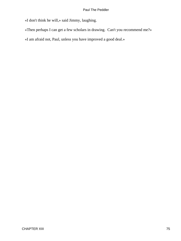«I don't think he will,» said Jimmy, laughing.

«Then perhaps I can get a few scholars in drawing. Can't you recommend me?»

«I am afraid not, Paul, unless you have improved a good deal.»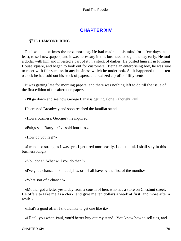## **[CHAPTER XIV](#page-153-0)**

### *T*HE **DIAMOND RING**

 Paul was up betimes the next morning. He had made up his mind for a few days, at least, to sell newspapers, and it was necessary in this business to begin the day early. He tool a dollar with him and invested a part of it in a stock of dailies. He posted himself in Printing House square, and began to look out for customers. Being an enterprising boy, he was sure to meet with fair success in any business which he undertook. So it happened that at ten o'clock he had sold out his stock of papers, and realized a profit of fifty cents.

 It was getting late for morning papers, and there was nothing left to do till the issue of the first edition of the afternoon papers.

«I'll go down and see how George Barry is getting along,» thought Paul.

He crossed Broadway and soon reached the familiar stand.

«How's business, George?» he inquired.

«Fair,» said Barry. «I've sold four ties.»

«How do you feel?»

 «I'm not so strong as I was, yet. I get tired more easily. I don't think I shall stay in this business long.»

«You don't? What will you do then?»

«I've got a chance in Philadelphia, or I shall have by the first of the month.»

«What sort of a chance?»

 «Mother got a letter yesterday from a cousin of hers who has a store on Chestnut street. He offers to take me as a clerk, and give me ten dollars a week at first, and more after a while.»

«That's a good offer. I should like to get one like it.»

«I'll tell you what, Paul, you'd better buy out my stand. You know how to sell ties, and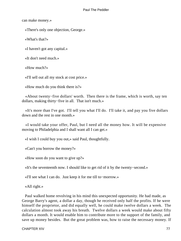can make money.»

«There's only one objection, George.»

«What's that?»

«I haven't got any capital.»

«It don't need much.»

«How much?»

«I'll sell out all my stock at cost price.»

«How much do you think there is?»

 «About twenty−five dollars' worth. Then there is the frame, which is worth, say ten dollars, making thirty−five in all. That isn't much.»

 «It's more than I've got. I'll tell you what I'll do. I'll take it, and pay you five dollars down and the rest in one month.»

 «I would take your offer, Paul, but I need all the money how. It will be expensive moving to Philadelphia and I shall want all I can get.»

«I wish I could buy you out,» said Paul, thoughtfully.

«Can't you borrow the money?»

«How soon do you want to give up?»

«It's the seventeenth now. I should like to get rid of it by the twenty−second.»

«I'll see what I can do. Just keep it for me till to−morrow.»

«All right.»

 Paul walked home revolving in his mind this unexpected opportunity. He had made, as George Barry's agent, a dollar a day, though he received only half the profits. If he were himself the proprietor, and did equally well, he could make twelve dollars a week. The calculation almost took away his breath. Twelve dollars a week would make about fifty dollars a month. It would enable him to contribute more to the support of the family, and save up money besides. But the great problem was, how to raise the necessary money. If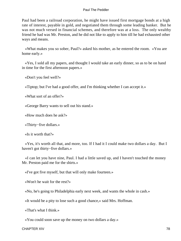Paul had been a railroad corporation, he might have issued first mortgage bonds at a high rate of interest, payable in gold, and negotiated them through some leading banker. But he was not much versed in financial schemes, and therefore was at a loss. The only wealthy friend he had was Mr. Preston, and he did not like to apply to him till he had exhausted other ways and means.

 «What makes you so sober, Paul?» asked his mother, as he entered the room. «You are home early.»

 «Yes, I sold all my papers, and thought I would take an early dinner, so as to be on hand in time for the first afternoon papers.»

«Don't you feel well?»

«Tiptop; but I've had a good offer, and I'm thinking whether I can accept it.»

«What sort of an offer?»

«George Barry wants to sell out his stand.»

«How much does he ask?»

«Thirty−five dollars.»

«Is it worth that?»

 «Yes, it's worth all that, and more, too. If I had it I could make two dollars a day. But I haven't got thirty−five dollars.»

 «I can let you have nine, Paul. I had a little saved up, and I haven't touched the money Mr. Preston paid me for the shirts.»

«I've got five myself, but that will only make fourteen.»

«Won't he wait for the rest?»

«No, he's going to Philadelphia early next week, and wants the whole in cash.»

«It would be a pity to lose such a good chance,» said Mrs. Hoffman.

«That's what I think.»

«You could soon save up the money on two dollars a day.»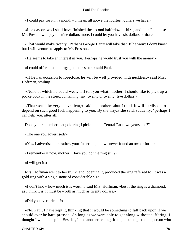«I could pay for it in a month – I mean, all above the fourteen dollars we have.»

 «In a day or two I shall have finished the second half−dozen shirts, and then I suppose Mr. Preston will pay me nine dollars more. I could let you have six dollars of that.»

 «That would make twenty. Perhaps George Barry will take that. If he won't I don't know but I will venture to apply to Mr. Preston.»

«He seems to take an interest in you. Perhaps he would trust you with the money.»

«I could offer him a mortgage on the stock,» said Paul.

 «If he has occasion to foreclose, he will be well provided with neckties,» said Mrs. Hoffman, smiling.

 «None of which he could wear. I'll tell you what, mother, I should like to pick up a pocketbook in the street, containing, say, twenty or twenty−five dollars.»

 «That would be very convenient,» said his mother; «but I think it will hardly do to depend on such good luck happening to you. By the way,» she said, suddenly, "perhaps I can help you, after all.

Don't you remember that gold ring I picked up in Central Park two years ago?"

«The one you advertised?»

«Yes. I advertised, or, rather, your father did; but we never found an owner for it.»

«I remember it now, mother. Have you got the ring still?»

«I will get it.»

 Mrs. Hoffman went to her trunk, and, opening it, produced the ring referred to. It was a gold ring with a single stone of considerable size.

 «I don't know how much it is worth,» said Mrs. Hoffman; «but if the ring is a diamond, as I think it is, it must be worth as much as twenty dollars.»

«Did you ever price it?»

 «No, Paul; I have kept it, thinking that it would be something to fall back upon if we should ever be hard pressed. As long as we were able to get along without suffering, I thought I would keep it. Besides, I had another feeling. It might belong to some person who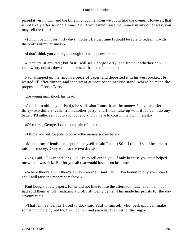prized it very much, and the time might come when we could find the owner. However, that is not likely after so long a time. So, if you cannot raise the money in any other way, you may sell the ring.»

 «I might pawn it for thirty days, mother. By that time I should be able to redeem it with the profits of my business.»

«I don't think you could get enough from a pawn−broker.»

 «I can try, at any rate; but first I will see George Barry, and find out whether he will take twenty dollars down, and the rest at the end of a month.»

 Paul wrapped up the ring in a piece of paper, and deposited it in his vest pocket. He waited till after dinner, and then went at once to the necktie stand, where he made the proposal to George Barry.

The young man shook his head.

 «I'd like to oblige you, Paul,» he said, «but I must have the money. I have an offer of thirty−two dollars, cash, from another party, and I must take up with it if I can't do any better. I'd rather sell out to you, but you know I have to consult my own interest.»

«Of course, George, I can't complain of that.»

«I think you will be able to borrow the money somewhere.»

 «Most of my friends are as poor as myself,» said Paul. «Still, I think I shall be able to raise the money. Only wait for me two days.»

 «Yes, Paul, I'll wait that long. I'd like to sell out to you, if only because you have helped me when I was sick. But for you all that would have been lost time.»

 «Where there's a will there's a way, George,» said Paul. «I'm bound to buy your stand and I will raise the money somehow.»

 Paul bought a few papers, for he did not like to lose the afternoon trade, and in an hour had sold them all off, realizing a profit of twenty cents. This made his profits for the day seventy cents.

 «That isn't as well as I used to do,» said Paul to himself, «but perhaps I can make something more by and by. I will go now and see what I can get for the ring.»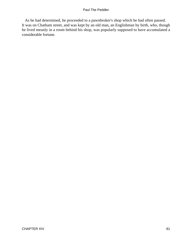As he had determined, he proceeded to a pawnbroker's shop which he had often passed. It was on Chatham street, and was kept by an old man, an Englishman by birth, who, though he lived meanly in a room behind his shop, was popularly supposed to have accumulated a considerable fortune.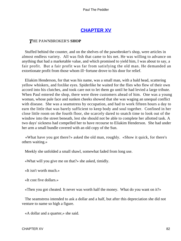## **[CHAPTER XV](#page-153-0)**

### *T*HE PAWNBROKER'S **SHOP**

 Stuffed behind the counter, and on the shelves of the pawnbroker's shop, were articles in almost endless variety. All was fish that came to his net. He was willing to advance on anything that had a marketable value, and which promised to yield him, I was about to say, a fair profit. But a fair profit was far from satisfying the old man. He demanded an extortionate profit from those whom ill−fortune drove to his door for relief.

 Eliakim Henderson, for that was his name, was a small man, with a bald head, scattering yellow whiskers, and foxlike eyes. Spiderlike he waited for the flies who flew of their own accord into his clutches, and took care not to let them go until he had levied a large tribute. When Paul entered the shop, there were three customers ahead of him. One was a young woman, whose pale face and sunken cheeks showed that she was waging an unequal conflict with disease. She was a seamstress by occupation, and had to work fifteen hours a day to earn the little that was barely sufficient to keep body and soul together. Confined in her close little room on the fourth floor, she scarcely dared to snatch time to look out of the window into the street beneath, lest she should not be able to complete her allotted task. A two days' sickness had compelled her to have recourse to Eliakim Henderson. She had under her arm a small bundle covered with an old copy of the Sun.

 «What have you got there?» asked the old man, roughly. «Show it quick, for there's others waiting.»

Meekly she unfolded a small shawl, somewhat faded from long use.

«What will you give me on that?» she asked, timidly.

«It isn't worth much.»

«It cost five dollars.»

«Then you got cheated. It never was worth half the money. What do you want on it?»

 The seamstress intended to ask a dollar and a half, but after this depreciation she did not venture to name so high a figure.

«A dollar and a quarter,» she said.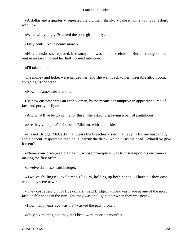«A dollar and a quarter!» repeated the old man, shrilly. «Take it home with you. I don't want it.»

«What will you give?» asked the poor girl, faintly.

«Fifty cents. Not a penny more.»

 «Fifty cents!» she repeated, in dismay, and was about to refold it. But the thought of her rent in arrears changed her half−formed intention.

«I'll take it, sir.»

 The money and ticket were handed her, and she went back to her miserable attic−room, coughing as she went.

«Now, ma'am,» said Eliakim.

 His new customer was an Irish woman, by no means consumptive in appearance, red of face and portly of figure.

«And what'll ye be givin' me for this?» she asked, displaying a pair of pantaloons.

«Are they yours, ma'am?» asked Eliakim, with a chuckle.

 «It's not Bridget McCarty that wears the breeches,» said that lady. «It's me husband's, and a dacent, respectable man he is, barrin' the drink, which turns his head. What'll ye give for 'em?»

 «Name your price,» said Eliakim, whose principle it was to insist upon his customers making the first offer.

«Twelve shillin's,» said Bridget.

 «Twelve shillings!» exclaimed Eliakim, holding up both hands. «That's all they cost when they were new.»

 «They cost every cint of five dollars,» said Bridget. «They was made at one of the most fashionable shops in the city. Oh, they was an illigant pair when they was new.»

«How many years ago was that?» asked the pawnbroker.

«Only six months, and they ain't been worn more'n a month.»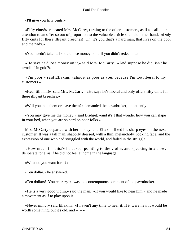«I'll give you fifty cents.»

 «Fifty cints!» repeated Mrs. McCarty, turning to the other customers, as if to call their attention to an offer so out of proportion to the valuable article she held in her hand. «Only fifty cints for these illigant breeches! Oh, it's you that's a hard man, that lives on the poor and the nady.»

«You needn't take it. I should lose money on it, if you didn't redeem it.»

 «He says he'd lose money on it,» said Mrs. McCarty. «And suppose he did, isn't he a−rollin' in gold?»

 «I'm poor,» said Eliakim; «almost as poor as you, because I'm too liberal to my customers.»

 «Hear till him!» said Mrs. McCarty. «He says he's liberal and only offers fifty cints for these illigant breeches.»

«Will you take them or leave them?» demanded the pawnbroker, impatiently.

 «You may give me the money,» said Bridget; «and it's I that wonder how you can slape in your bed, when you are so hard on poor folks.»

 Mrs. McCarty departed with her money, and Eliakim fixed his sharp eyes on the next customer. It was a tall man, shabbily dressed, with a thin, melancholy−looking face, and the expression of one who had struggled with the world, and failed in the struggle.

 «How much for this?» he asked, pointing to the violin, and speaking in a slow, deliberate tone, as if he did not feel at home in the language.

«What do you want for it?»

«Ten dollar,» he answered.

«Ten dollars! You're crazy!» was the contemptuous comment of the pawnbroker.

 «He is a very good violin,» said the man. «If you would like to hear him,» and he made a movement as if to play upon it.

 «Never mind!» said Eliakim. «I haven't any time to hear it. If it were new it would be worth something; but it's old, and  $-$  – »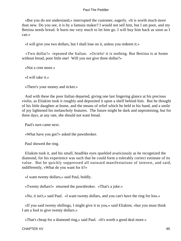«But you do not understand,» interrupted the customer, eagerly. «It is worth much more than new. Do you see, it is by a famous maker? I would not sell him, but I am poor, and my Bettina needs bread. It hurts me very much to let him go. I will buy him back as soon as I can.»

«I will give you two dollars, but I shall lose on it, unless you redeem it.»

 «Two dollar!» repeated the Italian. «Ocielo! it is nothing. But Bettina is at home without bread, poor little one! Will you not give three dollar?»

«Not a cent more.»

«I will take it.»

«There's your money and ticket.»

 And with these the poor Italian departed, giving one last lingering glance at his precious violin, as Eliakim took it roughly and deposited it upon a shelf behind him. But he thought of his little daughter at home, and the means of relief which he held in his hand, and a smile of joy lightened his melancholy features. The future might be dark and unpromising, but for three days, at any rate, she should not want bread.

Paul's turn came next.

«What have you got?» asked the pawnbroker.

Paul showed the ring.

 Eliakim took it, and his small, beadlike eyes sparkled avariciously as he recognized the diamond, for his experience was such that he could form a tolerably correct estimate of its value. But he quickly suppressed all outward manifestations of interest, and said, indifferently, «What do you want for it?»

«I want twenty dollars,» said Paul, boldly.

«Twenty dollars!» returned the pawnbroker. «That's a joke.»

«No, it isn't,» said Paul. «I want twenty dollars, and you can't have the ring for less.»

 «If you said twenty shillings, I might give it to you,» said Eliakim; «but you must think I am a fool to give twenty dollars.»

«That's cheap for a diamond ring,» said Paul. «It's worth a good deal more.»

CHAPTER XV 85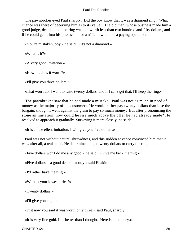The pawnbroker eyed Paul sharply. Did the boy know that it was a diamond ring? What chance was there of deceiving him as to its value? The old man, whose business made him a good judge, decided that the ring was not worth less than two hundred and fifty dollars, and if he could get it into his possession for a trifle, it would be a paying operation.

«You're mistaken, boy,» he said. «It's not a diamond.»

«What is it?»

«A very good imitation.»

«How much is it worth?»

«I'll give you three dollars.»

«That won't do. I want to raise twenty dollars, and if I can't get that, I'll keep the ring.»

 The pawnbroker saw that he had made a mistake. Paul was not as much in need of money as the majority of his customers. He would rather pay twenty dollars than lose the bargain, though it went against the grain to pay so much money. But after pronouncing the stone an imitation, how could he rise much above the offer he had already made? He resolved to approach it gradually. Surveying it more closely, he said:

«It is an excellent imitation. I will give you five dollars.»

 Paul was not without natural shrewdness, and this sudden advance convinced him that it was, after all, a real stone. He determined to get twenty dollars or carry the ring home.

«Five dollars won't do me any good,» he said. «Give me back the ring.»

«Five dollars is a good deal of money,» said Eliakim.

«I'd rather have the ring.»

«What is your lowest price?»

«Twenty dollars.»

«I'll give you eight.»

«Just now you said it was worth only three,» said Paul, sharply.

«It is very fine gold. It is better than I thought. Here is the money.»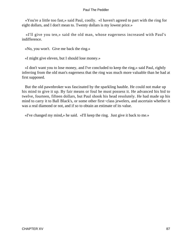«You're a little too fast,» said Paul, coolly. «I haven't agreed to part with the ring for eight dollars, and I don't mean to. Twenty dollars is my lowest price.»

 «I'll give you ten,» said the old man, whose eagerness increased with Paul's indifference.

«No, you won't. Give me back the ring.»

«I might give eleven, but I should lose money.»

 «I don't want you to lose money, and I've concluded to keep the ring,» said Paul, rightly inferring from the old man's eagerness that the ring was much more valuable than he had at first supposed.

 But the old pawnbroker was fascinated by the sparkling bauble. He could not make up his mind to give it up. By fair means or foul he must possess it. He advanced his bid to twelve, fourteen, fifteen dollars, but Paul shook his head resolutely. He had made up his mind to carry it to Ball Black's, or some other first−class jewelers, and ascertain whether it was a real diamond or not, and if so to obtain an estimate of its value.

«I've changed my mind,» he said. «I'll keep the ring. Just give it back to me.»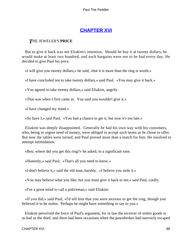# **[CHAPTER XVI](#page-153-0)**

## *T*HE JEWELER'S **PRICE**

 But to give it back was not Eliakim's intention. Should he buy it at twenty dollars, he would make at least two hundred, and such bargains were not to be had every day. He decided to give Paul his price.

«I will give you twenty dollars,» he said; «but it is more than the ring is worth.»

«I have concluded not to take twenty dollars,» said Paul. «You may give it back.»

«You agreed to take twenty dollars,» said Eliakim, angrily.

«That was when I first came in. You said you wouldn't give it.»

«I have changed my mind.»

«So have I,» said Paul. «You had a chance to get it, but now it's too late.»

 Eliakim was deeply disappointed. Generally he had his own way with his customers, who, being in urgent need of money, were obliged to accept such terms as he chose to offer. But now the tables were turned, and Paul proved more than a match for him. He resolved to attempt intimidation.

«Boy, where did you get this ring?» he asked, in a significant tone.

«Honestly,» said Paul. «That's all you need to know.»

«I don't believe it,» said the old man, harshly. «I believe you stole it.»

«You may believe what you like, but you must give it back to me,» said Paul, coolly.

«I've a great mind to call a policeman,» said Eliakim.

 «If you did,» said Paul, «I'd tell him that you were anxious to get the ring, though you believed it to be stolen. Perhaps he might have something to say to you.»

 Eliakim perceived the force of Paul's argument, for in law the receiver of stolen goods is as bad as the thief, and there had been occasions when the pawnbroker had narrowly escaped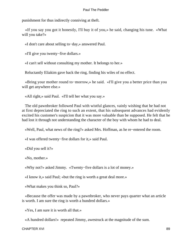punishment for thus indirectly conniving at theft.

 «If you say you got it honestly, I'll buy it of you,» he said, changing his tune. «What will you take?»

«I don't care about selling to−day,» answered Paul.

«I'll give you twenty−five dollars.»

«I can't sell without consulting my mother. It belongs to her.»

Reluctantly Eliakim gave back the ring, finding his wiles of no effect.

 «Bring your mother round to−morrow,» he said. «I'll give you a better price than you will get anywhere else.»

«All right,» said Paul. «I'll tell her what you say.»

 The old pawnbroker followed Paul with wistful glances, vainly wishing that he had not at first depreciated the ring to such an extent, that his subsequent advances had evidently excited his customer's suspicion that it was more valuable than be supposed. He felt that he had lost it through not understanding the character of the boy with whom he had to deal.

«Well, Paul, what news of the ring?» asked Mrs. Hoffman, as he re−entered the room.

«I was offered twenty−five dollars for it,» said Paul.

«Did you sell it?»

«No, mother.»

«Why not?» asked Jimmy. «Twenty−five dollars is a lot of money.»

«I know it,» said Paul; «but the ring is worth a great deal more.»

«What makes you think so, Paul?»

 «Because the offer was made by a pawnbroker, who never pays quarter what an article is worth. I am sure the ring is worth a hundred dollars.»

«Yes, I am sure it is worth all that.»

«A hundred dollars!» repeated Jimmy, awestruck at the magnitude of the sum.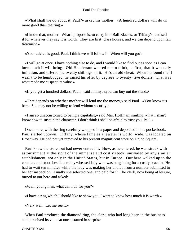«What shall we do about it, Paul?» asked his mother. «A hundred dollars will do us more good than the ring.»

 «I know that, mother. What I propose is, to carry it to Ball Black's, or Tiffany's, and sell it for whatever they say it is worth. They are first−class houses, and we can depend upon fair treatment.»

«Your advice is good, Paul. I think we will follow it. When will you go?»

 «I will go at once. I have nothing else to do, and I would like to find out as soon as I can how much it will bring. Old Henderson wanted me to think, at first, that it was only imitation, and offered me twenty shillings on it. He's an old cheat. When he found that I wasn't to be humbugged, he raised his offer by degrees to twenty−five dollars. That was what made me suspect its value.»

«If you get a hundred dollars, Paul,» said Jimmy, «you can buy out the stand.»

 «That depends on whether mother will lend me the money,» said Paul. «You know it's hers. She may not be willing to lend without security.»

 «I am so unaccustomed to being a capitalist,» said Mrs. Hoffman, smiling, «that I shan't know how to sustain the character. I don't think I shall be afraid to trust you, Paul.»

 Once more, with the ring carefully wrapped in a paper and deposited in his pocketbook, Paul started uptown. Tiffany, whose fame as a jeweler is world−wide, was located on Broadway. He had not yet removed to his present magnificent store on Union Square.

 Paul knew the store, but had never entered it. Now, as he entered, he was struck with astonishment at the sight of the immense and costly stock, unrivaled by any similar establishment, not only in the United States, but in Europe. Our hero walked up to the counter, and stood beside a richly−dressed lady who was bargaining for a costly bracelet. He had to wait ten minutes while the lady was making her choice from a number submitted to her for inspection. Finally she selected one, and paid for it. The clerk, now being at leisure, turned to our hero and asked: –

«Well, young man, what can I do for you?»

«I have a ring which I should like to show you. I want to know how much it is worth.»

«Very well. Let me see it.»

 When Paul produced the diamond ring, the clerk, who had long been in the business, and perceived its value at once, started in surprise.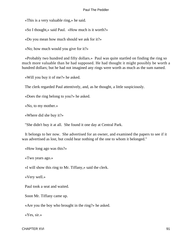«This is a very valuable ring,» he said.

«So I thought,» said Paul. «How much is it worth?»

«Do you mean how much should we ask for it?»

«No; how much would you give for it?»

 «Probably two hundred and fifty dollars.» Paul was quite startled on finding the ring so much more valuable than he had supposed. He had thought it might possibly be worth a hundred dollars; but he had not imagined any rings were worth as much as the sum named.

«Will you buy it of me?» he asked.

The clerk regarded Paul attentively, and, as he thought, a little suspiciously.

«Does the ring belong to you?» he asked.

«No, to my mother.»

«Where did she buy it?»

"She didn't buy it at all. She found it one day at Central Park.

 It belongs to her now. She advertised for an owner, and examined the papers to see if it was advertised as lost, but could hear nothing of the one to whom it belonged."

«How long ago was this?»

«Two years ago.»

«I will show this ring to Mr. Tiffany,» said the clerk.

«Very well.»

Paul took a seat and waited.

Soon Mr. Tiffany came up.

«Are you the boy who brought in the ring?» he asked.

«Yes, sir.»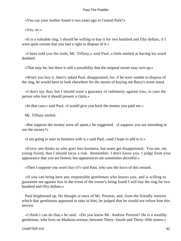«You say your mother found it two years ago in Central Park?»

«Yes, sir.»

 «It is a valuable ring. I should be willing to buy it for two hundred and fifty dollars, if I were quite certain that you had a right to dispose of it.»

 «I have told you the truth, Mr. Tiffany,» said Paul, a little nettled at having his word doubted.

«That may be, but there is still a possibility that the original owner may turn up.»

 «Won't you buy it, then?» asked Paul, disappointed, for, if he were unable to dispose of the ring, he would have to look elsewhere for the means of buying out Barry's street stand.

 «I don't say that; but I should want a guaranty of indemnity against loss, in case the person who lost it should present a claim.»

«In that case,» said Paul, «I would give you back the money you paid me.»

Mr. Tiffany smiled.

 «But suppose the money were all spent,» he suggested. «I suppose you are intending to use the money?»

«I am going to start in business with it,» said Paul, «and I hope to add to it.»

 «Every one thinks so who goes into business; but some get disappointed. You see, my young friend, that I should incur a risk. Remember, I don't know you. I judge from your appearance that you are honest; but appearances are sometimes deceitful.»

«Then I suppose you won't buy it?» said Paul, who saw the force of this remark.

 «If you can bring here any responsible gentleman who knows you, and is willing to guarantee me against loss in the event of the owner's being found I will buy the ring for two hundred and fifty dollars.»

 Paul brightened up. He thought at once of Mr. Preston, and, from the friendly interest which that gentleman appeared to take in him, he judged that he would not refuse him this service.

 «I think I can do that,» he said. «Do you know Mr. Andrew Preston? He is a wealthy gentleman, who lives on Madison avenue, between Thirty–fourth and Thirty–fifth streets.»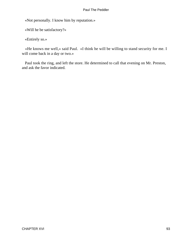«Not personally. I know him by reputation.»

«Will he be satisfactory?»

«Entirely so.»

 «He knows me well,» said Paul. «I think he will be willing to stand security for me. I will come back in a day or two.»

 Paul took the ring, and left the store. He determined to call that evening on Mr. Preston, and ask the favor indicated.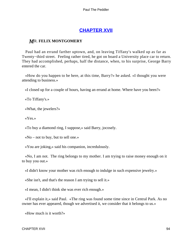# **[CHAPTER XVII](#page-153-0)**

## *M*R. **FELIX MONTGOMERY**

 Paul had an errand farther uptown, and, on leaving Tiffany's walked up as far as Twenty−third street. Feeling rather tired, he got on board a University place car to return. They had accomplished, perhaps, half the distance, when, to his surprise, George Barry entered the car.

 «How do you happen to be here, at this time, Barry?» he asked. «I thought you were attending to business.»

«I closed up for a couple of hours, having an errand at home. Where have you been?»

«To Tiffany's.»

«What, the jewelers?»

«Yes.»

«To buy a diamond ring, I suppose,» said Barry, jocosely.

«No – not to buy, but to sell one.»

«You are joking,» said his companion, incredulously.

 «No, I am not. The ring belongs to my mother. I am trying to raise money enough on it to buy you out.»

«I didn't know your mother was rich enough to indulge in such expensive jewelry.»

«She isn't, and that's the reason I am trying to sell it.»

«I mean, I didn't think she was ever rich enough.»

 «I'll explain it,» said Paul. «The ring was found some time since in Central Park. As no owner has ever appeared, though we advertised it, we consider that it belongs to us.»

«How much is it worth?»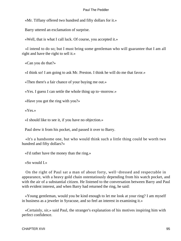«Mr. Tiffany offered two hundred and fifty dollars for it.»

Barry uttered an exclamation of surprise.

«Well, that is what I call luck. Of course, you accepted it.»

 «I intend to do so; but I must bring some gentleman who will guarantee that I am all right and have the right to sell it.»

«Can you do that?»

«I think so! I am going to ask Mr. Preston. I think he will do me that favor.»

«Then there's a fair chance of your buying me out.»

«Yes. I guess I can settle the whole thing up to−morrow.»

«Have you got the ring with you?»

«Yes.»

«I should like to see it, if you have no objection.»

Paul drew it from his pocket, and passed it over to Barry.

 «It's a handsome one, but who would think such a little thing could be worth two hundred and fifty dollars?»

«I'd rather have the money than the ring.»

«So would I.»

 On the right of Paul sat a man of about forty, well−dressed and respectable in appearance, with a heavy gold chain ostentatiously depending from his watch pocket, and with the air of a substantial citizen. He listened to the conversation between Barry and Paul with evident interest, and when Barry had returned the ring, he said:

 «Young gentleman, would you be kind enough to let me look at your ring? I am myself in business as a jeweler in Syracuse, and so feel an interest in examining it.»

 «Certainly, sir,» said Paul, the stranger's explanation of his motives inspiring him with perfect confidence.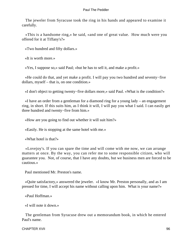The jeweler from Syracuse took the ring in his hands and appeared to examine it carefully.

 «This is a handsome ring,» he said, «and one of great value. How much were you offered for it at Tiffany's?»

«Two hundred and fifty dollars.»

«It is worth more.»

«Yes, I suppose so,» said Paul; «but he has to sell it, and make a profit.»

 «He could do that, and yet make a profit. I will pay you two hundred and seventy−five dollars, myself – that is, on one condition.»

«I don't object to getting twenty−five dollars more,» said Paul. «What is the condition?»

 «I have an order from a gentleman for a diamond ring for a young lady – an engagement ring, in short. If this suits him, as I think it will, I will pay you what I said. I can easily get three hundred and twenty−five from him.»

«How are you going to find out whether it will suit him?»

«Easily. He is stopping at the same hotel with me.»

«What hotel is that?»

 «Lovejoy's. If you can spare the time and will come with me now, we can arrange matters at once. By the way, you can refer me to some responsible citizen, who will guarantee you. Not, of course, that I have any doubts, but we business men are forced to be cautious.»

Paul mentioned Mr. Preston's name.

 «Quite satisfactory,» answered the jeweler. «I know Mr. Preston personally, and as I am pressed for time, I will accept his name without calling upon him. What is your name?»

«Paul Hoffman.»

«I will note it down.»

 The gentleman from Syracuse drew out a memorandum book, in which he entered Paul's name.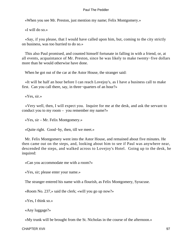«When you see Mr. Preston, just mention my name; Felix Montgomery.»

«I will do so.»

 «Say, if you please, that I would have called upon him, but, coming to the city strictly on business, was too hurried to do so.»

 This also Paul promised, and counted himself fortunate in falling in with a friend, or, at all events, acquaintance of Mr. Preston, since he was likely to make twenty−five dollars more than he would otherwise have done.

When he got out of the car at the Astor House, the stranger said:

 «It will be half an hour before I can reach Lovejoy's, as I have a business call to make first. Can you call there, say, in three−quarters of an hour?»

«Yes, sir.»

 «Very well, then, I will expect you. Inquire for me at the desk, and ask the servant to conduct you to my room – you remember my name?»

«Yes, sir – Mr. Felix Montgomery.»

«Quite right. Good−by, then, till we meet.»

 Mr. Felix Montgomery went into the Astor House, and remained about five minutes. He then came out on the steps, and, looking about him to see if Paul was anywhere near, descended the steps, and walked across to Lovejoy's Hotel. Going up to the desk, he inquired:

«Can you accommodate me with a room?»

«Yes, sir; please enter your name.»

The stranger entered his name with a flourish, as Felix Montgomery, Syracuse.

«Room No. 237,» said the clerk; «will you go up now?»

«Yes, I think so.»

«Any luggage?»

«My trunk will be brought from the St. Nicholas in the course of the afternoon.»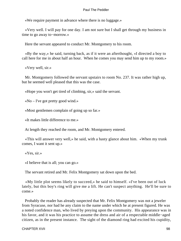«We require payment in advance where there is no luggage.»

 «Very well. I will pay for one day. I am not sure but I shall get through my business in time to go away to−morrow.»

Here the servant appeared to conduct Mr. Montgomery to his room.

 «By the way,» he said, turning back, as if it were an afterthought, «I directed a boy to call here for me in about half an hour. When he comes you may send him up to my room.»

«Very well, sir.»

 Mr. Montgomery followed the servant upstairs to room No. 237. It was rather high up, but he seemed well pleased that this was the case.

«Hope you won't get tired of climbing, sir,» said the servant.

«No – I've got pretty good wind.»

«Most gentlemen complain of going up so far.»

«It makes little difference to me.»

At length they reached the room, and Mr. Montgomery entered.

 «This will answer very well,» he said, with a hasty glance about him. «When my trunk comes, I want it sent up.»

«Yes, sir.»

«I believe that is all; you can go.»

The servant retired and Mr. Felix Montgomery sat down upon the bed.

 «My little plot seems likely to succeed,» he said to himself. «I've been out of luck lately, but this boy's ring will give me a lift. He can't suspect anything. He'll be sure to come.»

 Probably the reader has already suspected that Mr. Felix Montgomery was not a jeweler from Syracuse, nor had he any claim to the name under which he at present figured. He was a noted confidence man, who lived by preying upon the community. His appearance was in his favor, and it was his practice to assume the dress and air of a respectable middle−aged citizen, as in the present instance. The sight of the diamond ring had excited his cupidity,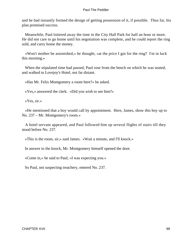and he had instantly formed the design of getting possession of it, if possible. Thus far, his plan promised success.

 Meanwhile, Paul loitered away the time in the City Hall Park for half an hour or more. He did not care to go home until his negotiation was complete, and he could report the ring sold, and carry home the money.

 «Won't mother be astonished,» he thought, «at the price I got for the ring? I'm in luck this morning.»

 When the stipulated time had passed, Paul rose from the bench on which he was seated, and walked to Lovejoy's Hotel, not far distant.

«Has Mr. Felix Montgomery a room here?» he asked.

«Yes,» answered the clerk. «Did you wish to see him?»

«Yes, sir.»

 «He mentioned that a boy would call by appointment. Here, James, show this boy up to No. 237 – Mr. Montgomery's room.»

 A hotel servant appeared, and Paul followed him up several flights of stairs till they stood before No. 237.

«This is the room, sir,» said James. «Wait a minute, and I'll knock.»

In answer to the knock, Mr. Montgomery himself opened the door.

«Come in,» he said to Paul; «I was expecting you.»

So Paul, not suspecting treachery, entered No. 237.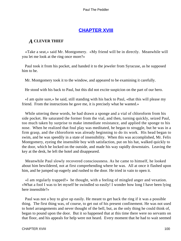## **[CHAPTER XVIII](#page-153-0)**

### *A* **CLEVER THIEF**

 «Take a seat,» said Mr. Montgomery. «My friend will be in directly. Meanwhile will you let me look at the ring once more?»

 Paul took it from his pocket, and handed it to the jeweler from Syracuse, as he supposed him to be.

Mr. Montgomery took it to the window, and appeared to be examining it carefully.

He stood with his back to Paul, but this did not excite suspicion on the part of our hero.

 «I am quite sure,» he said, still standing with his back to Paul, «that this will please my friend. From the instructions he gave me, it is precisely what he wanted.»

 While uttering these words, he had drawn a sponge and a vial of chloroform from his side pocket. He saturated the former from the vial, and then, turning quickly, seized Paul, too much taken by surprise to make immediate resistance, and applied the sponge to his nose. When he realized that foul play was meditated, he began to struggle, but he was in a firm grasp, and the chloroform was already beginning to do its work. His head began to swim, and he was speedily in a state of insensibility. When this was accomplished, Mr. Felix Montgomery, eyeing the insensible boy with satisfaction, put on his hat, walked quickly to the door, which he locked on the outside, and made his way rapidly downstairs. Leaving the key at the desk, he left the hotel and disappeared.

 Meanwhile Paul slowly recovered consciousness. As he came to himself, he looked about him bewildered, not at first comprehending where he was. All at once it flashed upon him, and he jumped up eagerly and rushed to the door. He tried in vain to open it.

 «I am regularly trapped!» he thought, with a feeling of mingled anger and vexation. «What a fool I was to let myself be swindled so easily! I wonder how long I have been lying here insensible?»

 Paul was not a boy to give up easily. He meant to get back the ring if it was a possible thing. The first thing was, of course, to get out of his present confinement. He was not used to hotel arrangements and never thought of the bell, but, as the only thing he could think of, began to pound upon the door. But it so happened that at this time there were no servants on that floor, and his appeals for help were not heard. Every moment that he had to wait seemed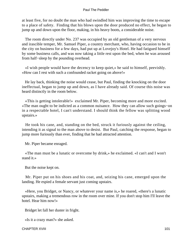at least five, for no doubt the man who had swindled him was improving the time to escape to a place of safety. Finding that his blows upon the door produced no effect, he began to jump up and down upon the floor, making, in his heavy boots, a considerable noise.

 The room directly under No. 237 was occupied by an old gentleman of a very nervous and irascible temper, Mr. Samuel Piper, a country merchant, who, having occasion to be in the city on business for a few days, had put up at Lovejoy's Hotel. He had fatigued himself by some business calls, and was now taking a little rest upon the bed, when he was aroused from half−sleep by the pounding overhead.

 «I wish people would have the decency to keep quiet,» he said to himself, peevishly. «How can I rest with such a confounded racket going on above!»

 He lay back, thinking the noise would cease, but Paul, finding the knocking on the door ineffectual, began to jump up and down, as I have already said. Of course this noise was heard distinctly in the room below.

 «This is getting intolerable!» exclaimed Mr. Piper, becoming more and more excited. «The man ought to be indicted as a common nuisance. How they can allow such goings−on in a respectable hotel, I can't understand. I should think the fellow was splitting wood upstairs.»

 He took his cane, and, standing on the bed, struck it furiously against the ceiling, intending it as signal to the man above to desist. But Paul, catching the response, began to jump more furiously than ever, finding that he had attracted attention.

Mr. Piper became enraged.

 «The man must be a lunatic or overcome by drink,» he exclaimed. «I can't and I won't stand it.»

But the noise kept on.

 Mr. Piper put on his shoes and his coat, and, seizing his cane, emerged upon the landing. He espied a female servant just coming upstairs.

 «Here, you Bridget, or Nancy, or whatever your name is,» he roared, «there's a lunatic upstairs, making a tremendous row in the room over mine. If you don't stop him I'll leave the hotel. Hear him now!»

Bridget let fall her duster in fright.

«Is it a crazy man?» she asked.

CHAPTER XVIII 101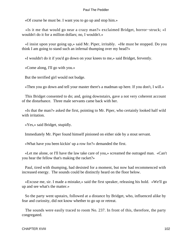«Of course he must be. I want you to go up and stop him.»

 «Is it me that would go near a crazy man?» exclaimed Bridget, horror−struck; «I wouldn't do it for a million dollars; no, I wouldn't.»

 «I insist upon your going up,» said Mr. Piper, irritably. «He must be stopped. Do you think I am going to stand such an infernal thumping over my head?»

«I wouldn't do it if you'd go down on your knees to me,» said Bridget, fervently.

«Come along, I'll go with you.»

But the terrified girl would not budge.

«Then you go down and tell your master there's a madman up here. If you don't, I will.»

 This Bridget consented to do; and, going downstairs, gave a not very coherent account of the disturbance. Three male servants came back with her.

 «Is that the man?» asked the first, pointing to Mr. Piper, who certainly looked half wild with irritation.

«Yes,» said Bridget, stupidly.

Immediately Mr. Piper found himself pinioned on either side by a stout servant.

«What have you been kickin' up a row for?» demanded the first.

 «Let me alone, or I'll have the law take care of you,» screamed the outraged man. «Can't you hear the fellow that's making the racket?»

 Paul, tired with thumping, had desisted for a moment, but now had recommenced with increased energy. The sounds could be distinctly heard on the floor below.

 «Excuse me, sir. I made a mistake,» said the first speaker, releasing his hold. «We'll go up and see what's the matter.»

 So the party went upstairs, followed at a distance by Bridget, who, influenced alike by fear and curiosity, did not know whether to go up or retreat.

 The sounds were easily traced to room No. 237. In front of this, therefore, the party congregated.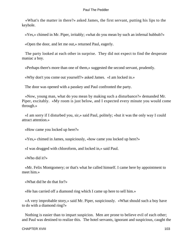«What's the matter in there?» asked James, the first servant, putting his lips to the keyhole.

«Yes,» chimed in Mr. Piper, irritably; «what do you mean by such an infernal hubbub?»

«Open the door, and let me out,» returned Paul, eagerly.

 The party looked at each other in surprise. They did not expect to find the desperate maniac a boy.

«Perhaps there's more than one of them,» suggested the second servant, prudently.

«Why don't you come out yourself?» asked James. «I am locked in.»

The door was opened with a passkey and Paul confronted the party.

 «Now, young man, what do you mean by making such a disturbance?» demanded Mr. Piper, excitably. «My room is just below, and I expected every minute you would come through.»

 «I am sorry if I disturbed you, sir,» said Paul, politely; «but it was the only way I could attract attention.»

«How came you locked up here?»

«Yes,» chimed in James, suspiciously, «how came you locked up here?»

«I was drugged with chloroform, and locked in,» said Paul.

«Who did it?»

 «Mr. Felix Montgomery; or that's what he called himself. I came here by appointment to meet him »

«What did he do that for?»

«He has carried off a diamond ring which I came up here to sell him.»

 «A very improbable story,» said Mr. Piper, suspiciously. «What should such a boy have to do with a diamond ring?»

 Nothing is easier than to impart suspicion. Men are prone to believe evil of each other; and Paul was destined to realize this. The hotel servants, ignorant and suspicious, caught the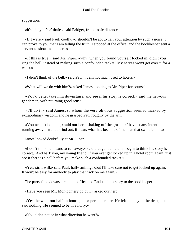suggestion.

«It's likely he's a' thafe,» said Bridget, from a safe distance.

 «If I were,» said Paul, coolly, «I shouldn't be apt to call your attention by such a noise. I can prove to you that I am telling the truth. I stopped at the office, and the bookkeeper sent a servant to show me up here.»

 «If this is true,» said Mr. Piper, «why, when you found yourself locked in, didn't you ring the bell, instead of making such a confounded racket? My nerves won't get over it for a week.»

«I didn't think of the bell,» said Paul; «I am not much used to hotels.»

«What will we do with him?» asked James, looking to Mr. Piper for counsel.

 «You'd better take him downstairs, and see if his story is correct,» said the nervous gentleman, with returning good sense.

 «I'll do it,» said James, to whom the very obvious suggestion seemed marked by extraordinary wisdom, and he grasped Paul roughly by the arm.

 «You needn't hold me,» said our hero, shaking off the grasp. «I haven't any intention of running away. I want to find out, if I can, what has become of the man that swindled me.»

James looked doubtfully at Mr. Piper.

 «I don't think he means to run away,» said that gentleman. «I begin to think his story is correct. And hark you, my young friend, if you ever get locked up in a hotel room again, just see if there is a bell before you make such a confounded racket.»

 «Yes, sir, I will,» said Paul, half−smiling; «but I'll take care not to get locked up again. It won't be easy for anybody to play that trick on me again.»

The party filed downstairs to the office and Paul told his story to the bookkeeper.

«Have you seen Mr. Montgomery go out?» asked our hero.

 «Yes, he went out half an hour ago, or perhaps more. He left his key at the desk, but said nothing. He seemed to be in a hurry.»

«You didn't notice in what direction he went?»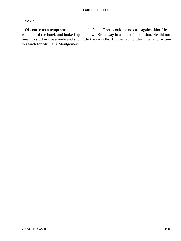«No.»

 Of course no attempt was made to detain Paul. There could be no case against him. He went out of the hotel, and looked up and down Broadway in a state of indecision. He did not mean to sit down passively and submit to the swindle. But he had no idea in what direction to search for Mr. Felix Montgomery.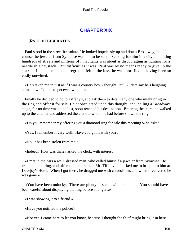# **[CHAPTER XIX](#page-153-0)**

## *P*AUL **DELIBERATES**

 Paul stood in the street irresolute. He looked hopelessly up and down Broadway, but of course the jeweler from Syracuse was not to be seen. Seeking for him in a city containing hundreds of streets and millions of inhabitants was about as discouraging as hunting for a needle in a haystack. But difficult as it was, Paul was by no means ready to give up the search. Indeed, besides the regret he felt at the loss, he was mortified at having been so easily outwitted.

 «He's taken me in just as if I was a country boy,» thought Paul. «I dare say he's laughing at me now. I'd like to get even with him.»

 Finally he decided to go to Tiffany's, and ask them to detain any one who might bring in the ring and offer it for sale. He at once acted upon this thought, and, hailing a Broadway stage, for no time was to be lost, soon reached his destination. Entering the store, he walked up to the counter and addressed the clerk to whom he had before shown the ring.

«Do you remember my offering you a diamond ring for sale this morning?» he asked.

«Yes, I remember it very well. Have you got it with you?»

«No, it has been stolen from me.»

«Indeed! How was that?» asked the clerk, with interest.

 «I met in the cars a well−dressed man, who called himself a jeweler from Syracuse. He examined the ring, and offered me more than Mr. Tiffany, but asked me to bring it to him at Lovejoy's Hotel. When I got there, he drugged me with chloroform, and when I recovered he was gone.»

 «You have been unlucky. There are plenty of such swindlers about. You should have been careful about displaying the ring before strangers.»

«I was showing it to a friend.»

«Have you notified the police?»

«Not yet. I came here to let you know, because I thought the thief might bring it in here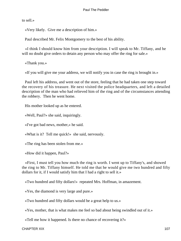to sell.»

«Very likely. Give me a description of him.»

Paul described Mr. Felix Montgomery to the best of his ability.

 «I think I should know him from your description. I will speak to Mr. Tiffany, and he will no doubt give orders to detain any person who may offer the ring for sale.»

«Thank you.»

«If you will give me your address, we will notify you in case the ring is brought in.»

 Paul left his address, and went out of the store, feeling that he had taken one step toward the recovery of his treasure. He next visited the police headquarters, and left a detailed description of the man who had relieved him of the ring and of the circumstances attending the robbery. Then he went home.

His mother looked up as he entered.

«Well, Paul?» she said, inquiringly.

«I've got bad news, mother,» he said.

«What is it? Tell me quick!» she said, nervously.

«The ring has been stolen from me.»

«How did it happen, Paul?»

 «First, I must tell you how much the ring is worth. I went up to Tiffany's, and showed the ring to Mr. Tiffany himself. He told me that he would give me two hundred and fifty dollars for it, if I would satisfy him that I had a right to sell it.»

«Two hundred and fifty dollars!» repeated Mrs. Hoffman, in amazement.

«Yes, the diamond is very large and pure.»

«Two hundred and fifty dollars would be a great help to us.»

«Yes, mother, that is what makes me feel so bad about being swindled out of it.»

«Tell me how it happened. Is there no chance of recovering it?»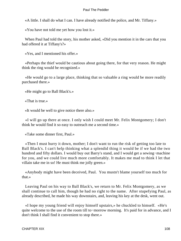«A little. I shall do what I can. I have already notified the police, and Mr. Tiffany.»

«You have not told me yet how you lost it.»

 When Paul had told the story, his mother asked, «Did you mention it in the cars that you had offered it at Tiffany's?»

«Yes, and I mentioned his offer.»

 «Perhaps the thief would be cautious about going there, for that very reason. He might think the ring would be recognized.»

 «He would go to a large place, thinking that so valuable a ring would be more readily purchased there.»

«He might go to Ball Black's.»

«That is true.»

«It would be well to give notice there also.»

 «I will go up there at once. I only wish I could meet Mr. Felix Montgomery; I don't think he would find it so easy to outreach me a second time.»

«Take some dinner first, Paul.»

 «Then I must hurry it down, mother; I don't want to run the risk of getting too late to Ball Black's. I can't help thinking what a splendid thing it would be if we had the two hundred and fifty dollars. I would buy out Barry's stand, and I would get a sewing−machine for you, and we could live much more comfortably. It makes me mad to think I let that villain take me in so! He must think me jolly green.»

 «Anybody might have been deceived, Paul. You mustn't blame yourself too much for that.»

 Leaving Paul on his way to Ball Black's, we return to Mr. Felix Montgomery, as we shall continue to call him, though he had no right to the name. After stupefying Paul, as already described, he made his way downstairs, and, leaving his key at the desk, went out.

 «I hope my young friend will enjoy himself upstairs,» he chuckled to himself. «He's quite welcome to the use of the room till to−morrow morning. It's paid for in advance, and I don't think I shall find it convenient to stop there.»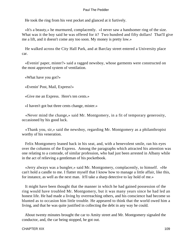He took the ring from his vest pocket and glanced at it furtively.

 «It's a beauty,» he murmured, complacently. «I never saw a handsomer ring of the size. What was it the boy said he was offered for it? Two hundred and fifty dollars! That'll give me a lift, and it doesn't come any too soon. My money is pretty low.»

 He walked across the City Hall Park, and at Barclay street entered a University place car.

 «Evenin' paper, mister?» said a ragged newsboy, whose garments were constructed on the most approved system of ventilation.

«What have you got?»

«Evenin' Post, Mail, Express!»

«Give me an Express. Here's ten cents.»

«I haven't got but three cents change, mister.»

 «Never mind the change,» said Mr. Montgomery, in a fit of temporary generosity, occasioned by his good luck.

 «Thank you, sir,» said the newsboy, regarding Mr. Montgomery as a philanthropist worthy of his veneration.

 Felix Montgomery leaned back in his seat, and, with a benevolent smile, ran his eyes over the columns of the Express. Among the paragraphs which attracted his attention was one relating to a comrade, of similar profession, who had just been arrested in Albany while in the act of relieving a gentleman of his pocketbook.

 «Jerry always was a bungler,» said Mr. Montgomery, complacently, to himself. «He can't hold a candle to me. I flatter myself that I know how to manage a little affair, like this, for instance, as well as the next man. It'll take a sharp detective to lay hold of me.»

 It might have been thought that the manner in which he had gained possession of the ring would have troubled Mr. Montgomery, but it was many years since he had led an honest life. He had made a living by overreaching others, and his conscience had become so blunted as to occasion him little trouble. He appeared to think that the world owed him a living, and that he was quite justified in collecting the debt in any way he could.

 About twenty minutes brought the car to Amity street and Mr. Montgomery signaled the conductor, and, the car being stopped, he got out.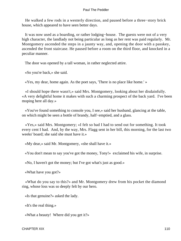He walked a few rods in a westerly direction, and paused before a three−story brick house, which appeared to have seen better days.

 It was now used as a boarding, or rather lodging−house. The guests were not of a very high character, the landlady not being particular as long as her rent was paid regularly. Mr. Montgomery ascended the steps in a jaunty way, and, opening the door with a passkey, ascended the front staircase. He paused before a room on the third floor, and knocked in a peculiar manner.

The door was opened by a tall woman, in rather neglected attire.

«So you're back,» she said.

«Yes, my dear, home again. As the poet says, 'There is no place like home.' »

 «I should hope there wasn't,» said Mrs. Montgomery, looking about her disdainfully. «A very delightful home it makes with such a charming prospect of the back yard. I've been moping here all day.»

 «You've found something to console you, I see,» said her husband, glancing at the table, on which might be seen a bottle of brandy, half−emptied, and a glass.

 «Yes,» said Mrs. Montgomery; «I felt so bad I had to send out for something. It took every cent I had. And, by the way, Mrs. Flagg sent in her bill, this morning, for the last two weeks' board; she said she must have it.»

«My dear,» said Mr. Montgomery, «she shall have it.»

«You don't mean to say you've got the money, Tony!» exclaimed his wife, in surprise.

«No, I haven't got the money; but I've got what's just as good.»

«What have you got?»

 «What do you say to this?» and Mr. Montgomery drew from his pocket the diamond ring, whose loss was so deeply felt by our hero.

«Is that genuine?» asked the lady.

«It's the real thing.»

«What a beauty! Where did you get it?»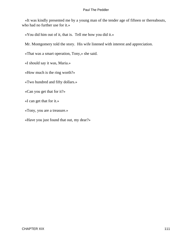«It was kindly presented me by a young man of the tender age of fifteen or thereabouts, who had no further use for it.»

«You did him out of it, that is. Tell me how you did it.»

Mr. Montgomery told the story. His wife listened with interest and appreciation.

«That was a smart operation, Tony,» she said.

«I should say it was, Maria.»

«How much is the ring worth?»

«Two hundred and fifty dollars.»

«Can you get that for it?»

«I can get that for it.»

«Tony, you are a treasure.»

«Have you just found that out, my dear?»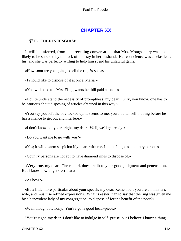# **[CHAPTER XX](#page-153-0)**

### *T*HE **THIEF IN DISGUISE**

 It will be inferred, from the preceding conversation, that Mrs. Montgomery was not likely to be shocked by the lack of honesty in her husband. Her conscience was as elastic as his; and she was perfectly willing to help him spend his unlawful gains.

«How soon are you going to sell the ring?» she asked.

«I should like to dispose of it at once, Maria.»

«You will need to. Mrs. Flagg wants her bill paid at once.»

 «I quite understand the necessity of promptness, my dear. Only, you know, one has to be cautious about disposing of articles obtained in this way.»

 «You say you left the boy locked up. It seems to me, you'd better sell the ring before he has a chance to get out and interfere.»

«I don't know but you're right, my dear. Well, we'll get ready.»

«Do you want me to go with you?»

«Yes; it will disarm suspicion if you are with me. I think I'll go as a country parson.»

«Country parsons are not apt to have diamond rings to dispose of.»

 «Very true, my dear. The remark does credit to your good judgment and penetration. But I know how to get over that.»

«As how?»

 «Be a little more particular about your speech, my dear. Remember, you are a minister's wife, and must use refined expressions. What is easier than to say that the ring was given me by a benevolent lady of my congregation, to dispose of for the benefit of the poor?»

«Well thought of, Tony. You've got a good head−piece.»

"You're right, my dear. I don't like to indulge in self−praise, but I believe I know a thing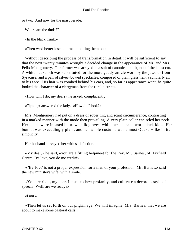or two. And now for the masquerade.

Where are the duds?"

«In the black trunk.»

«Then we'd better lose no time in putting them on.»

Without describing the process of transformation in detail, it will be sufficient to say that the next twenty minutes wrought a decided change in the appearance of Mr. and Mrs. Felix Montgomery. The former was arrayed in a suit of canonical black, not of the latest cut. A white neckcloth was substituted for the more gaudy article worn by the jeweler from Syracuse, and a pair of silver−bowed spectacles, composed of plain glass, lent a scholarly air to his face. His hair was combed behind his ears, and, so far as appearance went, he quite looked the character of a clergyman from the rural districts.

«How will I do, my dear?» he asked, complacently.

«Tiptop,» answered the lady. «How do I look?»

 Mrs. Montgomery had put on a dress of sober tint, and scant circumference, contrasting in a marked manner with the mode then prevailing. A very plain collar encircled her neck. Her hands were incased in brown silk gloves, while her husband wore black kids. Her bonnet was exceedingly plain, and her whole costume was almost Quaker−like in its simplicity.

Her husband surveyed her with satisfaction.

 «My dear,» he said, «you are a fitting helpmeet for the Rev. Mr. Barnes, of Hayfield Centre. By Jove, you do me credit!»

 « 'By Jove' is not a proper expression for a man of your profession, Mr. Barnes,» said the new minister's wife, with a smile.

 «You are right, my dear. I must eschew profanity, and cultivate a decorous style of speech. Well, are we ready?»

«I am.»

 «Then let us set forth on our pilgrimage. We will imagine, Mrs. Barnes, that we are about to make some pastoral calls.»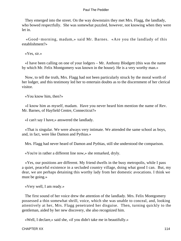They emerged into the street. On the way downstairs they met Mrs. Flagg, the landlady, who bowed respectfully. She was somewhat puzzled, however, not knowing when they were let in.

 «Good−morning, madam,» said Mr. Barnes. «Are you the landlady of this establishment?»

«Yes, sir.»

 «I have been calling on one of your lodgers – Mr. Anthony Blodgett (this was the name by which Mr. Felix Montgomery was known in the house). He is a very worthy man.»

 Now, to tell the truth, Mrs. Flagg had not been particularly struck by the moral worth of her lodger, and this testimony led her to entertain doubts as to the discernment of her clerical visitor.

«You know him, then?»

 «I know him as myself, madam. Have you never heard him mention the name of Rev. Mr. Barnes, of Hayfield Centre, Connecticut?»

«I can't say I have,» answered the landlady.

 «That is singular. We were always very intimate. We attended the same school as boys, and, in fact, were like Damon and Pythias.»

Mrs. Flagg had never heard of Damon and Pythias, still she understood the comparison.

«You're in rather a different line now,» she remarked, dryly.

 «Yes, our positions are different. My friend dwells in the busy metropolis, while I pass a quiet, peaceful existence in a secluded country village, doing what good I can. But, my dear, we are perhaps detaining this worthy lady from her domestic avocations. I think we must be going.»

«Very well, I am ready.»

 The first sound of her voice drew the attention of the landlady. Mrs. Felix Montgomery possessed a thin somewhat shrill, voice, which she was unable to conceal, and, looking attentively at her, Mrs. Flagg penetrated her disguise. Then, turning quickly to the gentleman, aided by her new discovery, she also recognized him.

«Well, I declare,» said she, «if you didn't take me in beautifully.»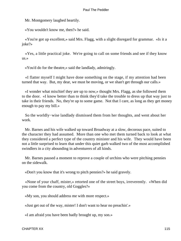Mr. Montgomery laughed heartily.

«You wouldn't know me, then?» he said.

 «You're got up excellent,» said Mrs. Flagg, with a slight disregard for grammar. «Is it a joke?»

 «Yes, a little practical joke. We're going to call on some friends and see if they know us.»

«You'd do for the theatre,» said the landlady, admiringly.

 «I flatter myself I might have done something on the stage, if my attention had been turned that way. But, my dear, we must be moving, or we shan't get through our calls.»

 «I wonder what mischief they are up to now,» thought Mrs. Flagg, as she followed them to the door. «I know better than to think they'd take the trouble to dress up that way just to take in their friends. No, they're up to some game. Not that I care, as long as they get money enough to pay my bill.»

 So the worldly−wise landlady dismissed them from her thoughts, and went about her work.

 Mr. Barnes and his wife walked up toward Broadway at a slow, decorous pace, suited to the character they had assumed. More than one who met them turned back to look at what they considered a perfect type of the country minister and his wife. They would have been not a little surprised to learn that under this quiet garb walked two of the most accomplished swindlers in a city abounding in adventurers of all kinds.

 Mr. Barnes paused a moment to reprove a couple of urchins who were pitching pennies on the sidewalk.

«Don't you know that it's wrong to pitch pennies?» he said gravely.

 «None of your chaff, mister,» retorted one of the street boys, irreverently. «When did you come from the country, old Goggles?»

«My son, you should address me with more respect.»

«Just get out of the way, mister! I don't want to hear no preachin'.»

«I am afraid you have been badly brought up, my son.»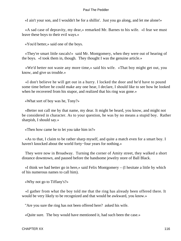«I ain't your son, and I wouldn't be for a shillin'. Just you go along, and let me alone!»

 «A sad case of depravity, my dear,» remarked Mr. Barnes to his wife. «I fear we must leave these boys to their evil ways.»

«You'd better,» said one of the boys.

 «They're smart little rascals!» said Mr. Montgomery, when they were out of hearing of the boys. «I took them in, though. They thought I was the genuine article.»

 «We'd better not waste any more time,» said his wife. «That boy might get out, you know, and give us trouble.»

 «I don't believe he will get out in a hurry. I locked the door and he'd have to pound some time before he could make any one hear, I declare, I should like to see how he looked when he recovered from his stupor, and realized that his ring was gone.»

«What sort of boy was he, Tony?»

 «Better not call me by that name, my dear. It might be heard, you know, and might not be considered in character. As to your question, he was by no means a stupid boy. Rather sharpish, I should say.»

«Then how came he to let you take him in?»

 «As to that, I claim to be rather sharp myself, and quite a match even for a smart boy. I haven't knocked about the world forty−four years for nothing.»

 They were now in Broadway. Turning the corner of Amity street, they walked a short distance downtown, and paused before the handsome jewelry store of Ball Black.

 «I think we had better go in here,» said Felix Montgomery – (I hesitate a little by which of his numerous names to call him).

«Why not go to Tiffany's?»

 «I gather from what the boy told me that the ring has already been offered there. It would be very likely to be recognized and that would be awkward, you know.»

"Are you sure the ring has not been offered here? asked his wife.

«Quite sure. The boy would have mentioned it, had such been the case.»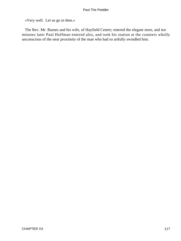«Very well. Let us go in then.»

 The Rev. Mr. Barnes and his wife, of Hayfield Centre; entered the elegant store, and ten minutes later Paul Hoffman entered also, and took his station at the counters wholly unconscious of the near proximity of the man who had so artfully swindled him.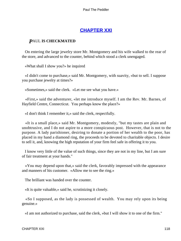## **[CHAPTER XXI](#page-154-0)**

## *P*AUL **IS CHECKMATED**

 On entering the large jewelry store Mr. Montgomery and his wife walked to the rear of the store, and advanced to the counter, behind which stood a clerk unengaged.

«What shall I show you?» he inquired

 «I didn't come to purchase,» said Mr. Montgomery, with suavity, «but to sell. I suppose you purchase jewelry at times?»

«Sometimes,» said the clerk. «Let me see what you have.»

 «First,» said the adventurer, «let me introduce myself. I am the Rev. Mr. Barnes, of Hayfield Centre, Connecticut. You perhaps know the place?»

«I don't think I remember it,» said the clerk, respectfully.

 «It is a small place,» said Mr. Montgomery, modestly, "but my tastes are plain and unobtrusive, and I do not aspire to a more conspicuous post. However, that is not to the purpose. A lady parishioner, desiring to donate a portion of her wealth to the poor, has placed in my hand a diamond ring, the proceeds to be devoted to charitable objects. I desire to sell it, and, knowing the high reputation of your firm feel safe in offering it to you.

 I know very little of the value of such things, since they are not in my line, but I am sure of fair treatment at your hands."

 «You may depend upon that,» said the clerk, favorably impressed with the appearance and manners of his customer. «Allow me to see the ring.»

The brilliant was handed over the counter.

«It is quite valuable,» said he, scrutinizing it closely.

 «So I supposed, as the lady is possessed of wealth. You may rely upon its being genuine.»

«I am not authorized to purchase, said the clerk, »but I will show it to one of the firm."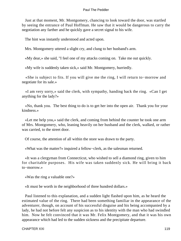Just at that moment, Mr. Montgomery, chancing to look toward the door, was startled by seeing the entrance of Paul Hoffman. He saw that it would be dangerous to carry the negotiation any farther and he quickly gave a secret signal to his wife.

The hint was instantly understood and acted upon.

Mrs. Montgomery uttered a slight cry, and clung to her husband's arm.

«My dear,» she said, "I feel one of my attacks coming on. Take me out quickly.

«My wife is suddenly taken sick,» said Mr. Montgomery, hurriedly.

 «She is subject to fits. If you will give me the ring, I will return to−morrow and negotiate for its sale.»

 «I am very sorry,» said the clerk, with sympathy, handing back the ring. «Can I get anything for the lady?»

 «No, thank you. The best thing to do is to get her into the open air. Thank you for your kindness.»

 «Let me help you,» said the clerk, and coming from behind the counter he took one arm of Mrs. Montgomery, who, leaning heavily on her husband and the clerk, walked, or rather was carried, to the street door.

Of course, the attention of all within the store was drawn to the party.

«What was the matter?» inquired a fellow−clerk, as the salesman returned.

 «It was a clergyman from Connecticut, who wished to sell a diamond ring, given to him for charitable purposes. His wife was taken suddenly sick. He will bring it back to−morrow.»

«Was the ring a valuable one?»

«It must be worth in the neighborhood of three hundred dollars.»

 Paul listened to this explanation, and a sudden light flashed upon him, as he heard the estimated value of the ring. There had been something familiar in the appearance of the adventurer, though, on account of his successful disguise and his being accompanied by a lady, he had not before felt any suspicion as to his identity with the man who had swindled him. Now he felt convinced that it was Mr. Felix Montgomery, and that it was his own appearance which had led to the sudden sickness and the precipitate departure.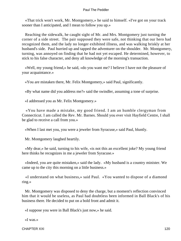«That trick won't work, Mr. Montgomery,» he said to himself. «I've got on your track sooner than I anticipated, and I mean to follow you up.»

 Reaching the sidewalk, he caught sight of Mr. and Mrs. Montgomery just turning the corner of a side street. The pair supposed they were safe, not thinking that our hero had recognized them, and the lady no longer exhibited illness, and was walking briskly at her husband's side. Paul hurried up and tapped the adventurer on the shoulder. Mr. Montgomery, turning, was annoyed on finding that he had not yet escaped. He determined, however, to stick to his false character, and deny all knowledge of the morning's transaction.

 «Well, my young friend,» he said, «do you want me? I believe I have not the pleasure of your acquaintance.»

«You are mistaken there, Mr. Felix Montgomery,» said Paul, significantly.

«By what name did you address me?» said the swindler, assuming a tone of surprise.

«I addressed you as Mr. Felix Montgomery.»

 «You have made a mistake, my good friend. I am an humble clergyman from Connecticut. I am called the Rev. Mr. Barnes. Should you ever visit Hayfield Centre, I shall be glad to receive a call from you.»

«When I last met you, you were a jeweler from Syracuse,» said Paul, bluntly.

Mr. Montgomery laughed heartily.

 «My dear,» he said, turning to his wife, «is not this an excellent joke? My young friend here thinks he recognizes in me a jeweler from Syracuse.»

 «Indeed, you are quite mistaken,» said the lady. «My husband is a country minister. We came up to the city this morning on a little business.»

 «I understand on what business,» said Paul. «You wanted to dispose of a diamond ring.»

 Mr. Montgomery was disposed to deny the charge, but a moment's reflection convinced him that it would be useless, as Paul had doubtless been informed in Ball Black's of his business there. He decided to put on a bold front and admit it.

«I suppose you were in Ball Black's just now,» he said.

«I was.»

CHAPTER XXI and the contract of the contract of the contract of the contract of the contract of the contract of the contract of the contract of the contract of the contract of the contract of the contract of the contract o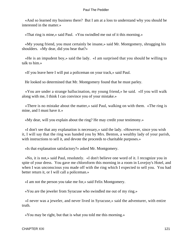«And so learned my business there? But I am at a loss to understand why you should be interested in the matter.»

«That ring is mine,» said Paul. «You swindled me out of it this morning.»

 «My young friend, you must certainly be insane,» said Mr. Montgomery, shrugging his shoulders. «My dear, did you hear that?»

 «He is an impudent boy,» said the lady. «I am surprised that you should be willing to talk to him.»

«If you leave here I will put a policeman on your track,» said Paul.

He looked so determined that Mr. Montgomery found that he must parley.

 «You are under a strange hallucination, my young friend,» he said. «If you will walk along with me, I think I can convince you of your mistake.»

 «There is no mistake about the matter,» said Paul, walking on with them. «The ring is mine, and I must have it.»

«My dear, will you explain about the ring? He may credit your testimony.»

 «I don't see that any explanation is necessary,» said the lady. «However, since you wish it, I will say that the ring was handed you by Mrs. Benton, a wealthy lady of your parish, with instructions to sell it, and devote the proceeds to charitable purposes.»

«Is that explanation satisfactory?» asked Mr. Montgomery.

 «No, it is not,» said Paul, resolutely. «I don't believe one word of it. I recognize you in spite of your dress. You gave me chloroform this morning in a room in Lovejoy's Hotel, and when I was unconscious you made off with the ring which I expected to sell you. You had better return it, or I will call a policeman.»

«I am not the person you take me for,» said Felix Montgomery.

«You are the jeweler from Syracuse who swindled me out of my ring.»

 «I never was a jeweler, and never lived in Syracuse,» said the adventurer, with entire truth.

«You may be right, but that is what you told me this morning.»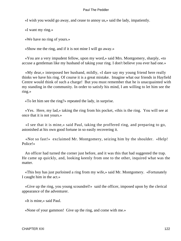«I wish you would go away, and cease to annoy us,» said the lady, impatiently.

«I want my ring.»

«We have no ring of yours.»

«Show me the ring, and if it is not mine I will go away.»

 «You are a very impudent fellow, upon my word,» said Mrs. Montgomery, sharply, «to accuse a gentleman like my husband of taking your ring. I don't believe you ever had one.»

 «My dear,» interposed her husband, mildly, «I dare say my young friend here really thinks we have his ring. Of course it is a great mistake. Imagine what our friends in Hayfield Centre would think of such a charge! But you must remember that he is unacquainted with my standing in the community. In order to satisfy his mind, I am willing to let him see the ring.»

«To let him see the ring?» repeated the lady, in surprise.

 «Yes. Here, my lad,» taking the ring from his pocket, «this is the ring. You will see at once that it is not yours.»

 «I see that it is mine,» said Paul, taking the proffered ring, and preparing to go, astonished at his own good fortune in so easily recovering it.

 «Not so fast!» exclaimed Mr. Montgomery, seizing him by the shoulder. «Help! Police!»

 An officer had turned the corner just before, and it was this that had suggested the trap. He came up quickly, and, looking keenly from one to the other, inquired what was the matter.

 «This boy has just purloined a ring from my wife,» said Mr. Montgomery. «Fortunately I caught him in the act.»

 «Give up the ring, you young scoundrel!» said the officer, imposed upon by the clerical appearance of the adventurer.

«It is mine,» said Paul.

«None of your gammon! Give up the ring, and come with me.»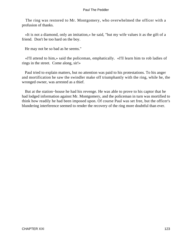The ring was restored to Mr. Montgomery, who overwhelmed the officer with a profusion of thanks.

 «It is not a diamond, only an imitation,» he said, "but my wife values it as the gift of a friend. Don't be too hard on the boy.

He may not be so bad as he seems."

 «I'll attend to him,» said the policeman, emphatically. «I'll learn him to rob ladies of rings in the street. Come along, sir!»

 Paul tried to explain matters, but no attention was paid to his protestations. To his anger and mortification he saw the swindler make off triumphantly with the ring, while he, the wronged owner, was arrested as a thief.

 But at the station−house he had his revenge. He was able to prove to his captor that he had lodged information against Mr. Montgomery, and the policeman in turn was mortified to think how readily he had been imposed upon. Of course Paul was set free, but the officer's blundering interference seemed to render the recovery of the ring more doubtful than ever.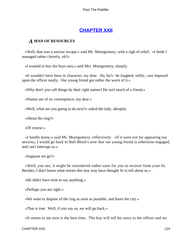## **[CHAPTER XXII](#page-154-0)**

### *A* **MAN OF RESOURCES**

 «Well, that was a narrow escape,» said Mr. Montgomery, with a sigh of relief. «I think I managed rather cleverly, eh?»

«I wanted to box the boys ears,» said Mrs. Montgomery, sharply.

 «It wouldn't have been in character, my dear. Ha, ha!» he laughed, softly, «we imposed upon the officer neatly. Our young friend got rather the worst of it.»

«Why don't you call things by their right names? He isn't much of a friend.»

«Names are of no consequence, my dear.»

«Well, what are you going to do next?» asked the lady, abruptly.

«About the ring?»

«Of course.»

 «I hardly know,» said Mr. Montgomery, reflectively. «If it were not for appearing too anxious, I would go back to Ball Black's now that our young friend is otherwise engaged, and can't interrupt us.»

«Suppose we go?»

 «Well, you see, it might be considered rather soon for you to recover from your fit. Besides, I don't know what stories this boy may have thought fit to tell about us.»

«He didn't have time to say anything.»

«Perhaps you are right.»

«We want to dispose of the ring as soon as possible, and leave the city.»

«That is true. Well, if you say so, we will go back.»

«It seems to me now is the best time. The boy will tell his story to the officer and we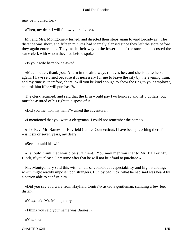may be inquired for.»

«Then, my dear, I will follow your advice.»

 Mr. and Mrs. Montgomery turned, and directed their steps again toward Broadway. The distance was short, and fifteen minutes had scarcely elapsed since they left the store before they again entered it. They made their way to the lower end of the store and accosted the same clerk with whom they had before spoken.

«Is your wife better?» he asked.

 «Much better, thank you. A turn in the air always relieves her, and she is quite herself again. I have returned because it is necessary for me to leave the city by the evening train, and my time is, therefore, short. Will you be kind enough to show the ring to your employer, and ask him if he will purchase?»

 The clerk returned, and said that the firm would pay two hundred and fifty dollars, but must be assured of his right to dispose of it.

«Did you mention my name?» asked the adventurer.

«I mentioned that you were a clergyman. I could not remember the name.»

 «The Rev. Mr. Barnes, of Hayfield Centre, Connecticut. I have been preaching there for – is it six or seven years, my dear?»

«Seven,» said his wife.

 «I should think that would be sufficient. You may mention that to Mr. Ball or Mr. Black, if you please. I presume after that he will not be afraid to purchase.»

 Mr. Montgomery said this with an air of conscious respectability and high standing, which might readily impose upon strangers. But, by bad luck, what he had said was heard by a person able to confute him.

 «Did you say you were from Hayfield Centre?» asked a gentleman, standing a few feet distant.

«Yes,» said Mr. Montgomery.

«I think you said your name was Barnes?»

«Yes, sir.»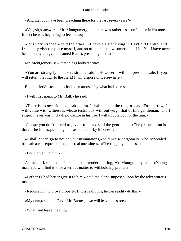«And that you have been preaching there for the last seven years?»

 «Yes, sir,» answered Mr. Montgomery, but there was rather less confidence in his tone. In fact he was beginning to feel uneasy.

 «It is very strange,» said the other. «I have a sister living in Hayfield Centre, and frequently visit the place myself, and so of course know something of it. Yet I have never heard of any clergyman named Barnes preaching there.»

Mr. Montgomery saw that things looked critical.

 «You are strangely mistaken, sir,» he said. «However, I will not press the sale. If you will return the ring (to the clerk) I will dispose of it elsewhere.»

But the clerk's suspicions had been aroused by what had been said.

«I will first speak to Mr. Ball,» he said.

 «There is no occasion to speak to him. I shall not sell the ring to−day. To−morrow, I will come with witnesses whose testimony will outweigh that of this gentleman, who I suspect never was in Hayfield Centre in his life. I will trouble you for the ring.»

 «I hope you don't intend to give it to him,» said the gentleman. «The presumption is that, as he is masquerading, he has not come by it honestly.»

 «I shall not deign to notice your insinuations,» said Mr. Montgomery, who concealed beneath a consequential tone his real uneasiness. «The ring, if you please.»

«Don't give it to him.»

 As the clerk seemed disinclined to surrender the ring, Mr. Montgomery said: «Young man, you will find it to be a serious matter to withhold my property.»

 «Perhaps I had better give it to him,» said the clerk, imposed upon by the adventurer's manner.

«Require him to prove property. If it is really his, he can readily do this.»

«My dear,» said the Rev. Mr. Barnes, «we will leave the store.»

«What, and leave the ring?»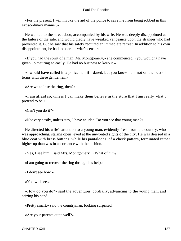«For the present. I will invoke the aid of the police to save me from being robbed in this extraordinary manner.»

 He walked to the street door, accompanied by his wife. He was deeply disappointed at the failure of the sale, and would gladly have wreaked vengeance upon the stranger who had prevented it. But he saw that his safety required an immediate retreat. In addition to his own disappointment, he had to bear his wife's censure.

 «If you had the spirit of a man, Mr. Montgomery,» she commenced, «you wouldn't have given up that ring so easily. He had no business to keep it.»

 «I would have called in a policeman if I dared, but you know I am not on the best of terms with these gentlemen.»

«Are we to lose the ring, then?»

 «I am afraid so, unless I can make them believe in the store that I am really what I pretend to be.»

«Can't you do it?»

«Not very easily, unless stay, I have an idea. Do you see that young man?»

 He directed his wife's attention to a young man, evidently fresh from the country, who was approaching, staring open−eyed at the unwonted sights of the city. He was dressed in a blue coat with brass buttons, while his pantaloons, of a check pattern, terminated rather higher up than was in accordance with the fashion.

«Yes, I see him,» said Mrs. Montgomery. «What of him?»

«I am going to recover the ring through his help.»

«I don't see how.»

«You will see.»

 «How do you do?» said the adventurer, cordially, advancing to the young man, and seizing his hand.

«Pretty smart,» said the countryman, looking surprised.

«Are your parents quite well?»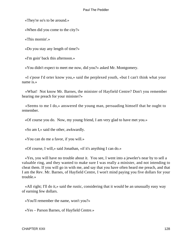«They're so's to be around.»

«When did you come to the city?»

«This mornin'.»

«Do you stay any length of time?»

«I'm goin' back this afternoon.»

«You didn't expect to meet me now, did you?» asked Mr. Montgomery.

 «I s'pose I'd orter know you,» said the perplexed youth, «but I can't think what your name is.»

 «What! Not know Mr. Barnes, the minister of Hayfield Centre? Don't you remember hearing me preach for your minister?»

 «Seems to me I do,» answered the young man, persuading himself that he ought to remember.

«Of course you do. Now, my young friend, I am very glad to have met you.»

«So am I,» said the other, awkwardly.

«You can do me a favor, if you will.»

«Of course, I will,» said Jonathan, «if it's anything I can do.»

 «Yes, you will have no trouble about it. You see, I went into a jeweler's near by to sell a valuable ring, and they wanted to make sure I was really a minister, and not intending to cheat them. If you will go in with me, and say that you have often heard me preach, and that I am the Rev. Mr. Barnes, of Hayfield Centre, I won't mind paying you five dollars for your trouble.»

 «All right; I'll do it,» said the rustic, considering that it would be an unusually easy way of earning few dollars.

«You'll remember the name, won't you?»

«Yes – Parson Barnes, of Hayfield Centre.»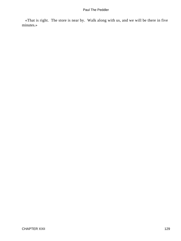«That is right. The store is near by. Walk along with us, and we will be there in five minutes.»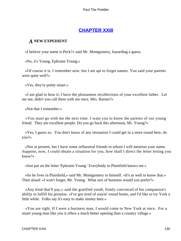## **[CHAPTER XXIII](#page-154-0)**

## *A* **NEW EXPEDIENT**

«I believe your name is Peck?» said Mr. Montgomery, hazarding a guess.

«No, it's Young, Ephraim Young.»

 «Of course it is. I remember now, but I am apt to forget names. You said your parents were quite well?»

«Yes, they're pretty smart.»

 «I am glad to hear it; I have the pleasantest recollections of your excellent father. Let me see, didn't you call there with me once, Mrs. Barnes?»

«Not that I remember.»

 «You must go with me the next time. I want you to know the parents of our young friend. They are excellent people. Do you go back this afternoon, Mr. Young?»

 «Yes, I guess so. You don't know of any sitooation I could get in a store round here, do you?»

 «Not at present, but I have some influential friends to whom I will mention your name. Suppose, now, I could obtain a situation for you, how shall I direct the letter letting you know?»

«Just put on the letter 'Ephraim Young.' Everybody in Plainfield knows me.»

 «So he lives in Plainfield,» said Mr. Montgomery to himself. «It's as well to know that.» Then aloud: «I won't forget, Mr. Young. What sort of business would you prefer?»

 «Any kind that'll pay,» said the gratified youth, firmly convinced of his companion's ability to fulfill his promise. «I've got tired of stayin' round home, and I'd like to try York a little while. Folks say it's easy to make money here.»

 «You are right. If I were a business man, I would come to New York at once. For a smart young man like you it offers a much better opening than a country village.»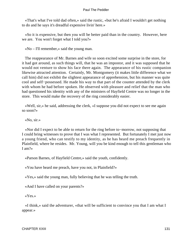«That's what I've told dad often,» said the rustic, «but he's afraid I wouldn't get nothing to do and he says it's dreadful expensive livin' here.»

 «So it is expensive, but then you will be better paid than in the country. However, here we are. You won't forget what I told you?»

«No – I'll remember,» said the young man.

 The reappearance of Mr. Barnes and wife so soon excited some surprise in the store, for it had got around, as such things will, that he was an impostor, and it was supposed that he would not venture to show his face there again. The appearance of his rustic companion likewise attracted attention. Certainly, Mr. Montgomery (it makes little difference what we call him) did not exhibit the slightest appearance of apprehension, but his manner was quite cool and self−possessed. He made his way to that part of the counter attended by the clerk with whom he had before spoken. He observed with pleasure and relief that the man who had questioned his identity with any of the ministers of Hayfield Centre was no longer in the store. This would make the recovery of the ring considerably easier.

 «Well, sir,» he said, addressing the clerk, «I suppose you did not expect to see me again so soon?»

«No, sir.»

 «Nor did I expect to be able to return for the ring before to−morrow, not supposing that I could bring witnesses to prove that I was what I represented. But fortunately I met just now a young friend, who can testify to my identity, as he has heard me preach frequently in Plainfield, where he resides. Mr. Young, will you be kind enough to tell this gentleman who I am?»

«Parson Barnes, of Hayfield Centre,» said the youth, confidently.

«You have heard me preach, have you not, in Plainfield?»

«Yes,» said the young man, fully believing that he was telling the truth.

«And I have called on your parents?»

«Yes.»

 «I think,» said the adventurer, «that will be sufficient to convince you that I am what I appear.»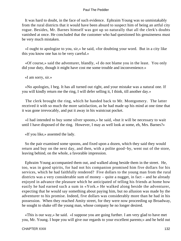It was hard to doubt, in the face of such evidence. Ephraim Young was so unmistakably from the rural districts that it would have been absurd to suspect him of being an artful city rogue. Besides, Mr. Barnes himself was got up so naturally that all the clerk's doubts vanished at once. He concluded that the customer who had questioned his genuineness must be very much mistaken.

 «I ought to apologize to you, sir,» he said, «for doubting your word. But in a city like this you know one has to be very careful.»

 «Of course,» said the adventurer, blandly, «I do not blame you in the least. You only did your duty, though it might have cost me some trouble and inconvenience.»

«I am sorry, sir.»

 «No apologies, I beg. It has all turned out right, and your mistake was a natural one. If you will kindly return me the ring, I will defer selling it, I think, till another day.»

 The clerk brought the ring, which he handed back to Mr. Montgomery. The latter received it with so much the more satisfaction, as he had made up his mind at one time that it was gone irrevocably, and put it away in his waistcoat pocket.

 «I had intended to buy some silver spoons,» he said, «but it will be necessary to wait until I have disposed of the ring. However, I may as well look at some, eh, Mrs. Barnes?»

«If you like,» assented the lady.

 So the pair examined some spoons, and fixed upon a dozen, which they said they would return and buy on the next day, and then, with a polite good−by, went out of the store, leaving behind, on the whole, a favorable impression.

 Ephraim Young accompanied them out, and walked along beside them in the street. He, too, was in good spirits, for had not his companion promised him five dollars for his services, which he had faithfully rendered? Five dollars to the young man from the rural districts was a very considerable sum of money – quite a nugget, in fact – and he already enjoyed in advance the pleasure which he anticipated of telling his friends at home how easily he had earned such a sum in «York.» He walked along beside the adventurer, expecting that he would say something about paying him, but no allusion was made by the adventurer to his promise. Indeed, five dollars was considerably more than he had in his possession. When they reached Amity street, for they were now proceeding up Broadway, he sought to shake off the young man, whose company he no longer desired.

 «This is our way,» he said. «I suppose you are going further. I am very glad to have met you, Mr. Young. I hope you will give our regards to your excellent parents;» and he held out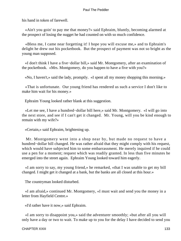his hand in token of farewell.

 «Ain't you goin' to pay me that money?» said Ephraim, bluntly, becoming alarmed at the prospect of losing the nugget he had counted on with so much confidence.

 «Bless me, I came near forgetting it! I hope you will excuse me,» and to Ephraim's delight he drew out his pocketbook. But the prospect of payment was not so bright as the young man supposed.

 «I don't think I have a five−dollar bill,» said Mr. Montgomery, after an examination of the pocketbook. «Mrs. Montgomery, do you happen to have a five with you?»

«No, I haven't,» said the lady, promptly. «I spent all my money shopping this morning.»

 «That is unfortunate. Our young friend has rendered us such a service I don't like to make him wait for his money.»

Ephraim Young looked rather blank at this suggestion.

 «Let me see, I have a hundred−dollar bill here,» said Mr. Montgomery. «I will go into the next store, and see if I can't get it changed. Mr. Young, will you be kind enough to remain with my wife?»

«Certain,» said Ephraim, brightening up.

 Mr. Montgomery went into a shop near by, but made no request to have a hundred−dollar bill changed. He was rather afraid that they might comply with his request, which would have subjected him to some embarrassment. He merely inquired if he could use a pen for a moment; request which was readily granted. In less than five minutes he emerged into the street again. Ephraim Young looked toward him eagerly.

 «I am sorry to say, my young friend,» he remarked, «that I was unable to get my bill changed. I might get it changed at a bank, but the banks are all closed at this hour.»

The countryman looked disturbed.

 «I am afraid,» continued Mr. Montgomery, «I must wait and send you the money in a letter from Hayfield Centre.»

«I'd rather have it now,» said Ephraim.

 «I am sorry to disappoint you,» said the adventurer smoothly; «but after all you will only have a day or two to wait. To make up to you for the delay I have decided to send you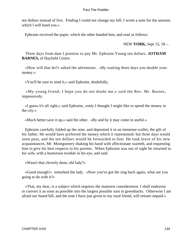ten dollars instead of five. Finding I could not change my bill, I wrote a note for the amount, which I will hand you.»

Ephraim received the paper, which the other handed him, and read as follows:

NEW **YORK,** Sept 15, 18 – .

 Three days from date I promise to pay Mr. Ephraim Young ten dollars. **JOTHAM BARNES,** of Hayfield Centre.

 «How will that do?» asked the adventurer. «By waiting three days you double your money.»

«You'll be sure to send it,» said Ephraim, doubtfully.

 «My young friend, I hope you do not doubt me,» said the Rev. Mr. Barnes, impressively.

 «I guess it's all right,» said Ephraim, «only I thought I might like to spend the money in the city.»

«Much better save it up,» said the other. «By and by it may come in useful.»

 Ephraim carefully folded up the note, and deposited it in an immense wallet, the gift of his father. He would have preferred the money which it represented: but three days would soon pass, and the ten dollars would be forwarded to him. He took leave of his new acquaintances, Mr. Montgomery shaking his hand with affectionate warmth, and requesting him to give his best respects to his parents. When Ephraim was out of sight he returned to his wife, with a humorous twinkle in his eye, and said:

«Wasn't that cleverly done, old lady?»

 «Good enough!» remarked the lady. «Now you've got the ring back again, what are you going to do with it?»

 «That, my dear, is a subject which requires the maturest consideration. I shall endeavor to convert it as soon as possible into the largest possible sum in greenbacks. Otherwise I am afraid our board bill, and the note I have just given to my rural friend, will remain unpaid.»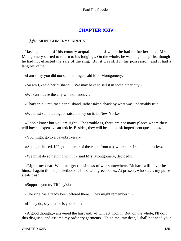# **[CHAPTER XXIV](#page-154-0)**

## *M*R. MONTGOMERY'S **ARREST**

 Having shaken off his country acquaintance, of whom he had no further need, Mr. Montgomery started to return to his lodgings. On the whole, he was in good spirits, though he had not effected the sale of the ring. But it was still in his possession, and it had a tangible value.

«I am sorry you did not sell the ring,» said Mrs. Montgomery.

«So am I,» said her husband. «We may have to sell it in some other city.»

«We can't leave the city without money.»

«That's true,» returned her husband, rather taken aback by what was undeniably true.

«We must sell the ring, or raise money on it, in New York.»

 «I don't know but you are right. The trouble is, there are not many places where they will buy so expensive an article. Besides, they will be apt to ask impertinent questions.»

«You might go to a pawnbroker's.»

«And get fleeced. If I got a quarter of the value from a pawnbroker, I should be lucky.»

«We must do something with it,» said Mrs. Montgomery, decidedly.

 «Right, my dear. We must get the sinews of war somewhere. Richard will never be himself again till his pocketbook is lined with greenbacks. At present, who steals my purse steals trash.»

«Suppose you try Tiffany's?»

«The ring has already been offered there. They might remember it.»

«If they do, say that he is your son.»

 «A good thought,» answered the husband. «I will act upon it. But, on the whole, I'll doff this disguise, and assume my ordinary garments. This time, my dear, I shall not need your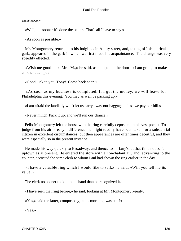assistance.»

«Well, the sooner it's done the better. That's all I have to say.»

«As soon as possible.»

 Mr. Montgomery returned to his lodgings in Amity street, and, taking off his clerical garb, appeared in the garb in which we first made his acquaintance. The change was very speedily effected.

 «Wish me good luck, Mrs. M.,» he said, as he opened the door. «I am going to make another attempt.»

«Good luck to you, Tony! Come back soon.»

 «As soon as my business is completed. If I get the money, we will leave for Philadelphia this evening. You may as well be packing up.»

«I am afraid the landlady won't let us carry away our baggage unless we pay our bill.»

«Never mind! Pack it up, and we'll run our chance.»

 Felix Montgomery left the house with the ring carefully deposited in his vest pocket. To judge from his air of easy indifference, he might readily have been taken for a substantial citizen in excellent circumstances; but then appearances are oftentimes deceitful, and they were especially so in the present instance.

 He made his way quickly to Broadway, and thence to Tiffany's, at that time not so far uptown as at present. He entered the store with a nonchalant air, and, advancing to the counter, accosted the same clerk to whom Paul had shown the ring earlier in the day.

 «I have a valuable ring which I would like to sell,» he said. «Will you tell me its value?»

The clerk no sooner took it in his hand than he recognized it.

«I have seen that ring before,» he said, looking at Mr. Montgomery keenly.

«Yes,» said the latter, composedly; «this morning, wasn't it?»

«Yes.»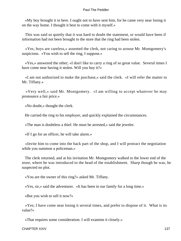«My boy brought it in here. I ought not to have sent him, for he came very near losing it on the way home. I thought it best to come with it myself.»

 This was said so quietly that it was hard to doubt the statement, or would have been if information had not been brought to the store that the ring had been stolen.

 «Yes, boys are careless,» assented the clerk, not caring to arouse Mr. Montgomery's suspicions. «You wish to sell the ring, I suppose.»

 «Yes,» answered the other; «I don't like to carry a ring of so great value. Several times I have come near having it stolen. Will you buy it?»

 «I am not authorized to make the purchase,» said the clerk. «I will refer the matter to Mr. Tiffany.»

 «Very well,» said Mr. Montgomery. «I am willing to accept whatever he may pronounce a fair price.»

«No doubt,» thought the clerk.

He carried the ring to his employer, and quickly explained the circumstances.

«The man is doubtless a thief. He must be arrested,» said the jeweler.

«If I go for an officer, he will take alarm.»

 «Invite him to come into the back part of the shop, and I will protract the negotiation while you summon a policeman.»

 The clerk returned, and at his invitation Mr. Montgomery walked to the lower end of the store, where he was introduced to the head of the establishment. Sharp though he was, he suspected no plot.

«You are the owner of this ring?» asked Mr. Tiffany.

«Yes, sir,» said the adventurer. «It has been in our family for a long time.»

«But you wish to sell it now?»

 «Yes; I have come near losing it several times, and prefer to dispose of it. What is its value?»

«That requires some consideration. I will examine it closely.»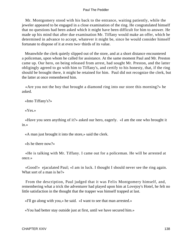Mr. Montgomery stood with his back to the entrance, waiting patiently, while the jeweler appeared to be engaged in a close examination of the ring. He congratulated himself that no questions had been asked which it might have been difficult for him to answer. He made up his mind that after due examination Mr. Tiffany would make an offer, which he determined in advance to accept, whatever it might be, since he would consider himself fortunate to dispose of it at even two−thirds of its value.

 Meanwhile the clerk quietly slipped out of the store, and at a short distance encountered a policeman, upon whom he called for assistance. At the same moment Paul and Mr. Preston came up. Our hero, on being released from arrest, had sought Mr. Preston, and the latter obligingly agreed to go with him to Tiffany's, and certify to his honesty, that, if the ring should be brought there, it might be retained for him. Paul did not recognize the clerk, but the latter at once remembered him.

 «Are you not the boy that brought a diamond ring into our store this morning?» he asked.

«Into Tiffany's?»

«Yes.»

 «Have you seen anything of it?» asked our hero, eagerly. «I am the one who brought it in.»

«A man just brought it into the store,» said the clerk.

«Is he there now?»

 «He is talking with Mr. Tiffany. I came out for a policeman. He will be arrested at once.»

 «Good!» ejaculated Paul; «I am in luck. I thought I should never see the ring again. What sort of a man is he?»

 From the description, Paul judged that it was Felix Montgomery himself, and, remembering what a trick the adventurer had played upon him at Lovejoy's Hotel, he felt no little satisfaction in the thought that the trapper was himself trapped at last.

«I'll go along with you,» he said. «I want to see that man arrested.»

«You had better stay outside just at first, until we have secured him.»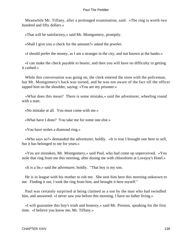Meanwhile Mr. Tiffany, after a prolonged examination, said: «The ring is worth two hundred and fifty dollars.»

«That will be satisfactory,» said Mr. Montgomery, promptly.

«Shall I give you a check for the amount?» asked the jeweler.

«I should prefer the money, as I am a stranger in the city, and not known at the banks.»

 «I can make the check payable to bearer, and then you will have no difficulty in getting it cashed.»

 While this conversation was going on, the clerk entered the store with the policeman, but Mr. Montgomery's back was turned, and he was not aware of the fact till the officer tapped him on the shoulder, saying: «You are my prisoner.»

 «What does this mean? There is some mistake,» said the adventurer, wheeling round with a start.

«No mistake at all. You must come with me.»

«What have I done? You take me for some one else.»

«You have stolen a diamond ring.»

 «Who says so?» demanded the adventurer, boldly. «It is true I brought one here to sell, but it has belonged to me for years.»

 «You are mistaken, Mr. Montgomery,» said Paul, who had come up unperceived. «You stole that ring from me this morning, after dosing me with chloroform at Lovejoy's Hotel.»

«It is a lie,» said the adventurer, boldly. "That boy is my son.

 He is in league with his mother to rob me. She sent him here this morning unknown to me. Finding it out, I took the ring from him, and brought it here myself."

 Paul was certainly surprised at being claimed as a son by the man who had swindled him, and answered: «I never saw you before this morning. I have no father living.»

 «I will guarantee this boy's truth and honesty,» said Mr. Preston, speaking for the first time. «I believe you know me, Mr. Tiffany.»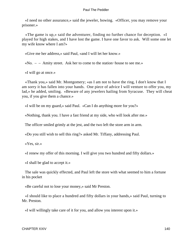«I need no other assurance,» said the jeweler, bowing. «Officer, you may remove your prisoner.»

 «The game is up,» said the adventurer, finding no further chance for deception. «I played for high stakes, and I have lost the game. I have one favor to ask. Will some one let my wife know where I am?»

«Give me her address,» said Paul, «and I will let her know.»

«No. – – Amity street. Ask her to come to the station−house to see me.»

«I will go at once.»

 «Thank you,» said Mr. Montgomery; «as I am not to have the ring, I don't know that I am sorry it has fallen into your hands. One piece of advice I will venture to offer you, my lad,» he added, smiling. «Beware of any jewelers hailing from Syracuse. They will cheat you, if you give them a chance.»

«I will be on my guard,» said Paul. «Can I do anything more for you?»

«Nothing, thank you. I have a fast friend at my side, who will look after me.»

The officer smiled grimly at the jest, and the two left the store arm in arm.

«Do you still wish to sell this ring?» asked Mr. Tiffany, addressing Paul.

«Yes, sir.»

«I renew my offer of this morning. I will give you two hundred and fifty dollars.»

«I shall be glad to accept it.»

 The sale was quickly effected, and Paul left the store with what seemed to him a fortune in his pocket

«Be careful not to lose your money,» said Mr Preston.

 «I should like to place a hundred and fifty dollars in your hands,» said Paul, turning to Mr. Preston.

«I will willingly take care of it for you, and allow you interest upon it.»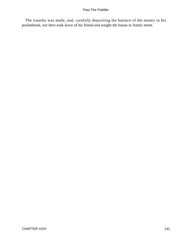The transfer was made, and, carefully depositing the balance of the money in his pocketbook, our hero took leave of his friend and sought the house in Amity street.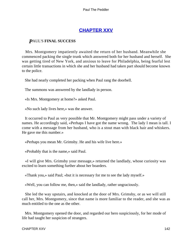# **[CHAPTER XXV](#page-154-0)**

### *P*AUL'S **FINAL SUCCESS**

 Mrs. Montgomery impatiently awaited the return of her husband. Meanwhile she commenced packing the single trunk which answered both for her husband and herself. She was getting tired of New York, and anxious to leave for Philadelphia, being fearful lest certain little transactions in which she and her husband had taken part should become known to the police.

She had nearly completed her packing when Paul rang the doorbell.

The summons was answered by the landlady in person.

«Is Mrs. Montgomery at home?» asked Paul.

«No such lady lives here,» was the answer.

 It occurred to Paul as very possible that Mr. Montgomery might pass under a variety of names. He accordingly said, «Perhaps I have got the name wrong. The lady I mean is tall. I come with a message from her husband, who is a stout man with black hair and whiskers. He gave me this number.»

«Perhaps you mean Mr. Grimsby. He and his wife live here.»

«Probably that is the name,» said Paul.

 «I will give Mrs. Grimsby your message,» returned the landlady, whose curiosity was excited to learn something further about her boarders.

«Thank you,» said Paul; «but it is necessary for me to see the lady myself.»

«Well, you can follow me, then,» said the landlady, rather ungraciously.

 She led the way upstairs, and knocked at the door of Mrs. Grimsby, or as we will still call her, Mrs. Montgomery, since that name is more familiar to the reader, and she was as much entitled to the one as the other.

 Mrs. Montgomery opened the door, and regarded our hero suspiciously, for her mode of life had taught her suspicion of strangers.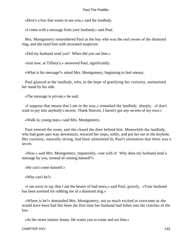«Here's a boy that wants to see you,» said the landlady.

«I come with a message from your husband,» said Paul.

 Mrs. Montgomery remembered Paul as the boy who was the real owner of the diamond ring, and she eyed him with increased suspicion.

«Did my husband send you? When did you see him.»

«Just now, at Tiffany's,» answered Paul, significantly.

«What is his message?» asked Mrs. Montgomery, beginning to feel uneasy.

 Paul glanced at the landlady, who, in the hope of gratifying her curiosity, maintained her stand by his side.

«The message is private,» he said.

 «I suppose that means that I am in the way,» remarked the landlady, sharply. «I don't want to pry into anybody's secrets. Thank Heaven, I haven't got any secrets of my own.»

«Walk in, young man,» said Mrs. Montgomery.

 Paul entered the room, and she closed the door behind him. Meanwhile the landlady, who had gone part way downstairs, retraced her steps, softly, and put her ear to the keyhole. Her curiosity, naturally strong, had been stimulated by Paul's intimation that there was a secret.

 «Now,» said Mrs. Montgomery, impatiently, «out with it! Why does my husband send a message by you, instead of coming himself?»

«He can't come himself.»

«Why can't he?»

 «I am sorry to say that I am the bearer of bad news,» said Paul, gravely. «Your husband has been arrested for robbing me of a diamond ring.»

 «Where is he?» demanded Mrs. Montgomery, not so much excited or overcome as she would have been had this been the first time her husband had fallen into the clutches of the law.

«At the street station−house. He wants you to come and see him.»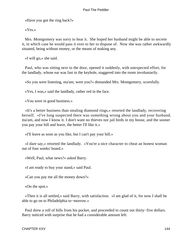«Have you got the ring back?»

«Yes.»

 Mrs. Montgomery was sorry to hear it. She hoped her husband might be able to secrete it, in which case he would pass it over to her to dispose of. Now she was rather awkwardly situated, being without money, or the means of making any.

«I will go,» she said.

 Paul, who was sitting next to the door, opened it suddenly, with unexpected effort, for the landlady, whose ear was fast to the keyhole, staggered into the room involuntarily.

«So you were listening, ma'am, were you?» demanded Mrs. Montgomery, scornfully.

«Yes, I was,» said the landlady, rather red in the face.

«You were in good business.»

 «It's a better business than stealing diamond rings,» retorted the landlady, recovering herself. «I've long suspected there was something wrong about you and your husband, ma'am, and now I know it. I don't want no thieves nor jail birds in my house, and the sooner you pay your bill and leave, the better I'll like it.»

«I'll leave as soon as you like, but I can't pay your bill.»

 «I dare say,» retorted the landlady. «You're a nice character to cheat an honest woman out of four weeks' board.»

«Well, Paul, what news?» asked Barry.

«I am ready to buy your stand,» said Paul.

«Can you pay me all the money down?»

«On the spot.»

 «Then it is all settled,» said Barry, with satisfaction. «I am glad of it, for now I shall be able to go on to Philadelphia to−morrow.»

 Paul drew a roll of bills from his pocket, and proceeded to count out thirty−five dollars. Barry noticed with surprise that he had a considerable amount left.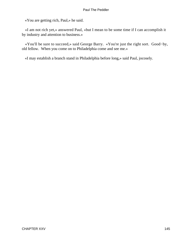«You are getting rich, Paul,» he said.

 «I am not rich yet,» answered Paul, «but I mean to be some time if I can accomplish it by industry and attention to business.»

 «You'll be sure to succeed,» said George Barry. «You're just the right sort. Good−by, old fellow. When you come on to Philadelphia come and see me.»

«I may establish a branch stand in Philadelphia before long,» said Paul, jocosely.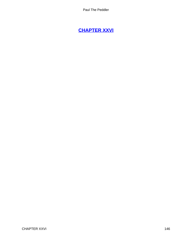# <span id="page-146-0"></span>**[CHAPTER XXVI](#page-154-0)**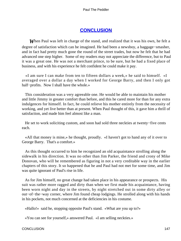## **[CONCLUSION](#page-154-0)**

<span id="page-147-0"></span>*When Paul was left in charge of the stand, and realized that it was his own, he felt a* degree of satisfaction which can be imagined. He had been a newsboy, a baggage−smasher, and in fact had pretty much gone the round of the street trades, but now he felt that he had advanced one step higher. Some of my readers may not appreciate the difference, but to Paul it was a great one. He was not a merchant prince, to be sure, but he had a fixed place of business, and with his experience he felt confident he could make it pay.

 «I am sure I can make from ten to fifteen dollars a week,» he said to himself. «I averaged over a dollar a day when I worked for George Barry, and then I only got half−profits. Now I shall have the whole.»

 This consideration was a very agreeable one. He would be able to maintain his mother and little Jimmy in greater comfort than before, and this he cared more for than for any extra indulgences for himself. In fact, he could relieve his mother entirely from the necessity of working, and yet live better than at present. When Paul thought of this, it gave him a thrill of satisfaction, and made him feel almost like a man.

 He set to work soliciting custom, and soon had sold three neckties at twenty−five cents each.

 «All that money is mine,» he thought, proudly. «I haven't got to hand any of it over to George Barry. That's a comfort.»

 As this thought occurred to him he recognized an old acquaintance strolling along the sidewalk in his direction. It was no other than Jim Parker, the friend and crony of Mike Donovan, who will be remembered as figuring in not a very creditable way in the earlier chapters of this story. It so happened that he and Paul had not met for some time, and Jim was quite ignorant of Paul's rise in life.

 As for Jim himself, no great change had taken place in his appearance or prospects. His suit was rather more ragged and dirty than when we first made his acquaintance, having been worn night and day in the streets, by night stretched out in some dirty alley or out−of−the−way corner, where Jim found cheap lodgings. He strolled along with his hands in his pockets, not much concerned at the deficiencies in his costume.

«Hallo!» said he, stopping opposite Paul's stand. «What are you up to?»

«You can see for yourself,» answered Paul. «I am selling neckties.»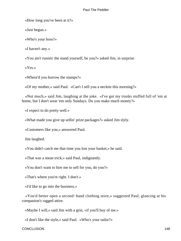«How long you've been at it?»

«Just begun.»

«Who's your boss?»

«I haven't any.»

«You ain't runnin' the stand yourself, be you?» asked Jim, in surprise.

«Yes.»

«Where'd you borrow the stamps?»

«Of my mother,» said Paul. «Can't I sell you a necktie this morning?»

 «Not much,» said Jim, laughing at the joke. «I've got my trunks stuffed full of 'em at home, but I don't wear 'em only Sundays. Do you make much money?»

«I expect to do pretty well.»

«What made you give up sellin' prize packages?» asked Jim slyly.

«Customers like you,» answered Paul.

Jim laughed.

«You didn't catch me that time you lost your basket,» he said.

«That was a mean trick,» said Paul, indignantly.

«You don't want to hire me to sell for you, do you?»

«That's where you're right. I don't.»

«I'd like to go into the business.»

 «You'd better open a second−hand clothing store,» suggested Paul, glancing at his companion's ragged attire.

«Maybe I will,» said Jim with a grin, «if you'll buy of me.»

«I don't like the style,» said Paul. «Who's your tailor?»

CONCLUSION 148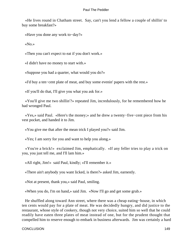«He lives round in Chatham street. Say, can't you lend a fellow a couple of shillin' to buy some breakfast?»

«Have you done any work to−day?»

«No.»

«Then you can't expect to eat if you don't work.»

«I didn't have no money to start with.»

«Suppose you had a quarter, what would you do?»

«I'd buy a ten−cent plate of meat, and buy some evenin' papers with the rest.»

«If you'll do that, I'll give you what you ask for.»

 «You'll give me two shillin'?» repeated Jim, incredulously, for he remembered how he had wronged Paul.

 «Yes,» said Paul. «Here's the money;» and he drew a twenty−five−cent piece from his vest pocket, and handed it to Jim.

«You give me that after the mean trick I played you?» said Jim.

«Yes; I am sorry for you and want to help you along.»

 «You're a brick!» exclaimed Jim, emphatically. «If any feller tries to play a trick on you, you just tell me, and I'll lam him.»

«All right, Jim!» said Paul, kindly; «I'll remember it.»

«There ain't anybody you want licked, is there?» asked Jim, earnestly.

«Not at present, thank you,» said Paul, smiling.

«When you do, I'm on hand,» said Jim. «Now I'll go and get some grub.»

 He shuffled along toward Ann street, where there was a cheap eating−house, in which ten cents would pay for a plate of meat. He was decidedly hungry, and did justice to the restaurant, whose style of cookery, though not very choice, suited him so well that he could readily have eaten three plates of meat instead of one, but for the prudent thought that compelled him to reserve enough to embark in business afterwards. Jim was certainly a hard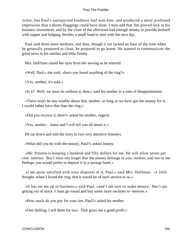ticket; but Paul's unexpected kindness had won him, and produced a more profound impression than a dozen floggings could have done. I may add that Jim proved luck in his business investment, and by the close of the afternoon had enough money to provide himself with supper and lodging, besides a small fund to start with the next day.

 Paul sold three more neckties, and then, though it yet lacked an hour of the time when he generally proposed to close, he prepared to go home. He wanted to communicate the good news to his mother and little Jimmy.

Mrs. Hoffman raised her eyes from her sewing as he entered.

«Well, Paul,» she said, «have you heard anything of the ring?»

«Yes, mother, it's sold.»

«Is it? Well, we must do without it, then,» said his mother in a tone of disappointment.

 «There won't be any trouble about that, mother, as long as we have got the money for it. I would rather have that than the ring.»

«Did you recover it, then?» asked his mother, eagerly.

«Yes, mother – listen and I will tell you all about it.»

He sat down and told the story to two very attentive listeners.

«What did you do with the money, Paul?» asked Jimmy.

 «Mr. Preston is keeping a hundred and fifty dollars for me. He will allow seven per cent. interest. But I must not forget that the money belongs to you, mother, and not to me. Perhaps you would prefer to deposit it in a savings bank.»

 «I am quite satisfied with your disposal of it, Paul,» said Mrs. Hoffman. «I little thought, when I found the ring, that it would be of such service to us.»

 «It has set me up in business,» said Paul, «and I am sure to make money. But I am getting out of stock. I must go round and buy some more neckties to−morrow.»

«How much do you pay for your ties, Paul?» asked his mother.

«One shilling; I sell them for two. That gives me a good profit.»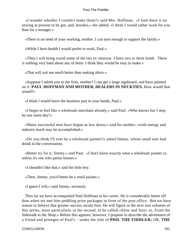«I wonder whether I couldn't make them?» said Mrs. Hoffman. «I find there is no sewing at present to be got, and, besides,» she added, «I think I would rather work for you than for a stranger.»

«There is no need of your working, mother. I can earn enough to support the family.»

«While I have health I would prefer to work, Paul.»

 «Then I will bring round some of the ties to−morrow. I have two or three kinds. There is nothing very hard about any of them. I think they would be easy to make.»

«That will suit me much better than making shirts.»

 «Suppose I admit you to the firm, mother? I can get a large signboard, and have painted on it: **PAUL HOFFMAN AND MOTHER, DEALERS IN NECKTIES.** How would that sound?»

«I think I would leave the business part in your hands, Paul.»

 «I begin to feel like a wholesale merchant already,» said Paul. «Who knows but I may be one some day?»

 «Many successful men have begun as low down,» said his mother; «with energy and industry much may be accomplished.»

 «Do you think I'll ever be a wholesale painter?» asked Jimmy, whose small ears had drank in the conversation.

 «Better try for it, Jimmy,» said Paul. «I don't know exactly what a wholesale painter is, unless it's one who paints houses.»

«I shouldn't like that,» said the little boy.

«Then, Jimmy, you'd better be a retail painter.»

«I guess I will,» said Jimmy, seriously.

 Thus far we have accompanied Paul Hoffman in his career. He is considerably better off than when we met him peddling prize packages in front of the post office. But we have reason to believe that greater success awaits him. He will figure in the next two volumes of this series, more particularly in the second, to be called «Slow and Sure; or, From the Sidewalk to the Shop.» Before this appears, however, I propose to describe the adventures of a friend and protegee of Paul's – under the title of **PHIL THE FIDDLER;** OR, **THE**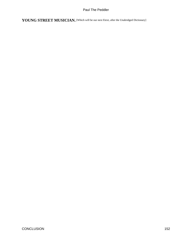YOUNG STREET MUSICIAN. [Which will be our next Etext, after the Unabridged Dictionary]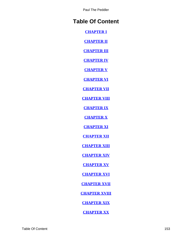# **Table Of Content**

**[CHAPTER I](#page-3-0)**

**[CHAPTER II](#page-8-0)**

**[CHAPTER III](#page-13-0)**

**[CHAPTER IV](#page-18-0)**

**[CHAPTER V](#page-23-0)**

**[CHAPTER VI](#page-29-0)**

**[CHAPTER VII](#page-35-0)**

**[CHAPTER VIII](#page-41-0)**

**[CHAPTER IX](#page-47-0)**

**[CHAPTER X](#page-53-0)**

**[CHAPTER XI](#page-59-0)**

**[CHAPTER XII](#page-65-0)**

**[CHAPTER XIII](#page-70-0)**

**[CHAPTER XIV](#page-76-0)**

**[CHAPTER XV](#page-82-0)**

**[CHAPTER XVI](#page-88-0)**

**[CHAPTER XVII](#page-94-0)**

**[CHAPTER XVIII](#page-100-0)**

**[CHAPTER XIX](#page-106-0)**

**[CHAPTER XX](#page-112-0)**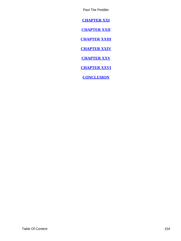<span id="page-154-0"></span>**[CHAPTER XXI](#page-118-0)**

**[CHAPTER XXII](#page-124-0)**

**[CHAPTER XXIII](#page-130-0)**

**[CHAPTER XXIV](#page-135-0)**

**[CHAPTER XXV](#page-142-0)**

**[CHAPTER XXVI](#page-146-0)**

**[CONCLUSION](#page-147-0)**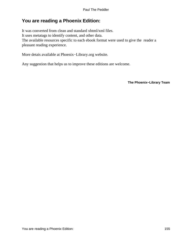# **You are reading a Phoenix Edition:**

It was converted from clean and standard xhtml/xml files. It uses metatags to identify content, and other data. The available resources specific to each ebook format were used to give the reader a pleasant reading experience.

More detais available at Phoenix−Library.org website.

Any suggestion that helps us to improve these editions are welcome.

**The Phoenix−Library Team**